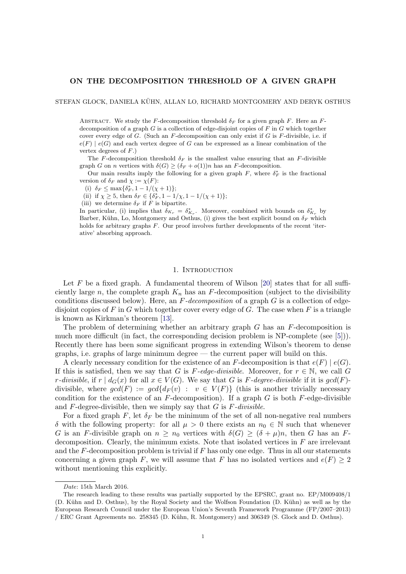## ON THE DECOMPOSITION THRESHOLD OF A GIVEN GRAPH

STEFAN GLOCK, DANIELA KÜHN, ALLAN LO, RICHARD MONTGOMERY AND DERYK OSTHUS

ABSTRACT. We study the F-decomposition threshold  $\delta_F$  for a given graph F. Here an Fdecomposition of a graph  $G$  is a collection of edge-disjoint copies of  $F$  in  $G$  which together cover every edge of G. (Such an F-decomposition can only exist if G is F-divisible, i.e. if  $e(F) | e(G)$  and each vertex degree of G can be expressed as a linear combination of the vertex degrees of F.)

The F-decomposition threshold  $\delta_F$  is the smallest value ensuring that an F-divisible graph G on n vertices with  $\delta(G) \geq (\delta_F + o(1))n$  has an F-decomposition.

Our main results imply the following for a given graph  $F$ , where  $\delta_F^*$  is the fractional version of  $\delta_F$  and  $\chi := \chi(F)$ :

(i)  $\delta_F \le \max\{\delta_F^*, 1 - 1/(\chi + 1)\};$ 

(ii) if  $\chi \geq 5$ , then  $\delta_F \in {\delta_F^*}$ ,  $1 - 1/\chi$ ,  $1 - 1/(\chi + 1)$ ;

(iii) we determine  $\delta_F$  if F is bipartite.

In particular, (i) implies that  $\delta_{K_r} = \delta_{K_r}^*$ . Moreover, combined with bounds on  $\delta_{K_r}^*$  by Barber, Kühn, Lo, Montgomery and Osthus, (i) gives the best explicit bound on  $\delta_F$  which holds for arbitrary graphs F. Our proof involves further developments of the recent 'iterative' absorbing approach.

#### 1. Introduction

Let  $F$  be a fixed graph. A fundamental theorem of Wilson [\[20\]](#page-57-0) states that for all sufficiently large n, the complete graph  $K_n$  has an F-decomposition (subject to the divisibility conditions discussed below). Here, an  $F\text{-}decomposition$  of a graph  $G$  is a collection of edgedisjoint copies of F in G which together cover every edge of G. The case when F is a triangle is known as Kirkman's theorem [\[13\]](#page-57-1).

The problem of determining whether an arbitrary graph  $G$  has an  $F$ -decomposition is much more difficult (in fact, the corresponding decision problem is NP-complete (see [\[5\]](#page-57-2))). Recently there has been some significant progress in extending Wilson's theorem to dense graphs, i.e. graphs of large minimum degree — the current paper will build on this.

A clearly necessary condition for the existence of an F-decomposition is that  $e(F) | e(G)$ . If this is satisfied, then we say that G is F-edge-divisible. Moreover, for  $r \in \mathbb{N}$ , we call G r-divisible, if  $r | d_G(x)$  for all  $x \in V(G)$ . We say that G is F-degree-divisible if it is  $gcd(F)$ divisible, where  $gcd(F) := gcd{d_F(v) : v \in V(F)}$  (this is another trivially necessary condition for the existence of an  $F$ -decomposition). If a graph  $G$  is both  $F$ -edge-divisible and  $F$ -degree-divisible, then we simply say that  $G$  is  $F$ -divisible.

For a fixed graph F, let  $\delta_F$  be the minimum of the set of all non-negative real numbers δ with the following property: for all  $\mu > 0$  there exists an  $n_0 \in \mathbb{N}$  such that whenever G is an F-divisible graph on  $n \geq n_0$  vertices with  $\delta(G) \geq (\delta + \mu)n$ , then G has an Fdecomposition. Clearly, the minimum exists. Note that isolated vertices in  $F$  are irrelevant and the  $F$ -decomposition problem is trivial if  $F$  has only one edge. Thus in all our statements concerning a given graph F, we will assume that F has no isolated vertices and  $e(F) \geq 2$ without mentioning this explicitly.

Date: 15th March 2016.

The research leading to these results was partially supported by the EPSRC, grant no. EP/M009408/1 (D. Kühn and D. Osthus), by the Royal Society and the Wolfson Foundation (D. Kühn) as well as by the European Research Council under the European Union's Seventh Framework Programme (FP/2007–2013) / ERC Grant Agreements no. 258345 (D. K¨uhn, R. Montgomery) and 306349 (S. Glock and D. Osthus).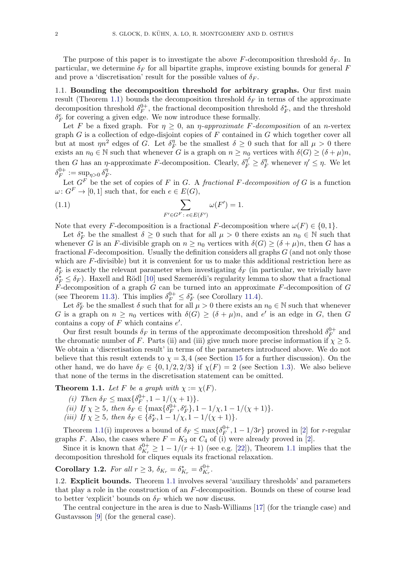The purpose of this paper is to investigate the above F-decomposition threshold  $\delta_F$ . In particular, we determine  $\delta_F$  for all bipartite graphs, improve existing bounds for general F and prove a 'discretisation' result for the possible values of  $\delta_F$ .

1.1. Bounding the decomposition threshold for arbitrary graphs. Our first main result (Theorem [1.1\)](#page-1-0) bounds the decomposition threshold  $\delta_F$  in terms of the approximate decomposition threshold  $\delta_F^{0+}$  $_{F}^{0+}$ , the fractional decomposition threshold  $\delta_{F}^{*}$ , and the threshold  $\delta_F^e$  for covering a given edge. We now introduce these formally.

Let F be a fixed graph. For  $\eta \geq 0$ , an  $\eta$ -approximate F-decomposition of an n-vertex graph  $G$  is a collection of edge-disjoint copies of  $F$  contained in  $G$  which together cover all but at most  $\eta n^2$  edges of G. Let  $\delta_{\mu}^{\eta}$  $\eta$ <sup>n</sup><sub>F</sub> be the smallest  $\delta \geq 0$  such that for all  $\mu > 0$  there exists an  $n_0 \in \mathbb{N}$  such that whenever G is a graph on  $n \geq n_0$  vertices with  $\delta(G) \geq (\delta + \mu)n$ , then G has an  $\eta$ -approximate F-decomposition. Clearly,  $\delta_F^{\eta'} \geq \delta_F^{\eta}$  whenever  $\eta' \leq \eta$ . We let  $\delta_F^{0+}$  $I_F^{0+} := \sup_{\eta>0} \delta_{I}^{\eta}$  $^{\eta}_{F}.$ 

Let  $G^F$  be the set of copies of F in G. A fractional F-decomposition of G is a function  $\omega: G^F \to [0, 1]$  such that, for each  $e \in E(G)$ ,

(1.1) 
$$
\sum_{F' \in G^F : e \in E(F')} \omega(F') = 1.
$$

Note that every F-decomposition is a fractional F-decomposition where  $\omega(F) \in \{0, 1\}.$ 

Let  $\delta_F^*$  be the smallest  $\delta \geq 0$  such that for all  $\mu > 0$  there exists an  $n_0 \in \mathbb{N}$  such that whenever G is an F-divisible graph on  $n \geq n_0$  vertices with  $\delta(G) \geq (\delta + \mu)n$ , then G has a fractional  $F$ -decomposition. Usually the definition considers all graphs  $G$  (and not only those which are  $F$ -divisible) but it is convenient for us to make this additional restriction here as  $\delta_F^*$  is exactly the relevant parameter when investigating  $\delta_F$  (in particular, we trivially have  $\delta_F^* \leq \delta_F$ ). Haxell and Rödl [\[10\]](#page-57-3) used Szemerédi's regularity lemma to show that a fractional  $\overline{F}$ -decomposition of a graph  $\overline{G}$  can be turned into an approximate  $F$ -decomposition of  $\overline{G}$ (see Theorem [11.3\)](#page-33-0). This implies  $\delta_F^{0+} \leq \delta_F^*$  (see Corollary [11.4\)](#page-33-1).

Let  $\delta_F^e$  be the smallest  $\delta$  such that for all  $\mu > 0$  there exists an  $n_0 \in \mathbb{N}$  such that whenever G is a graph on  $n \geq n_0$  vertices with  $\delta(G) \geq (\delta + \mu)n$ , and e' is an edge in G, then G contains a copy of  $F$  which contains  $e'$ .

Our first result bounds  $\delta_F$  in terms of the approximate decomposition threshold  $\delta_F^{0+}$  $E_F^{0+}$  and the chromatic number of F. Parts (ii) and (iii) give much more precise information if  $\chi \geq 5$ . We obtain a 'discretisation result' in terms of the parameters introduced above. We do not believe that this result extends to  $\chi = 3, 4$  (see Section [15](#page-56-0) for a further discussion). On the other hand, we do have  $\delta_F \in \{0, 1/2, 2/3\}$  if  $\chi(F) = 2$  (see Section [1.3\)](#page-2-0). We also believe that none of the terms in the discretisation statement can be omitted.

<span id="page-1-0"></span>**Theorem 1.1.** Let F be a graph with  $\chi := \chi(F)$ .

- (i) Then  $\delta_F \leq \max\{\delta_F^{0+}$  $T_F^{0+}$ , 1 – 1/( $\chi$  + 1).
- (ii) If  $\chi \geq 5$ , then  $\delta_F \in {\max\{\delta_F^{0+1}\}}$  $\mathcal{F}_F^{0+}, \mathcal{S}_F^e$ , 1 – 1/ $\chi$ , 1 – 1/( $\chi$  + 1).
- (iii) If  $\chi \geq 5$ , then  $\delta_F \in {\delta_F^*}, 1 1/\chi, 1 1/(\chi + 1)$ .

Theorem [1.1\(](#page-1-0)i) improves a bound of  $\delta_F \le \max\{\delta_F^{0+}\}$  $\mathbb{E}_F^{0+}$ , 1 – 1/3*r*} proved in [\[2\]](#page-57-4) for *r*-regular graphs F. Also, the cases where  $F = K_3$  or  $C_4$  of (i) were already proved in [\[2\]](#page-57-4).

Since it is known that  $\delta_{K_n}^{0+}$  $\frac{0+}{K_r} \geq 1-1/(r+1)$  (see e.g. [\[22\]](#page-57-5)), Theorem [1.1](#page-1-0) implies that the decomposition threshold for cliques equals its fractional relaxation.

<span id="page-1-1"></span>**Corollary 1.2.** For all  $r \geq 3$ ,  $\delta_{K_r} = \delta_{K_r}^* = \delta_{K_r}^{0+}$  $K_r$  .

1.2. Explicit bounds. Theorem [1.1](#page-1-0) involves several 'auxiliary thresholds' and parameters that play a role in the construction of an F-decomposition. Bounds on these of course lead to better 'explicit' bounds on  $\delta_F$  which we now discuss.

The central conjecture in the area is due to Nash-Williams [\[17\]](#page-57-6) (for the triangle case) and Gustavsson [\[9\]](#page-57-7) (for the general case).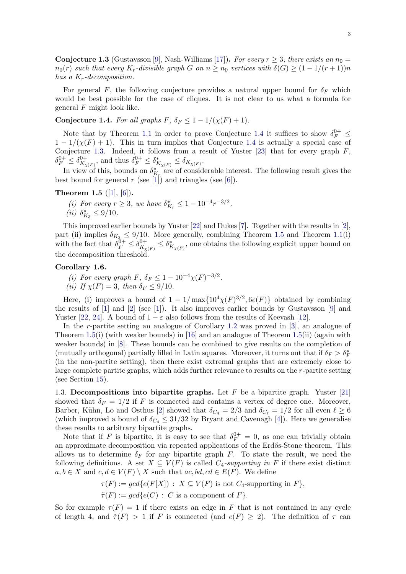<span id="page-2-2"></span>**Conjecture 1.3** (Gustavsson [\[9\]](#page-57-7), Nash-Williams [\[17\]](#page-57-6)). For every  $r \geq 3$ , there exists an  $n_0 =$  $n_0(r)$  such that every  $K_r$ -divisible graph G on  $n \geq n_0$  vertices with  $\delta(G) \geq (1 - 1/(r + 1))n$ has a  $K_r$ -decomposition.

For general F, the following conjecture provides a natural upper bound for  $\delta_F$  which would be best possible for the case of cliques. It is not clear to us what a formula for general  $F$  might look like.

<span id="page-2-1"></span>Conjecture 1.4. For all graphs F,  $\delta_F \leq 1 - 1/(\chi(F) + 1)$ .

Note that by Theorem [1.1](#page-1-0) in order to prove Conjecture [1.4](#page-2-1) it suffices to show  $\delta_F^{0+} \leq$  $1 - 1/(\chi(F) + 1)$ . This in turn implies that Conjecture [1.4](#page-2-1) is actually a special case of Conjecture [1.3.](#page-2-2) Indeed, it follows from a result of Yuster [\[23\]](#page-57-8) that for every graph  $F$ ,  $\delta_F^{0+} \leq \delta_{K_\chi}^{0+}$  $\frac{0+}{K_{\chi(F)}}$ , and thus  $\delta_F^{0+} \leq \delta_{K_{\chi(F)}}^* \leq \delta_{K_{\chi(F)}}$ .

In view of this, bounds on  $\delta_{K_r}^*$  are of considerable interest. The following result gives the best bound for general  $r$  (see [\[1\]](#page-57-9)) and triangles (see [\[6\]](#page-57-10)).

# <span id="page-2-3"></span>Theorem 1.5  $([1], [6])$  $([1], [6])$  $([1], [6])$  $([1], [6])$  $([1], [6])$ .

- (i) For every  $r \ge 3$ , we have  $\delta_{K_r}^* \le 1 10^{-4} r^{-3/2}$ .
- (*ii*)  $\delta_{K_3}^* \leq 9/10$ .

This improved earlier bounds by Yuster [\[22\]](#page-57-5) and Dukes [\[7\]](#page-57-11). Together with the results in [\[2\]](#page-57-4), part (ii) implies  $\delta_{K_3} \leq 9/10$ . More generally, combining Theorem [1.5](#page-2-3) and Theorem [1.1\(](#page-1-0)i) with the fact that  $\delta_F^{\tilde{0}+} \leq \delta_{K_{\chi}}^{0+}$  $\delta_{K_{\chi(F)}}^{0+} \leq \delta_{K_{\chi(F)}}^{*}$ , one obtains the following explicit upper bound on the decomposition threshold.

## Corollary 1.6.

(i) For every graph F,  $\delta_F \leq 1 - 10^{-4} \chi(F)^{-3/2}$ . (ii) If  $\chi(F) = 3$ , then  $\delta_F \leq 9/10$ .

Here, (i) improves a bound of  $1 - 1/\max\{10^4 \chi(F)^{3/2}, 6e(F)\}\$  obtained by combining the results of [\[1\]](#page-57-9) and [\[2\]](#page-57-4) (see [\[1\]](#page-57-9)). It also improves earlier bounds by Gustavsson [\[9\]](#page-57-7) and Yuster [\[22,](#page-57-5) [24\]](#page-57-12). A bound of  $1 - \varepsilon$  also follows from the results of Keevash [\[12\]](#page-57-13).

In the r-partite setting an analogue of Corollary [1.2](#page-1-1) was proved in [\[3\]](#page-57-14), an analogue of Theorem [1.5\(](#page-2-3)i) (with weaker bounds) in [\[16\]](#page-57-15) and an analogue of Theorem [1.5\(](#page-2-3)ii) (again with weaker bounds) in [\[8\]](#page-57-16). These bounds can be combined to give results on the completion of (mutually orthogonal) partially filled in Latin squares. Moreover, it turns out that if  $\delta_F > \delta_F^*$ (in the non-partite setting), then there exist extremal graphs that are extremely close to large complete partite graphs, which adds further relevance to results on the r-partite setting (see Section [15\)](#page-56-0).

<span id="page-2-0"></span>1.3. Decompositions into bipartite graphs. Let  $F$  be a bipartite graph. Yuster [\[21\]](#page-57-17) showed that  $\delta_F = 1/2$  if F is connected and contains a vertex of degree one. Moreover, Barber, Kühn, Lo and Osthus [\[2\]](#page-57-4) showed that  $\delta_{C_4} = 2/3$  and  $\delta_{C_\ell} = 1/2$  for all even  $\ell \geq 6$ (which improved a bound of  $\delta_{C_4} \leq 31/32$  by Bryant and Cavenagh [\[4\]](#page-57-18)). Here we generalise these results to arbitrary bipartite graphs.

Note that if F is bipartite, it is easy to see that  $\delta_F^{0+} = 0$ , as one can trivially obtain an approximate decomposition via repeated applications of the Erdős-Stone theorem. This allows us to determine  $\delta_F$  for any bipartite graph F. To state the result, we need the following definitions. A set  $X \subseteq V(F)$  is called  $C_4$ -supporting in F if there exist distinct  $a, b \in X$  and  $c, d \in V(F) \setminus X$  such that  $ac, bd, cd \in E(F)$ . We define

$$
\tau(F) := gcd\{e(F[X]) : X \subseteq V(F) \text{ is not } C_4\text{-supporting in } F\},\
$$

$$
\tilde{\tau}(F) := gcd\{e(C) : C \text{ is a component of } F\}.
$$

So for example  $\tau(F) = 1$  if there exists an edge in F that is not contained in any cycle of length 4, and  $\tilde{\tau}(F) > 1$  if F is connected (and  $e(F) \geq 2$ ). The definition of  $\tau$  can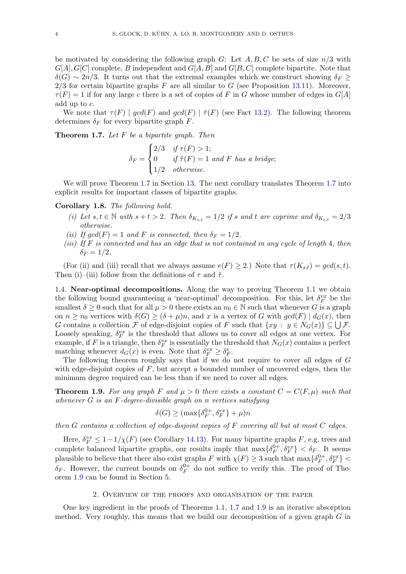be motivated by considering the following graph  $G$ : Let  $A, B, C$  be sets of size  $n/3$  with  $G[A], G[C]$  complete, B independent and  $G[A, B]$  and  $G[B, C]$  complete bipartite. Note that  $\delta(G) \sim 2n/3$ . It turns out that the extremal examples which we construct showing  $\delta_F \geq$  $2/3$  for certain bipartite graphs F are all similar to G (see Proposition [13.11\)](#page-42-0). Moreover,  $\tau(F) = 1$  if for any large c there is a set of copies of F in G whose number of edges in  $G[A]$ add up to c.

We note that  $\tau(F) \mid \gcd(F)$  and  $\gcd(F) \mid \tilde{\tau}(F)$  (see Fact [13.2\)](#page-36-0). The following theorem determines  $\delta_F$  for every bipartite graph F.

<span id="page-3-0"></span>**Theorem 1.7.** Let  $F$  be a bipartite graph. Then

$$
\delta_F = \begin{cases}\n2/3 & \text{if } \tau(F) > 1; \\
0 & \text{if } \tilde{\tau}(F) = 1 \text{ and } F \text{ has a bridge;} \\
1/2 & \text{otherwise.} \n\end{cases}
$$

We will prove Theorem [1.7](#page-3-0) in Section [13.](#page-36-1) The next corollary translates Theorem [1.7](#page-3-0) into explicit results for important classes of bipartite graphs.

Corollary 1.8. The following hold.

- (i) Let  $s, t \in \mathbb{N}$  with  $s + t > 2$ . Then  $\delta_{K_{s,t}} = 1/2$  if s and t are coprime and  $\delta_{K_{s,t}} = 2/3$ otherwise.
- (ii) If  $gcd(F) = 1$  and F is connected, then  $\delta_F = 1/2$ .
- (iii) If  $F$  is connected and has an edge that is not contained in any cycle of length 4, then  $\delta_F = 1/2$ .

(For (ii) and (iii) recall that we always assume  $e(F) \ge 2$ .) Note that  $\tau(K_{s,t}) = \gcd(s,t)$ . Then (i)–(iii) follow from the definitions of  $\tau$  and  $\tilde{\tau}$ .

1.4. Near-optimal decompositions. Along the way to proving Theorem [1.1](#page-1-0) we obtain the following bound guaranteeing a 'near-optimal' decomposition. For this, let  $\delta_F^{vx}$  be the smallest  $\delta \geq 0$  such that for all  $\mu > 0$  there exists an  $n_0 \in \mathbb{N}$  such that whenever G is a graph on  $n \geq n_0$  vertices with  $\delta(G) \geq (\delta + \mu)n$ , and x is a vertex of G with  $gcd(F) | d_G(x)$ , then G contains a collection F of edge-disjoint copies of F such that  $\{xy : y \in N_G(x)\} \subseteq \bigcup \mathcal{F}$ . Loosely speaking,  $\delta_F^{vx}$  is the threshold that allows us to cover all edges at one vertex. For example, if F is a triangle, then  $\delta_F^{vx}$  is essentially the threshold that  $N_G(x)$  contains a perfect matching whenever  $d_G(x)$  is even. Note that  $\delta_F^{vx} \geq \delta_F^e$ .

The following theorem roughly says that if we do not require to cover all edges of G with edge-disjoint copies of  $F$ , but accept a bounded number of uncovered edges, then the minimum degree required can be less than if we need to cover all edges.

<span id="page-3-1"></span>**Theorem 1.9.** For any graph F and  $\mu > 0$  there exists a constant  $C = C(F, \mu)$  such that whenever  $G$  is an  $F$ -degree-divisible graph on n vertices satisfying

$$
\delta(G) \ge (\max\{\delta_F^{0+}, \delta_F^{vx}\} + \mu)n
$$

then  $G$  contains a collection of edge-disjoint copies of  $F$  covering all but at most  $C$  edges.

Here,  $\delta_F^{vx} \leq 1 - 1/\chi(F)$  (see Corollary [14.13\)](#page-56-1). For many bipartite graphs F, e.g. trees and complete balanced bipartite graphs, our results imply that  $\max\{\delta_F^{0+}\}$  $\{\delta_F^{0+}, \delta_F^{vx}\} < \delta_F$ . It seems plausible to believe that there also exist graphs F with  $\chi(F) \geq 3$  such that  $\max\{\delta_F^{0+}\}$  $\{\delta_F^{0+}, \delta_F^{vx}\} <$  $\delta_F$ . However, the current bounds on  $\delta_F^{0+}$  $V_F^{0+}$  do not suffice to verify this. The proof of Theorem [1.9](#page-3-1) can be found in Section [5.](#page-7-0)

#### 2. Overview of the proofs and organisation of the paper

<span id="page-3-2"></span>One key ingredient in the proofs of Theorems [1.1,](#page-1-0) [1.7](#page-3-0) and [1.9](#page-3-1) is an iterative absorption method. Very roughly, this means that we build our decomposition of a given graph  $G$  in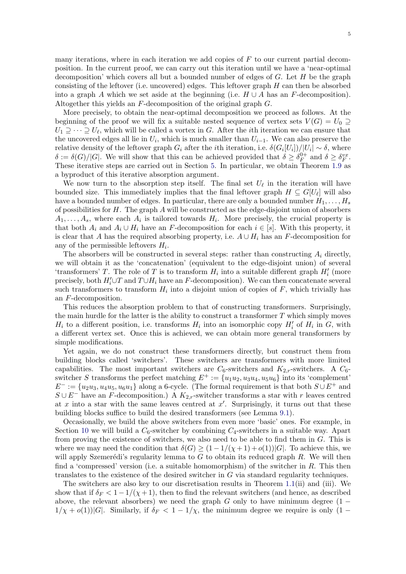many iterations, where in each iteration we add copies of  $F$  to our current partial decomposition. In the current proof, we can carry out this iteration until we have a 'near-optimal decomposition' which covers all but a bounded number of edges of  $G$ . Let  $H$  be the graph consisting of the leftover (i.e. uncovered) edges. This leftover graph  $H$  can then be absorbed into a graph A which we set aside at the beginning (i.e.  $H \cup A$  has an F-decomposition). Altogether this yields an F-decomposition of the original graph G.

More precisely, to obtain the near-optimal decomposition we proceed as follows. At the beginning of the proof we will fix a suitable nested sequence of vertex sets  $V(G) = U_0 \supseteq$  $U_1 \supseteq \cdots \supseteq U_{\ell}$ , which will be called a vortex in G. After the *i*th iteration we can ensure that the uncovered edges all lie in  $U_i$ , which is much smaller than  $U_{i-1}$ . We can also preserve the relative density of the leftover graph  $G_i$  after the *i*th iteration, i.e.  $\delta(G_i[U_i])/|U_i| \sim \delta$ , where  $\delta := \delta(G)/|G|$ . We will show that this can be achieved provided that  $\delta \geq \delta_F^{0+}$  $t_F^{0+}$  and  $\delta \geq \delta_F^{vx}$ . These iterative steps are carried out in Section [5.](#page-7-0) In particular, we obtain Theorem [1.9](#page-3-1) as a byproduct of this iterative absorption argument.

We now turn to the absorption step itself. The final set  $U_{\ell}$  in the iteration will have bounded size. This immediately implies that the final leftover graph  $H \subseteq G[U_{\ell}]$  will also have a bounded number of edges. In particular, there are only a bounded number  $H_1, \ldots, H_s$ of possibilities for  $H$ . The graph  $A$  will be constructed as the edge-disjoint union of absorbers  $A_1, \ldots, A_s$ , where each  $A_i$  is tailored towards  $H_i$ . More precisely, the crucial property is that both  $A_i$  and  $A_i \cup H_i$  have an F-decomposition for each  $i \in [s]$ . With this property, it is clear that A has the required absorbing property, i.e.  $A \cup H_i$  has an F-decomposition for any of the permissible leftovers  $H_i$ .

The absorbers will be constructed in several steps: rather than constructing  $A_i$  directly, we will obtain it as the 'concatenation' (equivalent to the edge-disjoint union) of several 'transformers' T. The role of T is to transform  $H_i$  into a suitable different graph  $H_i'$  (more precisely, both  $H_i' \cup T$  and  $T \cup H_i$  have an F-decomposition). We can then concatenate several such transformers to transform  $H_i$  into a disjoint union of copies of  $F$ , which trivially has an F-decomposition.

This reduces the absorption problem to that of constructing transformers. Surprisingly, the main hurdle for the latter is the ability to construct a transformer  $T$  which simply moves  $H_i$  to a different position, i.e. transforms  $H_i$  into an isomorphic copy  $H'_i$  of  $H_i$  in  $G$ , with a different vertex set. Once this is achieved, we can obtain more general transformers by simple modifications.

Yet again, we do not construct these transformers directly, but construct them from building blocks called 'switchers'. These switchers are transformers with more limited capabilities. The most important switchers are  $C_6$ -switchers and  $K_{2,r}$ -switchers. A  $C_6$ switcher S transforms the perfect matching  $E^+ := \{u_1u_2, u_3u_4, u_5u_6\}$  into its 'complement'  $E^- := \{u_2u_3, u_4u_5, u_6u_1\}$  along a 6-cycle. (The formal requirement is that both  $S \cup E^+$  and  $S \cup E^-$  have an F-decomposition.) A  $K_{2,r}$ -switcher transforms a star with r leaves centred at x into a star with the same leaves centred at  $x'$ . Surprisingly, it turns out that these building blocks suffice to build the desired transformers (see Lemma [9.1\)](#page-25-0).

Occasionally, we build the above switchers from even more 'basic' ones. For example, in Section [10](#page-27-0) we will build a  $C_6$ -switcher by combining  $C_4$ -switchers in a suitable way. Apart from proving the existence of switchers, we also need to be able to find them in G. This is where we may need the condition that  $\delta(G) \geq (1-1/(\chi+1)+o(1))|G|$ . To achieve this, we will apply Szemerédi's regularity lemma to  $G$  to obtain its reduced graph  $R$ . We will then find a 'compressed' version (i.e. a suitable homomorphism) of the switcher in  $R$ . This then translates to the existence of the desired switcher in G via standard regularity techniques.

The switchers are also key to our discretisation results in Theorem [1.1\(](#page-1-0)ii) and (iii). We show that if  $\delta_F < 1-1/(\chi+1)$ , then to find the relevant switchers (and hence, as described above, the relevant absorbers) we need the graph G only to have minimum degree  $(1 1/\chi + o(1)$ |G|. Similarly, if  $\delta_F < 1 - 1/\chi$ , the minimum degree we require is only  $(1 -$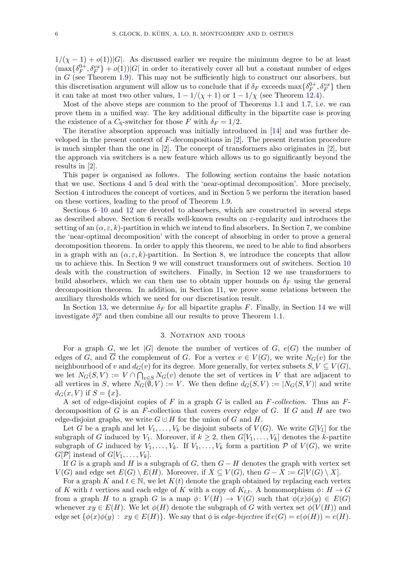$1/(\chi - 1) + o(1)$ |G|. As discussed earlier we require the minimum degree to be at least  $(\max\{\delta_F^{0+})\}$  ${}_{F}^{0+}, \delta_{F}^{vx}$  +  $o(1)$ )|G| in order to iteratively cover all but a constant number of edges in  $G$  (see Theorem [1.9\)](#page-3-1). This may not be sufficiently high to construct our absorbers, but this discretisation argument will allow us to conclude that if  $\delta_F$  exceeds  $\max\{\delta_F^{0+}\}$  $\delta_F^{0+}, \delta_F^{vx}$  then it can take at most two other values,  $1 - 1/(\chi + 1)$  or  $1 - 1/\chi$  (see Theorem [12.4\)](#page-35-0).

Most of the above steps are common to the proof of Theorems [1.1](#page-1-0) and [1.7,](#page-3-0) i.e. we can prove them in a unified way. The key additional difficulty in the bipartite case is proving the existence of a  $C_6$ -switcher for those F with  $\delta_F = 1/2$ .

The iterative absorption approach was initially introduced in [\[14\]](#page-57-19) and was further developed in the present context of F-decompositions in [\[2\]](#page-57-4). The present iteration procedure is much simpler than the one in [\[2\]](#page-57-4). The concept of transformers also originates in [\[2\]](#page-57-4), but the approach via switchers is a new feature which allows us to go significantly beyond the results in [\[2\]](#page-57-4).

This paper is organised as follows. The following section contains the basic notation that we use. Sections [4](#page-6-0) and [5](#page-7-0) deal with the 'near-optimal decomposition'. More precisely, Section [4](#page-6-0) introduces the concept of vortices, and in Section [5](#page-7-0) we perform the iteration based on these vortices, leading to the proof of Theorem [1.9.](#page-3-1)

Sections [6–](#page-14-0)[10](#page-27-0) and [12](#page-34-0) are devoted to absorbers, which are constructed in several steps as described above. Section [6](#page-14-0) recalls well-known results on  $\varepsilon$ -regularity and introduces the setting of an  $(\alpha, \varepsilon, k)$ -partition in which we intend to find absorbers. In Section [7,](#page-15-0) we combine the 'near-optimal decomposition' with the concept of absorbing in order to prove a general decomposition theorem. In order to apply this theorem, we need to be able to find absorbers in a graph with an  $(\alpha, \varepsilon, k)$ -partition. In Section [8,](#page-18-0) we introduce the concepts that allow us to achieve this. In Section [9](#page-23-0) we will construct transformers out of switchers. Section [10](#page-27-0) deals with the construction of switchers. Finally, in Section [12](#page-34-0) we use transformers to build absorbers, which we can then use to obtain upper bounds on  $\delta_F$  using the general decomposition theorem. In addition, in Section [11,](#page-32-0) we prove some relations between the auxiliary thresholds which we need for our discretisation result.

In Section [13,](#page-36-1) we determine  $\delta_F$  for all bipartite graphs F. Finally, in Section [14](#page-44-0) we will investigate  $\delta_F^{vx}$  and then combine all our results to prove Theorem [1.1.](#page-1-0)

#### 3. NOTATION AND TOOLS

For a graph G, we let  $|G|$  denote the number of vertices of G,  $e(G)$  the number of edges of G, and  $\overline{G}$  the complement of G. For a vertex  $v \in V(G)$ , we write  $N_G(v)$  for the neighbourhood of v and  $d_G(v)$  for its degree. More generally, for vertex subsets  $S, V \subseteq V(G)$ , we let  $N_G(S, V) := V \cap \bigcap_{v \in S} N_G(v)$  denote the set of vertices in V that are adjacent to all vertices in S, where  $N_G(\bar{\emptyset}, V) := V$ . We then define  $d_G(S, V) := |N_G(S, V)|$  and write  $d_G(x, V)$  if  $S = \{x\}.$ 

A set of edge-disjoint copies of F in a graph G is called an  $F$ -collection. Thus an  $F$ decomposition of G is an F-collection that covers every edge of G. If G and H are two edge-disjoint graphs, we write  $G \cup H$  for the union of G and H.

Let G be a graph and let  $V_1, \ldots, V_k$  be disjoint subsets of  $V(G)$ . We write  $G[V_1]$  for the subgraph of G induced by  $V_1$ . Moreover, if  $k \geq 2$ , then  $G[V_1, \ldots, V_k]$  denotes the k-partite subgraph of G induced by  $V_1, \ldots, V_k$ . If  $V_1, \ldots, V_k$  form a partition P of  $V(G)$ , we write  $G[\mathcal{P}]$  instead of  $G[V_1, \ldots, V_k]$ .

If G is a graph and H is a subgraph of G, then  $G - H$  denotes the graph with vertex set  $V(G)$  and edge set  $E(G) \setminus E(H)$ . Moreover, if  $X \subseteq V(G)$ , then  $G - X := G[V(G) \setminus X]$ .

For a graph K and  $t \in \mathbb{N}$ , we let  $K(t)$  denote the graph obtained by replacing each vertex of K with t vertices and each edge of K with a copy of  $K_{t,t}$ . A homomorphism  $\phi: H \to G$ from a graph H to a graph G is a map  $\phi: V(H) \to V(G)$  such that  $\phi(x)\phi(y) \in E(G)$ whenever  $xy \in E(H)$ . We let  $\phi(H)$  denote the subgraph of G with vertex set  $\phi(V(H))$  and edge set  $\{\phi(x)\phi(y) : xy \in E(H)\}\)$ . We say that  $\phi$  is edge-bijective if  $e(G) = e(\phi(H)) = e(H)$ .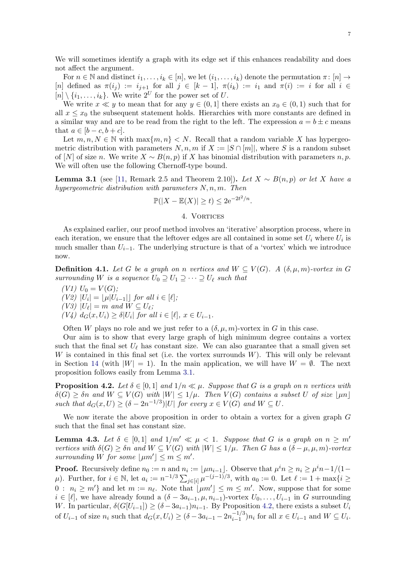We will sometimes identify a graph with its edge set if this enhances readability and does not affect the argument.

For  $n \in \mathbb{N}$  and distinct  $i_1, \ldots, i_k \in [n]$ , we let  $(i_1, \ldots, i_k)$  denote the permutation  $\pi \colon [n] \to$ [n] defined as  $\pi(i_j) := i_{j+1}$  for all  $j \in [k-1]$ ,  $\pi(i_k) := i_1$  and  $\pi(i) := i$  for all  $i \in$  $[n] \setminus \{i_1, \ldots, i_k\}$ . We write  $2^U$  for the power set of U.

We write  $x \ll y$  to mean that for any  $y \in (0,1]$  there exists an  $x_0 \in (0,1)$  such that for all  $x \leq x_0$  the subsequent statement holds. Hierarchies with more constants are defined in a similar way and are to be read from the right to the left. The expression  $a = b \pm c$  means that  $a \in [b-c, b+c]$ .

Let  $m, n, N \in \mathbb{N}$  with  $\max\{m, n\} < N$ . Recall that a random variable X has hypergeometric distribution with parameters  $N, n, m$  if  $X := |S \cap [m]|$ , where S is a random subset of [N] of size n. We write  $X \sim B(n, p)$  if X has binomial distribution with parameters n, p. We will often use the following Chernoff-type bound.

<span id="page-6-1"></span>**Lemma 3.1** (see [\[11,](#page-57-20) Remark 2.5 and Theorem 2.10]). Let  $X ∼ B(n, p)$  or let X have a hypergeometric distribution with parameters  $N, n, m$ . Then

$$
\mathbb{P}(|X - \mathbb{E}(X)| \ge t) \le 2e^{-2t^2/n}
$$

.

## 4. VORTICES

<span id="page-6-0"></span>As explained earlier, our proof method involves an 'iterative' absorption process, where in each iteration, we ensure that the leftover edges are all contained in some set  $U_i$  where  $U_i$  is much smaller than  $U_{i-1}$ . The underlying structure is that of a 'vortex' which we introduce now.

**Definition 4.1.** Let G be a graph on n vertices and  $W \subseteq V(G)$ . A  $(\delta, \mu, m)$ -vortex in G surrounding W is a sequence  $U_0 \supseteq U_1 \supseteq \cdots \supseteq U_\ell$  such that

(V1)  $U_0 = V(G);$  $(V2)$   $|U_i| = \lfloor \mu |U_{i-1}| \rfloor$  for all  $i \in [\ell];$  $(V3)$   $|U_{\ell}| = m$  and  $W \subseteq U_{\ell};$  $(V4)$   $d_G(x, U_i) \geq \delta |U_i|$  for all  $i \in [\ell], x \in U_{i-1}.$ 

Often W plays no role and we just refer to a  $(\delta, \mu, m)$ -vortex in G in this case.

Our aim is to show that every large graph of high minimum degree contains a vortex such that the final set  $U_{\ell}$  has constant size. We can also guarantee that a small given set W is contained in this final set (i.e. the vortex surrounds  $W$ ). This will only be relevant in Section [14](#page-44-0) (with  $|W| = 1$ ). In the main application, we will have  $W = \emptyset$ . The next proposition follows easily from Lemma [3.1.](#page-6-1)

<span id="page-6-2"></span>**Proposition 4.2.** Let  $\delta \in [0, 1]$  and  $1/n \ll \mu$ . Suppose that G is a graph on n vertices with  $\delta(G) \geq \delta n$  and  $W \subseteq V(G)$  with  $|W| \leq 1/\mu$ . Then  $V(G)$  contains a subset U of size  $\lfloor \mu n \rfloor$ such that  $d_G(x, U) \ge (\delta - 2n^{-1/3})|U|$  for every  $x \in V(G)$  and  $W \subseteq U$ .

We now iterate the above proposition in order to obtain a vortex for a given graph G such that the final set has constant size.

<span id="page-6-3"></span>**Lemma 4.3.** Let  $\delta \in [0,1]$  and  $1/m' \ll \mu < 1$ . Suppose that G is a graph on  $n \geq m'$ vertices with  $\delta(G) \geq \delta n$  and  $W \subseteq V(G)$  with  $|W| \leq 1/\mu$ . Then G has a  $(\delta - \mu, \mu, m)$ -vortex surrounding W for some  $|\mu m'| \leq m \leq m'$ .

**Proof.** Recursively define  $n_0 := n$  and  $n_i := \lfloor \mu n_{i-1} \rfloor$ . Observe that  $\mu^i n \geq n_i \geq \mu^i n - 1/(1 - \mu^i n)$  $\mu$ ). Further, for  $i \in \mathbb{N}$ , let  $a_i := n^{-1/3} \sum_{j \in [i]} \mu^{-(j-1)/3}$ , with  $a_0 := 0$ . Let  $\ell := 1 + \max\{i \geq 1\}$  $0: n_i \geq m'$  and let  $m := n_\ell$ . Note that  $\lfloor \mu m' \rfloor \leq m \leq m'$ . Now, suppose that for some  $i \in [\ell],$  we have already found a  $(\delta - 3a_{i-1}, \mu, n_{i-1})$ -vortex  $U_0, \ldots, U_{i-1}$  in G surrounding W. In particular,  $\delta(G[U_{i-1}]) \geq (\delta - 3a_{i-1})n_{i-1}$ . By Proposition [4.2,](#page-6-2) there exists a subset  $U_i$ of  $U_{i-1}$  of size  $n_i$  such that  $d_G(x, U_i) \geq (\delta - 3a_{i-1} - 2n_{i-1}^{-1/3})$  $\sum_{i=1}^{i-1} n_i$  for all  $x \in U_{i-1}$  and  $W \subseteq U_i$ .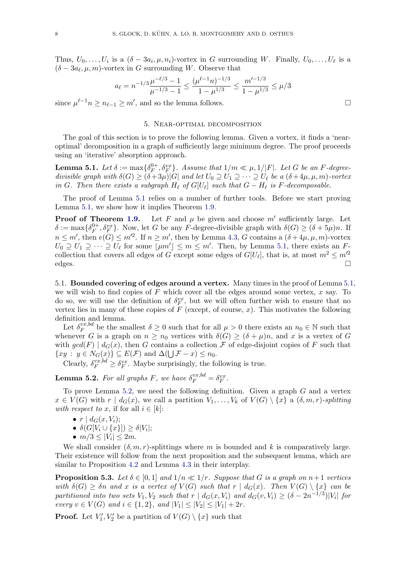Thus,  $U_0, \ldots, U_i$  is a  $(\delta - 3a_i, \mu, n_i)$ -vortex in G surrounding W. Finally,  $U_0, \ldots, U_\ell$  is a  $(\delta - 3a_\ell, \mu, m)$ -vortex in G surrounding W. Observe that

$$
a_{\ell} = n^{-1/3} \frac{\mu^{-\ell/3} - 1}{\mu^{-1/3} - 1} \le \frac{(\mu^{\ell-1} n)^{-1/3}}{1 - \mu^{1/3}} \le \frac{m'^{-1/3}}{1 - \mu^{1/3}} \le \mu/3
$$

since  $\mu^{\ell-1} n \geq n_{\ell-1} \geq m'$ , and so the lemma follows.

#### 5. Near-optimal decomposition

<span id="page-7-0"></span>The goal of this section is to prove the following lemma. Given a vortex, it finds a 'nearoptimal' decomposition in a graph of sufficiently large minimum degree. The proof proceeds using an 'iterative' absorption approach.

<span id="page-7-1"></span>Lemma 5.1. Let  $\delta:=\max\{\delta_F^{0+1}\}$  $\mathcal{F}_F^{0+}, \mathcal{S}_F^{vx}$ . Assume that  $1/m \ll \mu, 1/|F|$ . Let G be an F-degreedivisible graph with  $\delta(G) \geq (\delta + 3\mu)|G|$  and let  $U_0 \supseteq U_1 \supseteq \cdots \supseteq U_\ell$  be a  $(\delta + 4\mu, \mu, m)$ -vortex in G. Then there exists a subgraph  $H_{\ell}$  of  $G[U_{\ell}]$  such that  $G - H_{\ell}$  is F-decomposable.

The proof of Lemma [5.1](#page-7-1) relies on a number of further tools. Before we start proving Lemma [5.1,](#page-7-1) we show how it implies Theorem [1.9.](#page-3-1)

**Proof of Theorem [1.9.](#page-3-1)** Let F and  $\mu$  be given and choose  $m'$  sufficiently large. Let  $\delta := \max\{\delta_F^{0+}, \delta_F^{xx}\}\.$  Now, let G be any F-degree-divisible graph with  $\delta(G) \geq (\delta + 5\mu)n$ . If  $m \leq m'$ , then  $e(G) \leq m'^2$ . If  $n \geq m'$ , then by Lemma [4.3,](#page-6-3) G contains a  $(\delta + 4\mu, \mu, m)$ -vortex  $U_0 \supseteq U_1 \supseteq \cdots \supseteq U_\ell$  for some  $\lfloor \mu m' \rfloor \leq m \leq m'$ . Then, by Lemma [5.1,](#page-7-1) there exists an Fcollection that covers all edges of G except some edges of  $G[U_\ell]$ , that is, at most  $m^2 \le m'^2$ edges.

5.1. Bounded covering of edges around a vertex. Many times in the proof of Lemma [5.1,](#page-7-1) we will wish to find copies of  $F$  which cover all the edges around some vertex,  $x$  say. To do so, we will use the definition of  $\delta_F^{vx}$ , but we will often further wish to ensure that no vertex lies in many of these copies of  $\hat{F}$  (except, of course, x). This motivates the following definition and lemma.

Let  $\delta_F^{vx,bd}$  $\ell_F^{vx, bd}$  be the smallest  $\delta \geq 0$  such that for all  $\mu > 0$  there exists an  $n_0 \in \mathbb{N}$  such that whenever G is a graph on  $n \geq n_0$  vertices with  $\delta(G) \geq (\delta + \mu)n$ , and x is a vertex of G with  $gcd(F) | d_G(x)$ , then G contains a collection F of edge-disjoint copies of F such that  $\{xy : y \in N_G(x)\} \subseteq E(\mathcal{F})$  and  $\Delta(\bigcup \mathcal{F} - x) \leq n_0$ .

Clearly,  $\delta_F^{vx, bd} \geq \delta_F^{vx}$ . Maybe surprisingly, the following is true.

<span id="page-7-2"></span>**Lemma 5.2.** For all graphs F, we have  $\delta_F^{vx,bd} = \delta_F^{vx}$ .

To prove Lemma [5.2,](#page-7-2) we need the following definition. Given a graph  $G$  and a vertex  $x \in V(G)$  with  $r | d_G(x)$ , we call a partition  $V_1, \ldots, V_k$  of  $V(G) \setminus \{x\}$  a  $(\delta, m, r)$ -splitting with respect to x, if for all  $i \in [k]$ :

- $r \, | \, d_G(x, V_i);$
- $\bullet \ \delta(G[V_i \cup \{x\}]) \geq \delta|V_i|;$
- $m/3 \leq |V_i| \leq 2m$ .

We shall consider  $(\delta, m, r)$ -splittings where m is bounded and k is comparatively large. Their existence will follow from the next proposition and the subsequent lemma, which are similar to Proposition [4.2](#page-6-2) and Lemma [4.3](#page-6-3) in their interplay.

<span id="page-7-3"></span>**Proposition 5.3.** Let  $\delta \in [0, 1]$  and  $1/n \ll 1/r$ . Suppose that G is a graph on  $n+1$  vertices with  $\delta(G) \geq \delta n$  and x is a vertex of  $V(G)$  such that  $r | d_G(x)$ . Then  $V(G) \setminus \{x\}$  can be partitioned into two sets  $V_1, V_2$  such that  $r | d_G(x, V_i)$  and  $d_G(v, V_i) \geq (\delta - 2n^{-1/3})|V_i|$  for every  $v \in V(G)$  and  $i \in \{1,2\}$ , and  $|V_1| \leq |V_2| \leq |V_1| + 2r$ .

**Proof.** Let  $V'_1, V'_2$  be a partition of  $V(G) \setminus \{x\}$  such that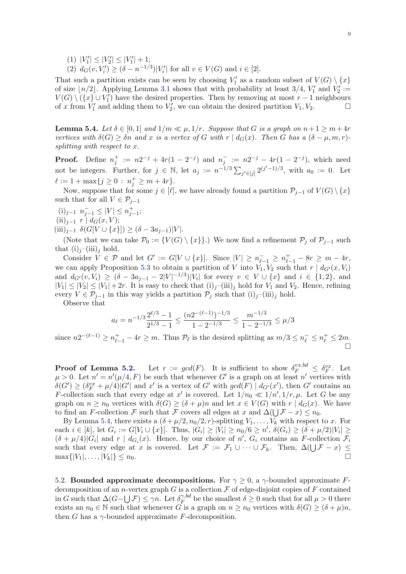- (1)  $|V'_1| \leq |V'_2| \leq |V'_1| + 1;$
- (2)  $d_G(v, V'_i) \ge (\delta n^{-1/3})|V'_i|$  for all  $v \in V(G)$  and  $i \in [2]$ .

That such a partition exists can be seen by choosing  $V'_1$  as a random subset of  $V(G) \setminus \{x\}$ of size  $\lfloor n/2 \rfloor$ . Applying Lemma [3.1](#page-6-1) shows that with probability at least 3/4,  $V'_1$  and  $V'_2$ :=  $V(G) \setminus \overline{(x] \cup V'_1}$  have the desired properties. Then by removing at most  $r-1$  neighbours of x from  $V'_1$  and adding them to  $V'_2$ , we can obtain the desired partition  $V_1, V_2$ .

<span id="page-8-0"></span>**Lemma 5.4.** Let  $\delta \in [0,1]$  and  $1/m \ll \mu$ ,  $1/r$ . Suppose that G is a graph on  $n+1 \ge m+4r$ vertices with  $\delta(G) \geq \delta n$  and x is a vertex of G with r  $| d_G(x)|$ . Then G has a  $(\delta - \mu, m, r)$ splitting with respect to x.

**Proof.** Define  $n_j^+ := n2^{-j} + 4r(1 - 2^{-j})$  and  $n_j^- := n2^{-j} - 4r(1 - 2^{-j})$ , which need not be integers. Further, for  $j \in \mathbb{N}$ , let  $a_j := n^{-1/3} \sum_{j' \in [j]} 2^{(j'-1)/3}$ , with  $a_0 := 0$ . Let  $\ell := 1 + \max\{j \ge 0 : n_j^+ \ge m + 4r\}.$ 

Now, suppose that for some  $j \in [\ell]$ , we have already found a partition  $\mathcal{P}_{j-1}$  of  $V(G) \setminus \{x\}$ such that for all  $V \in \mathcal{P}_{j-1}$ 

- $(i)_{j-1}$   $n_{j-1}^-$  ≤ | $V$ | ≤  $n_{j-1}^+$ ;
- $(ii)_{j-1} r \mid d_G(x, V);$
- $(iii)_{j-1}$   $\delta(G[V \cup \{x\}]) \geq (\delta 3a_{j-1})|V|.$

(Note that we can take  $\mathcal{P}_0 := \{V(G) \setminus \{x\}\}\.$ ) We now find a refinement  $\mathcal{P}_j$  of  $\mathcal{P}_{j-1}$  such that  $(i)_i$ – $(iii)_i$  hold.

Consider  $V \in \mathcal{P}$  and let  $G' := G[V \cup \{x\}]$ . Since  $|V| \ge n_{\ell-1}^- \ge n_{\ell-1}^+ - 8r \ge m - 4r$ , we can apply Proposition [5.3](#page-7-3) to obtain a partition of V into  $V_1, V_2$  such that  $r | d_{G'}(x, V_i)$ and  $d_{G'}(v, V_i) \geq (\delta - 3a_{j-1} - 2|V|^{-1/3})|V_i|$  for every  $v \in V \cup \{x\}$  and  $i \in \{1, 2\}$ , and  $|V_1| \leq |V_2| \leq |V_1| + 2r$ . It is easy to check that  $(i)_j$ – $(iii)_j$  hold for  $V_1$  and  $V_2$ . Hence, refining every  $V \in \mathcal{P}_{i-1}$  in this way yields a partition  $\mathcal{P}_i$  such that  $(i)_i$ –(iii)<sub>i</sub> hold.

Observe that

$$
a_{\ell} = n^{-1/3} \frac{2^{\ell/3} - 1}{2^{1/3} - 1} \le \frac{(n2^{-(\ell-1)})^{-1/3}}{1 - 2^{-1/3}} \le \frac{m^{-1/3}}{1 - 2^{-1/3}} \le \mu/3
$$

since  $n2^{-(\ell-1)} \ge n_{\ell-1}^+ - 4r \ge m$ . Thus  $\mathcal{P}_\ell$  is the desired splitting as  $m/3 \le n_\ell^- \le n_\ell^+ \le 2m$ .

**Proof of Lemma [5.2.](#page-7-2)** Let  $r := gcd(F)$ . It is sufficient to show  $\delta_F^{vx, bd} \leq \delta_F^{vx}$ . Let  $\mu > 0$ . Let  $n' = n'(\mu/4, F)$  be such that whenever G' is a graph on at least n' vertices with  $\delta(G') \geq (\delta_F^{vx} + \mu/4)|G'|$  and x' is a vertex of G' with  $gcd(F) | d_{G'}(x')$ , then G' contains an F-collection such that every edge at x' is covered. Let  $1/n_0 \ll 1/n', 1/r, \mu$ . Let G be any graph on  $n \geq n_0$  vertices with  $\delta(G) \geq (\delta + \mu)n$  and let  $x \in V(G)$  with  $r \mid d_G(x)$ . We have to find an F-collection F such that F covers all edges at x and  $\Delta(\bigcup \mathcal{F} - x) \leq n_0$ .

By Lemma [5.4,](#page-8-0) there exists a  $(\delta + \mu/2, n_0/2, r)$ -splitting  $V_1, \ldots, V_k$  with respect to x. For each  $i \in [k]$ , let  $G_i := G[V_i \cup \{x\}]$ . Thus,  $|G_i| \ge |V_i| \ge n_0/6 \ge n'$ ,  $\delta(G_i) \ge (\delta + \mu/2)|V_i| \ge$  $(\delta + \mu/4) |G_i|$  and  $r | d_{G_i}(x)$ . Hence, by our choice of  $n'$ ,  $G_i$  contains an F-collection  $\mathcal{F}_i$ such that every edge at x is covered. Let  $\mathcal{F} := \mathcal{F}_1 \cup \cdots \cup \mathcal{F}_k$ . Then,  $\Delta(\bigcup \mathcal{F} - x) \leq$  $\max\{|V_1|, \ldots, |V_k|\} \leq n_0.$ 

5.2. Bounded approximate decompositions. For  $\gamma \geq 0$ , a  $\gamma$ -bounded approximate Fdecomposition of an *n*-vertex graph G is a collection  $\mathcal F$  of edge-disjoint copies of F contained in G such that  $\Delta(G-\bigcup \mathcal{F}) \leq \gamma n$ . Let  $\delta_F^{\gamma, bd}$  $\gamma_{F}^{\gamma, \text{oa}}$  be the smallest  $\delta \geq 0$  such that for all  $\mu > 0$  there exists an  $n_0 \in \mathbb{N}$  such that whenever G is a graph on  $n \geq n_0$  vertices with  $\delta(G) \geq (\delta + \mu)n$ , then G has a  $\gamma$ -bounded approximate F-decomposition.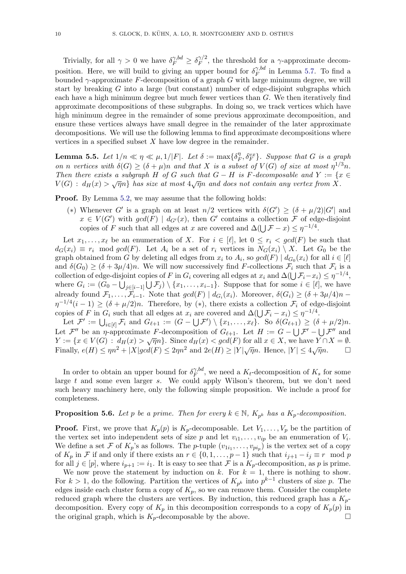Trivially, for all  $\gamma > 0$  we have  $\delta_F^{\gamma, bd} \geq \delta_F^{\gamma/2}$  $\int_F^{\gamma/2}$ , the threshold for a  $\gamma$ -approximate decomposition. Here, we will build to giving an upper bound for  $\delta_F^{\gamma, bd}$  $\tilde{F}^{3,0a}$  in Lemma [5.7.](#page-10-0) To find a bounded  $\gamma$ -approximate F-decomposition of a graph G with large minimum degree, we will start by breaking  $G$  into a large (but constant) number of edge-disjoint subgraphs which each have a high minimum degree but much fewer vertices than  $G$ . We then iteratively find approximate decompositions of these subgraphs. In doing so, we track vertices which have high minimum degree in the remainder of some previous approximate decomposition, and ensure these vertices always have small degree in the remainder of the later approximate decompositions. We will use the following lemma to find approximate decompositions where vertices in a specified subset  $X$  have low degree in the remainder.

<span id="page-9-1"></span>**Lemma 5.5.** Let  $1/n \ll \eta \ll \mu, 1/|F|$ . Let  $\delta := \max\{\delta_E^{\eta}$  $\{f^{\eta}_{F}, \delta_F^{vx}\}.$  Suppose that G is a graph on n vertices with  $\delta(G) \geq (\delta + \mu)n$  and that X is a subset of  $V(G)$  of size at most  $\eta^{1/3}n$ . Then there exists a subgraph H of G such that  $G - H$  is F-decomposable and  $Y := \{x \in$ Then there exists a savyiaph  $H$  of  $G$  such that  $G - H$  is  $T$ -accomposable and  $T := \{x \in V(G) : d_H(x) > \sqrt{\eta}n\}$  has size at most  $4\sqrt{\eta}n$  and does not contain any vertex from X.

Proof. By Lemma [5.2,](#page-7-2) we may assume that the following holds:

(\*) Whenever G' is a graph on at least  $n/2$  vertices with  $\delta(G') \geq (\delta + \mu/2)|G'|$  and  $x \in V(G')$  with  $gcd(F) | d_{G'}(x)$ , then G' contains a collection F of edge-disjoint copies of F such that all edges at x are covered and  $\Delta(\bigcup \mathcal{F} - x) \leq \eta^{-1/4}$ .

Let  $x_1, \ldots, x_\ell$  be an enumeration of X. For  $i \in [\ell]$ , let  $0 \leq r_i < \gcd(F)$  be such that  $d_G(x_i) \equiv r_i \mod gcd(F)$ . Let  $A_i$  be a set of  $r_i$  vertices in  $N_G(x_i) \setminus X$ . Let  $G_0$  be the graph obtained from G by deleting all edges from  $x_i$  to  $A_i$ , so  $gcd(F) | d_{G_0}(x_i)$  for all  $i \in [\ell]$ and  $\delta(G_0) \ge (\delta + 3\mu/4)n$ . We will now successively find F-collections  $\mathcal{F}_i$  such that  $\mathcal{F}_i$  is a collection of edge-disjoint copies of F in  $G_i$  covering all edges at  $x_i$  and  $\Delta(\bigcup \mathcal{F}_i - x_i) \leq \eta^{-1/4}$ , where  $G_i := (G_0 - \bigcup_{j \in [i-1]} \bigcup \mathcal{F}_j) \setminus \{x_1, \ldots, x_{i-1}\}.$  Suppose that for some  $i \in [\ell],$  we have already found  $\mathcal{F}_1,\ldots,\mathcal{F}_{i-1}$ . Note that  $gcd(F) | d_{G_i}(x_i)$ . Moreover,  $\delta(G_i) \geq (\delta + 3\mu/4)n$  $\eta^{-1/4}(i-1) \geq (\delta + \mu/2)n$ . Therefore, by (\*), there exists a collection  $\mathcal{F}_i$  of edge-disjoint copies of F in  $G_i$  such that all edges at  $x_i$  are covered and  $\Delta(\bigcup \mathcal{F}_i - x_i) \leq \eta^{-1/4}$ .

Let  $\mathcal{F}' := \bigcup_{i \in [\ell]} \mathcal{F}_i$  and  $G_{\ell+1} := (G - \bigcup \mathcal{F}') \setminus \{x_1, \ldots, x_\ell\}$ . So  $\delta(G_{\ell+1}) \geq (\delta + \mu/2)n$ . Let  $\mathcal{F}''$  be an  $\eta$ -approximate F-decomposition of  $G_{\ell+1}$ . Let  $H := G - \bigcup \mathcal{F}' - \bigcup \mathcal{F}''$  and  $Y := \{x \in V(G) : d_H(x) > \sqrt{\eta}n\}.$  Since  $d_H(x) < gcd(F)$  for all  $x \in X$ , we have  $Y \cap X = \emptyset$ . Finally,  $e(H) \le \eta n^2 + |X| \cdot g c d(F) \le 2\eta n^2$  and  $2e(H) \ge |Y| \sqrt{\eta} n$ . Hence,  $|Y| \le 4$  $\frac{1}{\sqrt{\eta}n}$ .  $\Box$ 

In order to obtain an upper bound for  $\delta_F^{\gamma, bd}$  $\hat{F}^{0,0}$ , we need a  $K_t$ -decomposition of  $K_s$  for some large  $t$  and some even larger  $s$ . We could apply Wilson's theorem, but we don't need such heavy machinery here, only the following simple proposition. We include a proof for completeness.

# <span id="page-9-0"></span>**Proposition 5.6.** Let p be a prime. Then for every  $k \in \mathbb{N}$ ,  $K_{p^k}$  has a  $K_p$ -decomposition.

**Proof.** First, we prove that  $K_p(p)$  is  $K_p$ -decomposable. Let  $V_1, \ldots, V_p$  be the partition of the vertex set into independent sets of size p and let  $v_{i1}, \ldots, v_{ip}$  be an enumeration of  $V_i$ . We define a set F of  $K_p$ 's as follows. The p-tuple  $(v_{1i_1},...,v_{pi_p})$  is the vertex set of a copy of  $K_p$  in F if and only if there exists an  $r \in \{0, 1, \ldots, p-1\}$  such that  $i_{j+1} - i_j \equiv r \mod p$ for all  $j \in [p]$ , where  $i_{p+1} := i_1$ . It is easy to see that F is a  $K_p$ -decomposition, as p is prime.

We now prove the statement by induction on k. For  $k = 1$ , there is nothing to show. For  $k > 1$ , do the following. Partition the vertices of  $K_{p^k}$  into  $p^{k-1}$  clusters of size p. The edges inside each cluster form a copy of  $K_p$ , so we can remove them. Consider the complete reduced graph where the clusters are vertices. By induction, this reduced graph has a  $K_p$ decomposition. Every copy of  $K_p$  in this decomposition corresponds to a copy of  $K_p(p)$  in the original graph, which is  $K_p$ -decomposable by the above.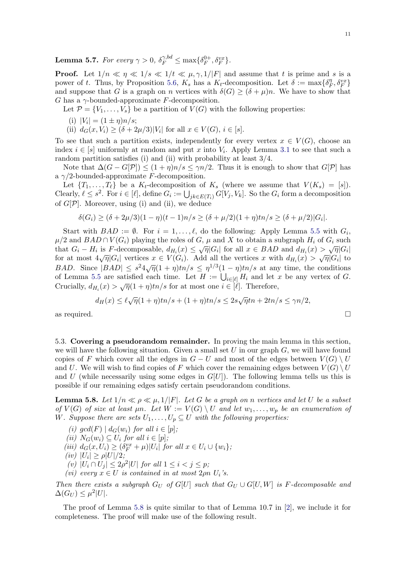<span id="page-10-0"></span>**Lemma 5.7.** For every  $\gamma > 0$ ,  $\delta_F^{\gamma, bd} \le \max\{\delta_F^{0+}$  $\delta_F^{0+}, \delta_F^{vx}\}.$ 

**Proof.** Let  $1/n \ll \eta \ll 1/s \ll 1/t \ll \mu, \gamma, 1/|F|$  and assume that t is prime and s is a power of t. Thus, by Proposition [5.6,](#page-9-0)  $K_s$  has a  $K_t$ -decomposition. Let  $\delta := \max\{\delta_I^{\eta}$  $\{\mathcal{F}^{\eta}_{F}, \mathcal{S}^{vx}_{F}\}$ and suppose that G is a graph on n vertices with  $\delta(G) \geq (\delta + \mu)n$ . We have to show that G has a  $\gamma$ -bounded-approximate F-decomposition.

Let  $\mathcal{P} = \{V_1, \ldots, V_s\}$  be a partition of  $V(G)$  with the following properties:

- (i)  $|V_i| = (1 \pm \eta)n/s;$
- (ii)  $d_G(x, V_i) \ge (\delta + 2\mu/3)|V_i|$  for all  $x \in V(G), i \in [s]$ .

To see that such a partition exists, independently for every vertex  $x \in V(G)$ , choose an index  $i \in [s]$  uniformly at random and put x into  $V_i$ . Apply Lemma [3.1](#page-6-1) to see that such a random partition satisfies (i) and (ii) with probability at least 3/4.

Note that  $\Delta(G - G[\mathcal{P}]) \leq (1 + \eta)n/s \leq \gamma n/2$ . Thus it is enough to show that  $G[\mathcal{P}]$  has a  $\gamma/2$ -bounded-approximate F-decomposition.

Let  $\{T_1, \ldots, T_\ell\}$  be a  $K_t$ -decomposition of  $K_s$  (where we assume that  $V(K_s) = [s]$ ). Clearly,  $\ell \leq s^2$ . For  $i \in [\ell]$ , define  $G_i := \bigcup_{jk \in E(T_i)} G[V_j, V_k]$ . So the  $G_i$  form a decomposition of  $G[\mathcal{P}]$ . Moreover, using (i) and (ii), we deduce

$$
\delta(G_i) \ge (\delta + 2\mu/3)(1 - \eta)(t - 1)n/s \ge (\delta + \mu/2)(1 + \eta)tn/s \ge (\delta + \mu/2)|G_i|.
$$

Start with  $BAD := \emptyset$ . For  $i = 1, ..., \ell$ , do the following: Apply Lemma [5.5](#page-9-1) with  $G_i$ ,  $\mu/2$  and  $BAD \cap V(G_i)$  playing the roles of G,  $\mu$  and X to obtain a subgraph  $H_i$  of  $G_i$  such  $\mu_1$  and *BAD* + Γ ( $\sigma_i$ ) playing the foles of *O*,  $\mu$  and *X* to obtain a subgraph  $H_i$  of *O*<sub>i</sub> such that  $G_i - H_i$  is *F*-decomposable,  $d_{H_i}(x) \leq \sqrt{\eta} |G_i|$  for all  $x \in BAD$  and  $d_{H_i}(x) > \sqrt{\eta} |G_i|$  to for at most BAD. Since  $|BAD| \leq s^2\sqrt{\eta}(1+\eta)tn/s \leq \eta^{1/3}(1-\eta)tn/s$  at any time, the conditions of Lemma [5.5](#page-9-1) are satisfied each time. Let  $H := \bigcup_{i \in [\ell]} H_i$  and let x be any vertex of G. Crucially,  $d_{H_i}(x) > \sqrt{\eta}(1 + \eta)tn/s$  for at most one  $i \in [\ell]$ . Therefore,

$$
d_H(x) \le \ell \sqrt{\eta} (1+\eta) \ln/s + (1+\eta) \ln/s \le 2s\sqrt{\eta} \ln + 2\ln/s \le \gamma n/2,
$$
 as required.

5.3. Covering a pseudorandom remainder. In proving the main lemma in this section, we will have the following situation. Given a small set  $U$  in our graph  $G$ , we will have found copies of F which cover all the edges in  $G-U$  and most of the edges between  $V(G) \setminus U$ and U. We will wish to find copies of F which cover the remaining edges between  $V(G) \setminus U$ and U (while necessarily using some edges in  $G[U]$ ). The following lemma tells us this is possible if our remaining edges satisfy certain pseudorandom conditions.

<span id="page-10-1"></span>**Lemma 5.8.** Let  $1/n \ll \rho \ll \mu$ ,  $1/|F|$ . Let G be a graph on n vertices and let U be a subset of  $V(G)$  of size at least  $\mu n$ . Let  $W := V(G) \setminus U$  and let  $w_1, \ldots, w_p$  be an enumeration of W. Suppose there are sets  $U_1, \ldots, U_p \subseteq U$  with the following properties:

- <span id="page-10-7"></span>(i)  $gcd(F) | d_G(w_i)$  for all  $i \in [p]$ ;
- <span id="page-10-2"></span>(ii)  $N_G(w_i) \subseteq U_i$  for all  $i \in [p]$ ;
- <span id="page-10-4"></span>(iii)  $d_G(x, U_i) \geq (\delta_F^{vx} + \mu)|U_i|$  for all  $x \in U_i \cup \{w_i\};$
- <span id="page-10-5"></span>(*iv*)  $|U_i| \ge \rho |U|/2;$
- <span id="page-10-6"></span>(v)  $|U_i \cap U_j| \leq 2\rho^2 |U|$  for all  $1 \leq i < j \leq p$ ;
- <span id="page-10-3"></span>(vi) every  $x \in U$  is contained in at most  $2\rho n$   $U_i$ 's.

Then there exists a subgraph  $G_U$  of  $G[U]$  such that  $G_U \cup G[U, W]$  is F-decomposable and  $\Delta(G_U) \leq \mu^2 |U|.$ 

The proof of Lemma [5.8](#page-10-1) is quite similar to that of Lemma 10.7 in  $[2]$ , we include it for completeness. The proof will make use of the following result.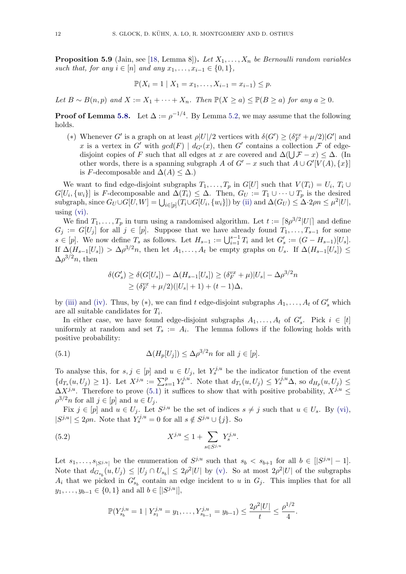<span id="page-11-2"></span>**Proposition 5.9** (Jain, see [\[18,](#page-57-21) Lemma 8]). Let  $X_1, \ldots, X_n$  be Bernoulli random variables such that, for any  $i \in [n]$  and any  $x_1, \ldots, x_{i-1} \in \{0, 1\}$ ,

$$
\mathbb{P}(X_i = 1 \mid X_1 = x_1, \dots, X_{i-1} = x_{i-1}) \le p.
$$

Let  $B \sim B(n, p)$  and  $X := X_1 + \cdots + X_n$ . Then  $\mathbb{P}(X \ge a) \le \mathbb{P}(B \ge a)$  for any  $a \ge 0$ .

**Proof of Lemma [5.8.](#page-10-1)** Let  $\Delta := \rho^{-1/4}$ . By Lemma [5.2,](#page-7-2) we may assume that the following holds.

(\*) Whenever G' is a graph on at least  $\rho|U|/2$  vertices with  $\delta(G') \ge (\delta_F^{vx} + \mu/2)|G'|$  and x is a vertex in G' with  $gcd(F) | d_{G'}(x)$ , then G' contains a collection F of edgedisjoint copies of F such that all edges at x are covered and  $\Delta(\bigcup \mathcal{F} - x) \leq \Delta$ . (In other words, there is a spanning subgraph A of  $G' - x$  such that  $A \cup G'[V(A), \{x\}]$ is F-decomposable and  $\Delta(A) \leq \Delta$ .)

We want to find edge-disjoint subgraphs  $T_1, \ldots, T_p$  in  $G[U]$  such that  $V(T_i) = U_i, T_i \cup$  $G[U_i, \{w_i\}]$  is F-decomposable and  $\Delta(T_i) \leq \Delta$ . Then,  $G_U := T_1 \cup \cdots \cup T_p$  is the desired subgraph, since  $G_U \cup G[U, W] = \bigcup_{i \in [p]} (T_i \cup G[U_i, \{w_i\}])$  by [\(ii\)](#page-10-2) and  $\Delta(G_U) \leq \Delta \cdot 2\rho n \leq \mu^2 |U|$ , using [\(vi\).](#page-10-3)

We find  $T_1, \ldots, T_p$  in turn using a randomised algorithm. Let  $t := \lceil 8\rho^{3/2} |U| \rceil$  and define  $G_j := G[U_j]$  for all  $j \in [p]$ . Suppose that we have already found  $T_1, \ldots, T_{s-1}$  for some  $s \in [p]$ . We now define  $T_s$  as follows. Let  $H_{s-1} := \bigcup_{i=1}^{s-1} T_i$  and let  $G'_s := (G - H_{s-1})[U_s]$ . If  $\Delta(H_{s-1}[U_s]) > \Delta \rho^{3/2} n$ , then let  $A_1, \ldots, A_t$  be empty graphs on  $U_s$ . If  $\Delta(H_{s-1}[U_s]) \le$  $\Delta \rho^{3/2} n$ , then

$$
\delta(G'_s) \ge \delta(G[U_s]) - \Delta(H_{s-1}[U_s]) \ge (\delta_F^{vx} + \mu)|U_s| - \Delta \rho^{3/2}n
$$
  
\n
$$
\ge (\delta_F^{vx} + \mu/2)(|U_s| + 1) + (t - 1)\Delta,
$$

by [\(iii\)](#page-10-4) and [\(iv\).](#page-10-5) Thus, by (\*), we can find t edge-disjoint subgraphs  $A_1, \ldots, A_t$  of  $G'_s$  which are all suitable candidates for  $T_i$ .

In either case, we have found edge-disjoint subgraphs  $A_1, \ldots, A_t$  of  $G'_s$ . Pick  $i \in [t]$ uniformly at random and set  $T_s := A_i$ . The lemma follows if the following holds with positive probability:

<span id="page-11-0"></span>(5.1) 
$$
\Delta(H_p[U_j]) \leq \Delta \rho^{3/2} n \text{ for all } j \in [p].
$$

To analyse this, for  $s, j \in [p]$  and  $u \in U_j$ , let  $Y_s^{j,u}$  be the indicator function of the event  ${d_{T_s}(u, U_j) \geq 1}$ . Let  $X^{j,u} := \sum_{s=1}^p Y_s^{j,u}$ . Note that  $d_{T_s}(u, U_j) \leq Y_s^{j,u} \Delta$ , so  $d_{H_p}(u, U_j) \leq$  $\Delta X^{j,u}$ . Therefore to prove [\(5.1\)](#page-11-0) it suffices to show that with positive probability,  $X^{j,u} \leq$  $\rho^{3/2} n$  for all  $j \in [p]$  and  $u \in U_j$ .

Fix  $j \in [p]$  and  $u \in U_j$ . Let  $S^{j,u}$  be the set of indices  $s \neq j$  such that  $u \in U_s$ . By [\(vi\),](#page-10-3)  $|S^{j,u}| \leq 2\rho n$ . Note that  $Y_s^{j,u} = 0$  for all  $s \notin S^{j,u} \cup \{j\}$ . So

<span id="page-11-1"></span>(5.2) 
$$
X^{j,u} \leq 1 + \sum_{s \in S^{j,u}} Y_s^{j,u}.
$$

Let  $s_1, \ldots, s_{|S^{j,u}|}$  be the enumeration of  $S^{j,u}$  such that  $s_b < s_{b+1}$  for all  $b \in [|S^{j,u}|-1]$ . Note that  $d_{G_{s_b}}(u, U_j) \leq |U_j \cap U_{s_b}| \leq 2\rho^2 |U|$  by [\(v\).](#page-10-6) So at most  $2\rho^2 |U|$  of the subgraphs  $A_i$  that we picked in  $G'_{s_b}$  contain an edge incident to u in  $G_j$ . This implies that for all  $y_1, \ldots, y_{b-1} \in \{0, 1\}$  and all  $b \in [|S^{j,u}|],$ 

$$
\mathbb{P}(Y_{s_b}^{j,u}=1 | Y_{s_1}^{j,u}=y_1,\ldots,Y_{s_{b-1}}^{j,u}=y_{b-1}) \leq \frac{2\rho^2|U|}{t} \leq \frac{\rho^{1/2}}{4}.
$$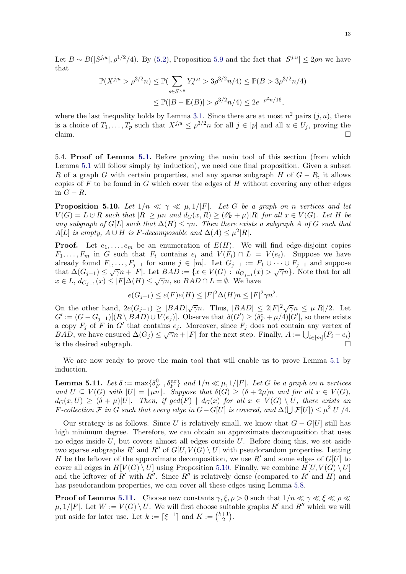Let  $B \sim B(|S^{j,u}|, \rho^{1/2}/4)$ . By [\(5.2\)](#page-11-1), Proposition [5.9](#page-11-2) and the fact that  $|S^{j,u}| \leq 2\rho n$  we have that

$$
\mathbb{P}(X^{j,u} > \rho^{3/2}n) \le \mathbb{P}(\sum_{s \in S^{j,u}} Y_s^{j,u} > 3\rho^{3/2}n/4) \le \mathbb{P}(B > 3\rho^{3/2}n/4)
$$
  

$$
\le \mathbb{P}(|B - \mathbb{E}(B)| > \rho^{3/2}n/4) \le 2e^{-\rho^2 n/16},
$$

where the last inequality holds by Lemma [3.1.](#page-6-1) Since there are at most  $n^2$  pairs  $(j, u)$ , there is a choice of  $T_1, \ldots, T_p$  such that  $X^{j,u} \leq \rho^{3/2} n$  for all  $j \in [p]$  and all  $u \in U_j$ , proving the  $\Box$ claim.

5.4. Proof of Lemma [5.1.](#page-7-1) Before proving the main tool of this section (from which Lemma [5.1](#page-7-1) will follow simply by induction), we need one final proposition. Given a subset R of a graph G with certain properties, and any sparse subgraph H of  $G - R$ , it allows copies of  $F$  to be found in  $G$  which cover the edges of  $H$  without covering any other edges in  $G - R$ .

<span id="page-12-0"></span>**Proposition 5.10.** Let  $1/n \ll \gamma \ll \mu$ ,  $1/|F|$ . Let G be a graph on n vertices and let  $V(G) = L \cup R$  such that  $|R| \geq \mu n$  and  $d_G(x, R) \geq (\delta_F^e + \mu)|R|$  for all  $x \in V(G)$ . Let H be any subgraph of G[L] such that  $\Delta(H) \leq \gamma n$ . Then there exists a subgraph A of G such that  $A[L]$  is empty,  $A \cup H$  is F-decomposable and  $\Delta(A) \leq \mu^2 |R|$ .

**Proof.** Let  $e_1, \ldots, e_m$  be an enumeration of  $E(H)$ . We will find edge-disjoint copies  $F_1, \ldots, F_m$  in G such that  $F_i$  contains  $e_i$  and  $V(F_i) \cap L = V(e_i)$ . Suppose we have already found  $F_1, \ldots, F_{j-1}$  for some  $j \in [m]$ . Let  $G_{j-1} := F_1 \cup \cdots \cup F_{j-1}$  and suppose that  $\Delta(G_{j-1}) \leq \sqrt{\gamma}n + |F|$ . Let  $BAD := \{x \in V(G) : d_{G_{j-1}}(x) > \sqrt{\gamma}n\}$ . Note that for all that  $\Delta(G_{j-1}) \leq \sqrt{n+1}$ . Let  $B_{1}D := \{x \in V(G) : id_{G_{j-1}}(x) \leq x \in L, d_{G_{j-1}}(x) \leq |F|\Delta(H) \leq \sqrt{\gamma}n$ , so  $BAD \cap L = \emptyset$ . We have

$$
e(G_{j-1}) \le e(F)e(H) \le |F|^2 \Delta(H)n \le |F|^2 \gamma n^2.
$$

On the other hand,  $2e(G_{j-1}) \geq |BAD|\sqrt{\gamma}n$ . Thus,  $|BAD| \leq 2|F|^2\sqrt{\gamma}n \leq \mu |R|/2$ . Let  $G' := (G - G_{j-1})[(R \setminus BAD) \cup V(e_j)].$  Observe that  $\delta(G') \ge (\delta_F^e + \mu/4)|G'|$ , so there exists a copy  $F_j$  of F in G' that contains  $e_j$ . Moreover, since  $F_j$  does not contain any vertex of  $BAD$ , we have ensured  $\Delta(G_j) \leq \sqrt{\gamma}n + |F|$  for the next step. Finally,  $A := \bigcup_{i \in [m]} (F_i - e_i)$ is the desired subgraph.

We are now ready to prove the main tool that will enable us to prove Lemma [5.1](#page-7-1) by induction.

<span id="page-12-1"></span>Lemma 5.11. Let  $\delta:=\max\{\delta_F^{0+1}\}$  $\{F^{0+}, \delta_F^{vx}\}$  and  $1/n \ll \mu, 1/|F|$ . Let G be a graph on n vertices and  $U \subseteq V(G)$  with  $|U| = \lfloor \mu n \rfloor$ . Suppose that  $\delta(G) \geq (\delta + 2\mu)n$  and for all  $x \in V(G)$ ,  $d_G(x,U) \geq (\delta + \mu)|U|$ . Then, if  $gcd(F) | d_G(x)$  for all  $x \in V(G) \setminus U$ , there exists an F-collection F in G such that every edge in  $G - G[U]$  is covered, and  $\Delta(\bigcup \mathcal{F}[U]) \leq \mu^2 |U|/4$ .

Our strategy is as follows. Since U is relatively small, we know that  $G - G[U]$  still has high minimum degree. Therefore, we can obtain an approximate decomposition that uses no edges inside  $U$ , but covers almost all edges outside  $U$ . Before doing this, we set aside two sparse subgraphs R' and R'' of  $G[U, V(G) \setminus U]$  with pseudorandom properties. Letting H be the leftover of the approximate decomposition, we use R' and some edges of  $G[U]$  to cover all edges in  $H[V(G) \setminus U]$  using Proposition [5.10.](#page-12-0) Finally, we combine  $H[U, V(G) \setminus U]$ and the leftover of R' with R''. Since R'' is relatively dense (compared to R' and H) and has pseudorandom properties, we can cover all these edges using Lemma [5.8.](#page-10-1)

**Proof of Lemma [5.11.](#page-12-1)** Choose new constants  $\gamma, \xi, \rho > 0$  such that  $1/n \ll \gamma \ll \xi \ll \rho \ll$  $\mu$ ,  $1/|F|$ . Let  $W := V(G) \setminus U$ . We will first choose suitable graphs R' and R'' which we will put aside for later use. Let  $k := \lceil \xi^{-1} \rceil$  and  $K := \binom{k+1}{2}$  $_{2}^{+1}).$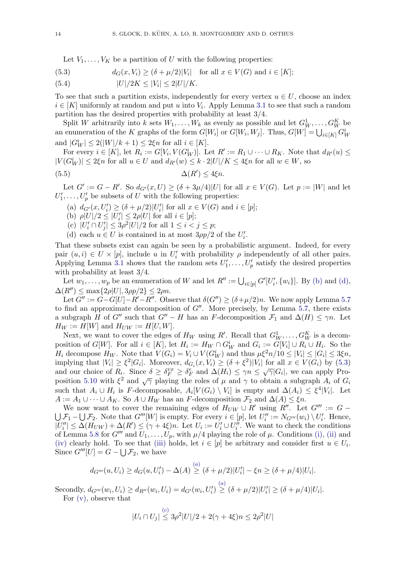Let  $V_1, \ldots, V_K$  be a partition of U with the following properties:

<span id="page-13-2"></span>(5.3) 
$$
d_G(x, V_i) \ge (\delta + \mu/2)|V_i| \text{ for all } x \in V(G) \text{ and } i \in [K];
$$

(5.4) 
$$
|U|/2K \le |V_i| \le 2|U|/K.
$$

To see that such a partition exists, independently for every vertex  $u \in U$ , choose an index  $i \in [K]$  uniformly at random and put u into  $V_i$ . Apply Lemma [3.1](#page-6-1) to see that such a random partition has the desired properties with probability at least 3/4.

Split W arbitrarily into k sets  $W_1, \ldots, W_k$  as evenly as possible and let  $G_W^1, \ldots, G_W^K$  be an enumeration of the K graphs of the form  $G[W_i]$  or  $G[W_i, W_j]$ . Thus,  $G[W] = \bigcup_{i \in [K]} G_W^i$ and  $|G_W^i| \leq 2(|W|/k+1) \leq 2\xi n$  for all  $i \in [K]$ .

For every  $i \in [K]$ , let  $R_i := G[V_i, V(G_W^i)]$ . Let  $R' := R_1 \cup \cdots \cup R_K$ . Note that  $d_{R'}(u) \le$  $|V(G_W^i)| \leq 2\xi n$  for all  $u \in U$  and  $d_{R'}(w) \leq k \cdot 2|U|/K \leq 4\xi n$  for all  $w \in W$ , so

$$
\Delta(R') \le 4\xi n.
$$

Let  $G' := G - R'$ . So  $d_{G'}(x, U) \ge (\delta + 3\mu/4)|U|$  for all  $x \in V(G)$ . Let  $p := |W|$  and let  $U'_1, \ldots, U'_p$  be subsets of U with the following properties:

- <span id="page-13-3"></span>(a)  $d_{G'}(x, U'_i) \geq (\delta + \mu/2)|U'_i|$  for all  $x \in V(G)$  and  $i \in [p]$ ;
- <span id="page-13-0"></span>(b)  $\rho|U|/2 \leq |U_i'| \leq 2\rho|U|$  for all  $i \in [p]$ ;

<span id="page-13-4"></span>(c)  $|U'_i \cap U'_j| \leq 3\rho^2 |U|/2$  for all  $1 \leq i < j \leq p$ ;

<span id="page-13-1"></span>(d) each  $u \in U$  is contained in at most  $3\rho p/2$  of the  $U_i'$ .

That these subsets exist can again be seen by a probabilistic argument. Indeed, for every pair  $(u, i) \in U \times [p]$ , include u in  $U'_i$  with probability  $\rho$  independently of all other pairs. Applying Lemma [3.1](#page-6-1) shows that the random sets  $U'_1, \ldots, U'_p$  satisfy the desired properties with probability at least 3/4.

Let  $w_1, \ldots, w_p$  be an enumeration of W and let  $R'' := \bigcup_{i \in [p]} G'[U'_i, \{w_i\}]$ . By [\(b\)](#page-13-0) and [\(d\),](#page-13-1)  $\Delta(R'') \leq \max\{2\rho|U|, 3\rho p/2\} \leq 2\rho n.$ 

Let  $G'' := G - G[U] - R' - R''$ . Observe that  $\delta(G'') \geq (\delta + \mu/2)n$ . We now apply Lemma [5.7](#page-10-0) to find an approximate decomposition of  $G''$ . More precisely, by Lemma [5.7,](#page-10-0) there exists a subgraph H of G'' such that  $G'' - H$  has an F-decomposition  $\mathcal{F}_1$  and  $\Delta(H) \leq \gamma n$ . Let  $H_W := H[W]$  and  $H_{UW} := H[U, W]$ .

Next, we want to cover the edges of  $H_W$  using R'. Recall that  $G_W^1, \ldots, G_W^K$  is a decomposition of  $G[W]$ . For all  $i \in [K]$ , let  $H_i := H_W \cap G_W^i$  and  $G_i := G[V_i] \cup R_i \cup H_i$ . So the  $H_i$  decompose  $H_W$ . Note that  $V(G_i) = V_i \cup V(G_W^i)$  and thus  $\mu \xi^2 n/10 \leq |V_i| \leq |G_i| \leq 3\xi n$ , implying that  $|V_i| \geq \xi^2 |G_i|$ . Moreover,  $d_{G_i}(x, V_i) \geq (\delta + \xi^2)|V_i|$  for all  $x \in V(G_i)$  by [\(5.3\)](#page-13-2) and our choice of  $R_i$ . Since  $\delta \geq \delta_F^{vx} \geq \delta_F^e$  and  $\Delta(H_i) \leq \gamma n \leq \sqrt{\gamma}|G_i|$ , we can apply Pro-position [5.10](#page-12-0) with  $\xi^2$  and  $\sqrt{\gamma}$  playing the roles of  $\mu$  and  $\gamma$  to obtain a subgraph  $A_i$  of  $G_i$ such that  $A_i \cup H_i$  is F-decomposable,  $A_i[V(G_i) \setminus V_i]$  is empty and  $\Delta(A_i) \leq \xi^4|V_i|$ . Let  $A := A_1 \cup \cdots \cup A_K$ . So  $A \cup H_W$  has an F-decomposition  $\mathcal{F}_2$  and  $\Delta(A) \leq \xi n$ .

We now want to cover the remaining edges of  $H_{UW} \cup R'$  using  $R''$ . Let  $G''' := G \bigcup \mathcal{F}_1 - \bigcup \mathcal{F}_2$ . Note that  $G'''[W]$  is empty. For every  $i \in [p]$ , let  $U''_i := N_{G'''}(w_i) \setminus U'_i$ . Hence,  $|U''_i| \leq \Delta(H_{UW}) + \Delta(R') \leq (\gamma + 4\xi)n$ . Let  $U_i := U'_i \cup U''_i$ . We want to check the conditions of Lemma [5.8](#page-10-1) for  $G'''$  and  $U_1, \ldots, U_p$ , with  $\mu/4$  playing the role of  $\mu$ . Conditions [\(i\),](#page-10-7) [\(ii\)](#page-10-2) and [\(iv\)](#page-10-5) clearly hold. To see that [\(iii\)](#page-10-4) holds, let  $i \in [p]$  be arbitrary and consider first  $u \in U_i$ . Since  $G'''[U] = G - \bigcup \mathcal{F}_2$ , we have

$$
d_{G'''}(u, U_i) \ge d_G(u, U'_i) - \Delta(A) \stackrel{(a)}{\ge} (\delta + \mu/2)|U'_i| - \xi n \ge (\delta + \mu/4)|U_i|.
$$

Secondly,  $d_{G'''}(w_i, U_i) \ge d_{R''}(w_i, U_i) = d_{G'}(w_i, U_i') \overset{(a)}{\ge} (\delta + \mu/2)|U_i'| \ge (\delta + \mu/4)|U_i|.$  $d_{G'''}(w_i, U_i) \ge d_{R''}(w_i, U_i) = d_{G'}(w_i, U_i') \overset{(a)}{\ge} (\delta + \mu/2)|U_i'| \ge (\delta + \mu/4)|U_i|.$  $d_{G'''}(w_i, U_i) \ge d_{R''}(w_i, U_i) = d_{G'}(w_i, U_i') \overset{(a)}{\ge} (\delta + \mu/2)|U_i'| \ge (\delta + \mu/4)|U_i|.$ For [\(v\),](#page-10-6) observe that

$$
|U_i \cap U_j| \stackrel{(c)}{\leq} 3\rho^2 |U|/2 + 2(\gamma + 4\xi)n \leq 2\rho^2 |U|
$$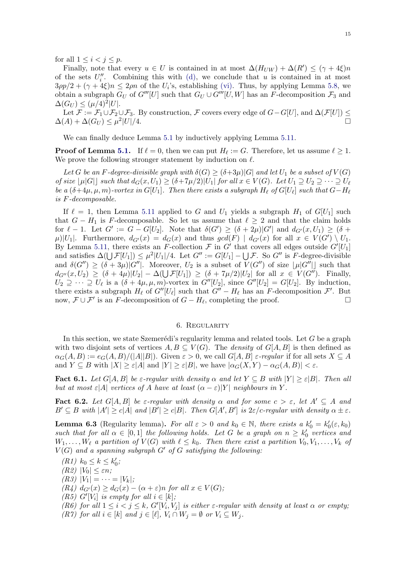for all  $1 \leq i < j \leq p$ .

Finally, note that every  $u \in U$  is contained in at most  $\Delta(H_{UW}) + \Delta(R') \leq (\gamma + 4\xi)n$ of the sets  $U''_i$ . Combining this with [\(d\),](#page-13-1) we conclude that u is contained in at most  $3\rho p/2 + (\gamma + 4\xi)n \leq 2\rho n$  of the  $U_i$ 's, establishing [\(vi\).](#page-10-3) Thus, by applying Lemma [5.8,](#page-10-1) we obtain a subgraph  $G_U$  of  $G'''[U]$  such that  $G_U \cup G'''[U, W]$  has an F-decomposition  $\mathcal{F}_3$  and  $\Delta(G_U) \leq (\mu/4)^2 |U|.$ 

Let  $\mathcal{F} := \mathcal{F}_1 \cup \mathcal{F}_2 \cup \mathcal{F}_3$ . By construction,  $\mathcal{F}$  covers every edge of  $G-G[U]$ , and  $\Delta(\mathcal{F}[U]) \leq$  $\Delta(A) + \Delta(G_U) \leq \mu^2$  $|U|/4.$ 

We can finally deduce Lemma [5.1](#page-7-1) by inductively applying Lemma [5.11.](#page-12-1)

**Proof of Lemma [5.1.](#page-7-1)** If  $\ell = 0$ , then we can put  $H_{\ell} := G$ . Therefore, let us assume  $\ell \geq 1$ . We prove the following stronger statement by induction on  $\ell$ .

Let G be an F-degree-divisible graph with  $\delta(G) \geq (\delta+3\mu)|G|$  and let  $U_1$  be a subset of  $V(G)$ of size  $\lfloor \mu |G| \rfloor$  such that  $d_G(x, U_1) \geq (\delta + 7\mu/2)|U_1|$  for all  $x \in V(G)$ . Let  $U_1 \supseteq U_2 \supseteq \cdots \supseteq U_\ell$ be a  $(\delta+4\mu,\mu,m)$ -vortex in  $G[U_1]$ . Then there exists a subgraph  $H_\ell$  of  $G[U_\ell]$  such that  $G-H_\ell$ is F-decomposable.

If  $\ell = 1$ , then Lemma [5.11](#page-12-1) applied to G and  $U_1$  yields a subgraph  $H_1$  of  $G[U_1]$  such that  $G - H_1$  is F-decomposable. So let us assume that  $\ell \geq 2$  and that the claim holds for  $\ell - 1$ . Let  $G' := G - G[U_2]$ . Note that  $\delta(G') \geq (\delta + 2\mu)|G'|$  and  $d_{G'}(x, U_1) \geq (\delta + 2\mu)$  $\mu$ |U<sub>1</sub>|. Furthermore,  $d_{G'}(x) = d_G(x)$  and thus  $gcd(F) | d_{G'}(x)$  for all  $x \in V(G') \setminus U_1$ . By Lemma [5.11,](#page-12-1) there exists an F-collection  $\mathcal F$  in  $G'$  that covers all edges outside  $G'[U_1]$ and satisfies  $\Delta(\bigcup \mathcal{F}[U_1]) \leq \mu^2 |U_1|/4$ . Let  $G'' := G[U_1] - \bigcup \mathcal{F}$ . So  $G''$  is F-degree-divisible and  $\delta(G'') \geq (\delta + 3\mu)|G''|$ . Moreover,  $U_2$  is a subset of  $V(G'')$  of size  $|\mu|G''|$  such that  $d_{G''}(x, U_2) \geq (\delta + 4\mu)|U_2| - \Delta(\bigcup \mathcal{F}[U_1]) \geq (\delta + 7\mu/2)|U_2| \text{ for all } x \in V(G'').$  Finally,  $U_2 \supseteq \cdots \supseteq U_\ell$  is a  $(\delta + 4\mu, \mu, m)$ -vortex in  $G''[U_2]$ , since  $G''[U_2] = G[U_2]$ . By induction, there exists a subgraph  $H_\ell$  of  $G''[U_\ell]$  such that  $G'' - H_\ell$  has an F-decomposition  $\mathcal{F}'$ . But now,  $\mathcal{F} \cup \mathcal{F}'$  is an F-decomposition of  $G - H_{\ell}$ , completing the proof. □

## 6. Regularity

<span id="page-14-0"></span>In this section, we state Szemerédi's regularity lemma and related tools. Let  $G$  be a graph with two disjoint sets of vertices  $A, B \subseteq V(G)$ . The *density* of  $G[A, B]$  is then defined as  $\alpha_G(A, B) := \frac{e_G(A, B)}{A||B||}$ . Given  $\varepsilon > 0$ , we call  $G[A, B] \varepsilon$ -regular if for all sets  $X \subseteq A$ and  $Y \subseteq B$  with  $|X| \geq \varepsilon |A|$  and  $|Y| \geq \varepsilon |B|$ , we have  $|\alpha_G(X, Y) - \alpha_G(A, B)| < \varepsilon$ .

<span id="page-14-3"></span>**Fact 6.1.** Let  $G[A, B]$  be  $\varepsilon$ -regular with density  $\alpha$  and let  $Y \subseteq B$  with  $|Y| \geq \varepsilon |B|$ . Then all but at most  $\varepsilon$ |A| vertices of A have at least  $(\alpha - \varepsilon)|Y|$  neighbours in Y.

<span id="page-14-2"></span>**Fact 6.2.** Let  $G[A, B]$  be  $\varepsilon$ -regular with density  $\alpha$  and for some  $c > \varepsilon$ , let  $A' \subseteq A$  and  $B' \subseteq B$  with  $|A'| \ge c|A|$  and  $|B'| \ge c|B|$ . Then  $G[A', B']$  is  $2\varepsilon/c$ -regular with density  $\alpha \pm \varepsilon$ .

<span id="page-14-1"></span>**Lemma 6.3** (Regularity lemma). For all  $\varepsilon > 0$  and  $k_0 \in \mathbb{N}$ , there exists a  $k'_0 = k'_0(\varepsilon, k_0)$ such that for all  $\alpha \in [0,1]$  the following holds. Let G be a graph on  $n \geq k'_0$  vertices and  $W_1, \ldots, W_\ell$  a partition of  $V(G)$  with  $\ell \leq k_0$ . Then there exist a partition  $V_0, V_1, \ldots, V_k$  of  $V(G)$  and a spanning subgraph  $G'$  of G satisfying the following:

(R1)  $k_0 \le k \le k'_0$ ;

(R2)  $|V_0| \leq \varepsilon n;$ 

 $(R3) |V_1| = \cdots = |V_k|;$ 

 $(R_4) d_{G'}(x) \geq d_G(x) - (\alpha + \varepsilon)n$  for all  $x \in V(G)$ ;

(R5)  $G'[V_i]$  is empty for all  $i \in [k]$ ;

(R6) for all  $1 \leq i < j \leq k$ ,  $G'[V_i, V_j]$  is either  $\varepsilon$ -regular with density at least  $\alpha$  or empty; (R7) for all  $i \in [k]$  and  $j \in [\ell], V_i \cap W_j = \emptyset$  or  $V_i \subseteq W_j$ .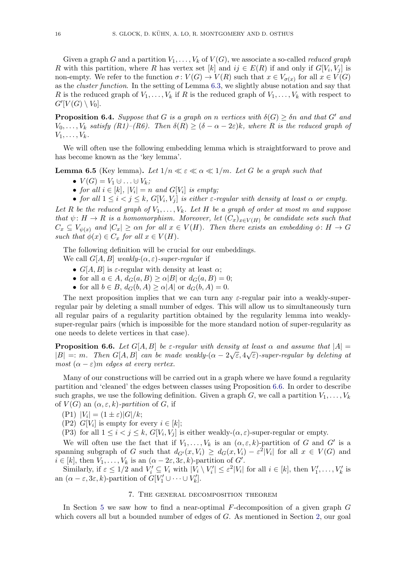Given a graph G and a partition  $V_1, \ldots, V_k$  of  $V(G)$ , we associate a so-called *reduced graph* R with this partition, where R has vertex set [k] and  $ij \in E(R)$  if and only if  $G[V_i, V_j]$  is non-empty. We refer to the function  $\sigma: V(G) \to V(R)$  such that  $x \in V_{\sigma(x)}$  for all  $x \in V(G)$ as the cluster function. In the setting of Lemma [6.3,](#page-14-1) we slightly abuse notation and say that R is the reduced graph of  $V_1, \ldots, V_k$  if R is the reduced graph of  $V_1, \ldots, V_k$  with respect to  $G'[V(G) \setminus V_0].$ 

<span id="page-15-3"></span>**Proposition 6.4.** Suppose that G is a graph on n vertices with  $\delta(G) \geq \delta n$  and that G' and  $V_0, \ldots, V_k$  satisfy  $(R1)$ – $(R6)$ . Then  $\delta(R) \geq (\delta - \alpha - 2\varepsilon)k$ , where R is the reduced graph of  $V_1, \ldots, V_k$ .

We will often use the following embedding lemma which is straightforward to prove and has become known as the 'key lemma'.

<span id="page-15-2"></span>**Lemma 6.5** (Key lemma). Let  $1/n \ll \varepsilon \ll \alpha \ll 1/m$ . Let G be a graph such that

- $V(G) = V_1 \cup \ldots \cup V_k;$
- for all  $i \in [k]$ ,  $|V_i| = n$  and  $G[V_i]$  is empty;
- for all  $1 \leq i < j \leq k$ ,  $G[V_i, V_j]$  is either  $\varepsilon$ -regular with density at least  $\alpha$  or empty.

Let R be the reduced graph of  $V_1, \ldots, V_k$ . Let H be a graph of order at most m and suppose that  $\psi: H \to R$  is a homomorphism. Moreover, let  $(C_x)_{x \in V(H)}$  be candidate sets such that  $C_x \subseteq V_{\psi(x)}$  and  $|C_x| \geq \alpha n$  for all  $x \in V(H)$ . Then there exists an embedding  $\phi \colon H \to G$ such that  $\phi(x) \in C_x$  for all  $x \in V(H)$ .

The following definition will be crucial for our embeddings.

- We call  $G[A, B]$  weakly- $(\alpha, \varepsilon)$ -super-regular if
	- $G[A, B]$  is  $\varepsilon$ -regular with density at least  $\alpha$ ;
	- for all  $a \in A$ ,  $d_G(a, B) \ge \alpha |B|$  or  $d_G(a, B) = 0$ ;
	- for all  $b \in B$ ,  $d_G(b, A) \ge \alpha |A|$  or  $d_G(b, A) = 0$ .

The next proposition implies that we can turn any  $\varepsilon$ -regular pair into a weakly-superregular pair by deleting a small number of edges. This will allow us to simultaneously turn all regular pairs of a regularity partition obtained by the regularity lemma into weaklysuper-regular pairs (which is impossible for the more standard notion of super-regularity as one needs to delete vertices in that case).

<span id="page-15-1"></span>**Proposition 6.6.** Let  $G[A, B]$  be  $\varepsilon$ -regular with density at least  $\alpha$  and assume that  $|A| =$  $|B| =: m$ . Then  $G[A, B]$  can be made weakly- $(\alpha - 2\sqrt{\varepsilon}, 4\sqrt{\varepsilon})$ -super-regular by deleting at most  $(\alpha - \varepsilon)m$  edges at every vertex.

Many of our constructions will be carried out in a graph where we have found a regularity partition and 'cleaned' the edges between classes using Proposition [6.6.](#page-15-1) In order to describe such graphs, we use the following definition. Given a graph G, we call a partition  $V_1, \ldots, V_k$ of  $V(G)$  an  $(\alpha, \varepsilon, k)$ -partition of G, if

- $(P1) |V_i| = (1 \pm \varepsilon)|G|/k;$
- (P2)  $G[V_i]$  is empty for every  $i \in [k]$ ;

(P3) for all  $1 \leq i < j \leq k$ ,  $G[V_i, V_j]$  is either weakly- $(\alpha, \varepsilon)$ -super-regular or empty.

We will often use the fact that if  $V_1, \ldots, V_k$  is an  $(\alpha, \varepsilon, k)$ -partition of G and G' is a spanning subgraph of G such that  $d_{G'}(x, V_i) \geq d_G(x, V_i) - \varepsilon^2 |V_i|$  for all  $x \in V(G)$  and  $i \in [k]$ , then  $V_1, \ldots, V_k$  is an  $(\alpha - 2\varepsilon, 3\varepsilon, k)$ -partition of  $G'$ .

Similarly, if  $\varepsilon \leq 1/2$  and  $V'_i \subseteq V_i$  with  $|V_i \setminus V'_i| \leq \varepsilon^2 |V_i|$  for all  $i \in [k]$ , then  $V'_1, \ldots, V'_k$  is an  $(\alpha - \varepsilon, 3\varepsilon, k)$ -partition of  $G[V'_1 \cup \cdots \cup V'_k]$ .

# 7. The general decomposition theorem

<span id="page-15-0"></span>In Section [5](#page-7-0) we saw how to find a near-optimal  $F$ -decomposition of a given graph  $G$ which covers all but a bounded number of edges of G. As mentioned in Section [2,](#page-3-2) our goal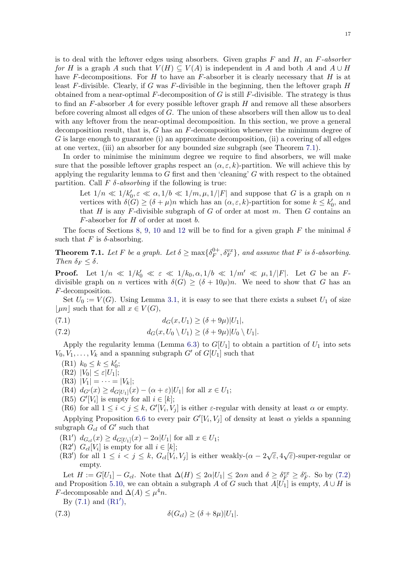is to deal with the leftover edges using absorbers. Given graphs  $F$  and  $H$ , an  $F\text{-}absorber$ for H is a graph A such that  $V(H) \subseteq V(A)$  is independent in A and both A and  $A \cup H$ have F-decompositions. For H to have an F-absorber it is clearly necessary that H is at least F-divisible. Clearly, if G was F-divisible in the beginning, then the leftover graph  $H$ obtained from a near-optimal  $F$ -decomposition of G is still  $F$ -divisible. The strategy is thus to find an  $F$ -absorber A for every possible leftover graph  $H$  and remove all these absorbers before covering almost all edges of G. The union of these absorbers will then allow us to deal with any leftover from the near-optimal decomposition. In this section, we prove a general decomposition result, that is, G has an F-decomposition whenever the minimum degree of G is large enough to guarantee (i) an approximate decomposition, (ii) a covering of all edges at one vertex, (iii) an absorber for any bounded size subgraph (see Theorem [7.1\)](#page-16-0).

In order to minimise the minimum degree we require to find absorbers, we will make sure that the possible leftover graphs respect an  $(\alpha, \varepsilon, k)$ -partition. We will achieve this by applying the regularity lemma to G first and then 'cleaning' G with respect to the obtained partition. Call  $F \, \delta$ -absorbing if the following is true:

Let  $1/n \ll 1/k_0', \varepsilon \ll \alpha, 1/b \ll 1/m, \mu, 1/|F|$  and suppose that G is a graph on n vertices with  $\delta(G) \geq (\delta + \mu)n$  which has an  $(\alpha, \varepsilon, k)$ -partition for some  $k \leq k'_0$ , and that  $H$  is any  $F$ -divisible subgraph of  $G$  of order at most  $m$ . Then  $G$  contains an  $F$ -absorber for  $H$  of order at most  $b$ .

The focus of Sections [8,](#page-18-0) [9,](#page-23-0) [10](#page-27-0) and [12](#page-34-0) will be to find for a given graph F the minimal  $\delta$ such that F is  $\delta$ -absorbing.

<span id="page-16-0"></span>**Theorem 7.1.** Let F be a graph. Let  $\delta \ge \max\{\delta_F^{0+}\}$  $\{^{0+}_{F}, \delta^{vx}_{F}\},$  and assume that F is  $\delta$ -absorbing. Then  $\delta_F \leq \delta$ .

**Proof.** Let  $1/n \ll 1/k_0' \ll \varepsilon \ll 1/k_0, \alpha, 1/b \ll 1/m' \ll \mu, 1/|F|$ . Let G be an Fdivisible graph on *n* vertices with  $\delta(G) \geq (\delta + 10\mu)n$ . We need to show that G has an F-decomposition.

Set  $U_0 := V(G)$ . Using Lemma [3.1,](#page-6-1) it is easy to see that there exists a subset  $U_1$  of size  $\vert \mu n \vert$  such that for all  $x \in V(G)$ ,

<span id="page-16-2"></span>(7.1) 
$$
d_G(x, U_1) \ge (\delta + 9\mu)|U_1|,
$$

<span id="page-16-1"></span>(7.2) 
$$
d_G(x, U_0 \setminus U_1) \geq (\delta + 9\mu)|U_0 \setminus U_1|.
$$

Apply the regularity lemma (Lemma [6.3\)](#page-14-1) to  $G[U_1]$  to obtain a partition of  $U_1$  into sets  $V_0, V_1, \ldots, V_k$  and a spanning subgraph G' of  $G[U_1]$  such that

- (R1)  $k_0 \le k \le k'_0;$
- $(R2)$   $|V_0| \leq \varepsilon |U_1|;$
- $(R3) |V_1| = \cdots = |V_k|;$
- (R4)  $d_{G'}(x) \geq d_{G[U_1]}(x) (\alpha + \varepsilon)|U_1|$  for all  $x \in U_1$ ;
- (R5)  $G'[V_i]$  is empty for all  $i \in [k]$ ;
- (R6) for all  $1 \leq i < j \leq k$ ,  $G'[V_i, V_j]$  is either  $\varepsilon$ -regular with density at least  $\alpha$  or empty.

Applying Proposition [6.6](#page-15-1) to every pair  $G'[V_i, V_j]$  of density at least  $\alpha$  yields a spanning subgraph  $G_{cl}$  of  $G'$  such that

- <span id="page-16-3"></span>(R1')  $d_{G_{cl}}(x) \geq d_{G[U_1]}(x) - 2\alpha |U_1|$  for all  $x \in U_1$ ;
- (R2')  $G_{cl}[V_i]$  is empty for all  $i \in [k]$ ;
- (R2)  $G_{cl}[V_i]$  is empty for an  $i \in [k]$ ;<br>(R3') for all  $1 \leq i < j \leq k$ ,  $G_{cl}[V_i, V_j]$  is either weakly- $(\alpha 2\sqrt{\varepsilon}, 4\sqrt{\varepsilon})$ -super-regular or empty.

Let  $H := G[U_1] - G_{cl}$ . Note that  $\Delta(H) \leq 2\alpha |U_1| \leq 2\alpha n$  and  $\delta \geq \delta_F^{vx} \geq \delta_F^e$ . So by [\(7.2\)](#page-16-1) and Proposition [5.10,](#page-12-0) we can obtain a subgraph A of G such that  $A[U_1]$  is empty,  $A \cup H$  is *F*-decomposable and  $\Delta(A) \leq \mu^4 n$ .

By  $(7.1)$  and  $(R1'),$  $(R1'),$ 

<span id="page-16-4"></span>(7.3) 
$$
\delta(G_{cl}) \geq (\delta + 8\mu)|U_1|.
$$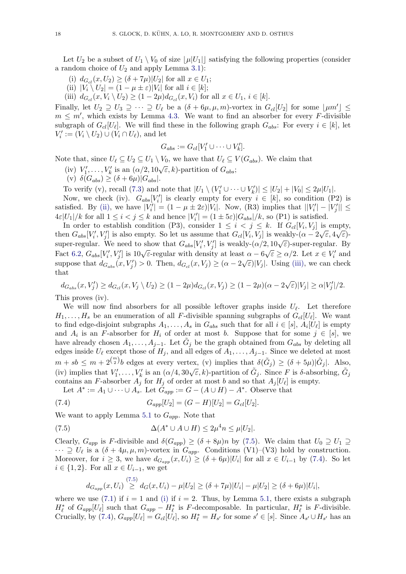Let  $U_2$  be a subset of  $U_1 \setminus V_0$  of size  $|\mu|U_1|$  satisfying the following properties (consider a random choice of  $U_2$  and apply Lemma [3.1\)](#page-6-1):

- <span id="page-17-4"></span>(i)  $d_{G_{cl}}(x, U_2) \geq (\delta + 7\mu)|U_2|$  for all  $x \in U_1$ ;
- <span id="page-17-0"></span>(ii)  $|V_i \setminus U_2| = (1 - \mu \pm \varepsilon)|V_i|$  for all  $i \in [k]$ ;
- <span id="page-17-1"></span>(iii)  $d_{G_{cl}}(x, V_i \setminus U_2) \ge (1 - 2\mu) d_{G_{cl}}(x, V_i)$  for all  $x \in U_1, i \in [k]$ .

Finally, let  $U_2 \supseteq U_3 \supseteq \cdots \supseteq U_\ell$  be a  $(\delta + 6\mu, \mu, m)$ -vortex in  $G_{cl}[U_2]$  for some  $\lfloor \mu m' \rfloor \leq$  $m \leq m'$ , which exists by Lemma [4.3.](#page-6-3) We want to find an absorber for every F-divisible subgraph of  $G_{cl}[U_{\ell}]$ . We will find these in the following graph  $G_{abs}$ : For every  $i \in [k]$ , let  $V_i' := (V_i \setminus U_2) \cup (V_i \cap U_\ell)$ , and let

$$
G_{abs} := G_{cl}[V'_1 \cup \cdots \cup V'_k].
$$

Note that, since  $U_\ell \subseteq U_2 \subseteq U_1 \setminus V_0$ , we have that  $U_\ell \subseteq V(G_{abs})$ . We claim that

- (iv)  $V'_1, \ldots, V'_k$  is an  $(\alpha/2, 10\sqrt{\varepsilon}, k)$ -partition of  $G_{abs}$ ;
- (v)  $\delta(G_{abs}) \geq (\delta + 6\mu) |G_{abs}|$ .

To verify (v), recall [\(7.3\)](#page-16-4) and note that  $|U_1 \setminus (V'_1 \cup \cdots \cup V'_k)| \leq |U_2| + |V_0| \leq 2\mu |U_1|$ .

Now, we check (iv).  $G_{abs}[V_i']$  is clearly empty for every  $i \in [k]$ , so condition (P2) is satisfied. By [\(ii\),](#page-17-0) we have  $|V_i'| = (1 - \mu \pm 2\varepsilon)|V_i|$ . Now, (R3) implies that  $||V_i'|| - |V_j'|| \le$  $4\varepsilon|U_1|/k$  for all  $1 \leq i < j \leq k$  and hence  $|V_i'| = (1 \pm 5\varepsilon)|G_{abs}|/k$ , so (P1) is satisfied.

In order to establish condition (P3), consider  $1 \leq i \leq j \leq k$ . If  $G_{cl}[V_i, V_j]$  is empty, then  $G_{abs}[V'_i, V'_j]$  is also empty. So let us assume that  $G_{cl}[V_i, V_j]$  is weakly- $(\alpha - 2\sqrt{\varepsilon}, 4\sqrt{\varepsilon})$ super-regular. We need to show that  $G_{abs}[V'_i, V'_j]$  is weakly- $(\alpha/2, 10\sqrt{\varepsilon})$ -super-regular. By<br>Super-regular. We need to show that  $G_{abs}[V'_i, V'_j]$  is weakly- $(\alpha/2, 10\sqrt{\varepsilon})$ -super-regular. By Fact [6.2,](#page-14-2)  $G_{abs}[V'_i, V'_j]$  is  $10\sqrt{\varepsilon}$ -regular with density at least  $\alpha - 6\sqrt{\varepsilon} \ge \alpha/2$ . Let  $x \in V'_i$  and suppose that  $d_{G_{abs}}(x, V'_j) > 0$ . Then,  $d_{G_{cl}}(x, V_j) \geq (\alpha - 2\sqrt{\varepsilon})|V_j|$ . Using [\(iii\),](#page-17-1) we can check that

$$
d_{G_{abs}}(x, V_j') \ge d_{G_{cl}}(x, V_j \setminus U_2) \ge (1 - 2\mu) d_{G_{cl}}(x, V_j) \ge (1 - 2\mu)(\alpha - 2\sqrt{\varepsilon})|V_j| \ge \alpha |V_j'|/2.
$$

This proves (iv).

We will now find absorbers for all possible leftover graphs inside  $U_{\ell}$ . Let therefore  $H_1, \ldots, H_s$  be an enumeration of all F-divisible spanning subgraphs of  $G_{cl}[U_\ell]$ . We want to find edge-disjoint subgraphs  $A_1, \ldots, A_s$  in  $G_{abs}$  such that for all  $i \in [s], A_i[U_\ell]$  is empty and  $A_i$  is an F-absorber for  $H_i$  of order at most b. Suppose that for some  $j \in [s]$ , we have already chosen  $A_1, \ldots, A_{j-1}$ . Let  $\tilde{G}_j$  be the graph obtained from  $G_{abs}$  by deleting all edges inside  $U_{\ell}$  except those of  $H_j$ , and all edges of  $A_1, \ldots, A_{j-1}$ . Since we deleted at most  $m + sb \leq m + 2^{\binom{m}{2}}b$  edges at every vertex, (v) implies that  $\delta(\tilde{G}_j) \geq (\delta + 5\mu)|\tilde{G}_j|$ . Also, (iv) implies that  $V'_1, \ldots, V'_k$  is an  $(\alpha/4, 30\sqrt{\varepsilon}, k)$ -partition of  $\tilde{G}_j$ . Since F is  $\delta$ -absorbing,  $\tilde{G}_j$ <br>(iv) contains an F-absorber  $A_j$  for  $H_j$  of order at most b and so that  $A_j[U_\ell]$  is empty.

Let  $A^* := A_1 \cup \cdots \cup A_s$ . Let  $\tilde{G}_{app} := G - (A \cup H) - A^*$ . Observe that

<span id="page-17-3"></span>(7.4) 
$$
G_{app}[U_2] = (G - H)[U_2] = G_{cl}[U_2].
$$

We want to apply Lemma [5.1](#page-7-1) to  $G_{app}$ . Note that

 $(7.5)$ 

<span id="page-17-2"></span>(7.5) 
$$
\Delta(A^* \cup A \cup H) \leq 2\mu^4 n \leq \mu |U_2|.
$$

Clearly,  $G_{app}$  is F-divisible and  $\delta(G_{app}) \geq (\delta + 8\mu)n$  by [\(7.5\)](#page-17-2). We claim that  $U_0 \supseteq U_1 \supseteq$  $\cdots \supseteq U_{\ell}$  is a  $(\delta + 4\mu, \mu, m)$ -vortex in  $G_{app}$ . Conditions (V1)–(V3) hold by construction. Moreover, for  $i \geq 3$ , we have  $d_{G_{app}}(x, U_i) \geq (\delta + 6\mu)|U_i|$  for all  $x \in U_{i-1}$  by [\(7.4\)](#page-17-3). So let  $i \in \{1,2\}$ . For all  $x \in U_{i-1}$ , we get

$$
d_{G_{app}}(x, U_i) \stackrel{(7.5)}{\geq} d_G(x, U_i) - \mu |U_2| \geq (\delta + 7\mu)|U_i| - \mu |U_2| \geq (\delta + 6\mu)|U_i|,
$$

where we use [\(7.1\)](#page-16-2) if  $i = 1$  and [\(i\)](#page-17-4) if  $i = 2$ . Thus, by Lemma [5.1,](#page-7-1) there exists a subgraph  $H^*_{\ell}$  of  $G_{app}[U_{\ell}]$  such that  $G_{app} - H^*_{\ell}$  is F-decomposable. In particular,  $H^*_{\ell}$  is F-divisible. Crucially, by [\(7.4\)](#page-17-3),  $G_{app}[U_\ell] = G_{cl}[U_\ell]$ , so  $H^*_{\ell} = H_{s'}$  for some  $s' \in [s]$ . Since  $A_{s'} \cup H_{s'}$  has an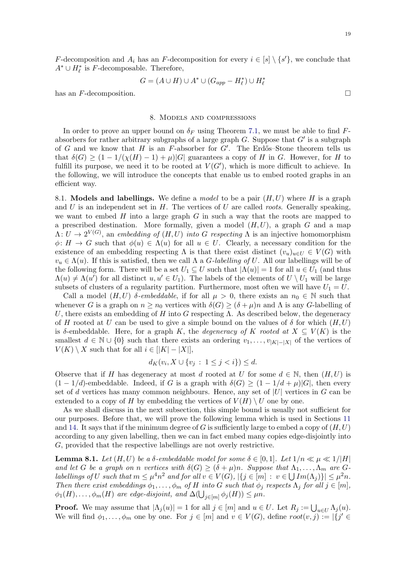$$
G = (A \cup H) \cup A^* \cup (G_{app} - H_{\ell}^*) \cup H_{\ell}^*
$$

has an  $F$ -decomposition.

#### 8. Models and compressions

<span id="page-18-0"></span>In order to prove an upper bound on  $\delta_F$  using Theorem [7.1,](#page-16-0) we must be able to find Fabsorbers for rather arbitrary subgraphs of a large graph  $G$ . Suppose that  $G'$  is a subgraph of G and we know that H is an F-absorber for  $G'$ . The Erdős–Stone theorem tells us that  $\delta(G) \geq (1 - 1/(\chi(H) - 1) + \mu)|G|$  guarantees a copy of H in G. However, for H to fulfill its purpose, we need it to be rooted at  $V(G')$ , which is more difficult to achieve. In the following, we will introduce the concepts that enable us to embed rooted graphs in an efficient way.

8.1. Models and labellings. We define a *model* to be a pair  $(H, U)$  where H is a graph and U is an independent set in  $H$ . The vertices of U are called *roots*. Generally speaking, we want to embed  $H$  into a large graph  $G$  in such a way that the roots are mapped to a prescribed destination. More formally, given a model  $(H, U)$ , a graph G and a map  $\Lambda: U \to 2^{V(G)}$ , an embedding of  $(H, U)$  into G respecting  $\Lambda$  is an injective homomorphism  $\phi: H \to G$  such that  $\phi(u) \in \Lambda(u)$  for all  $u \in U$ . Clearly, a necessary condition for the existence of an embedding respecting  $\Lambda$  is that there exist distinct  $(v_u)_{u\in U} \in V(G)$  with  $v_u \in \Lambda(u)$ . If this is satisfied, then we call  $\Lambda$  a *G*-labelling of U. All our labellings will be of the following form. There will be a set  $U_1 \subseteq U$  such that  $|\Lambda(u)| = 1$  for all  $u \in U_1$  (and thus  $\Lambda(u) \neq \Lambda(u')$  for all distinct  $u, u' \in U_1$ ). The labels of the elements of  $U \setminus U_1$  will be large subsets of clusters of a regularity partition. Furthermore, most often we will have  $U_1 = U$ .

Call a model  $(H, U)$  δ-embeddable, if for all  $\mu > 0$ , there exists an  $n_0 \in \mathbb{N}$  such that whenever G is a graph on  $n \geq n_0$  vertices with  $\delta(G) \geq (\delta + \mu)n$  and  $\Lambda$  is any G-labelling of U, there exists an embedding of H into G respecting  $\Lambda$ . As described below, the degeneracy of H rooted at U can be used to give a simple bound on the values of  $\delta$  for which  $(H, U)$ is δ-embeddable. Here, for a graph K, the *degeneracy of* K rooted at  $X \subseteq V(K)$  is the smallest  $d \in \mathbb{N} \cup \{0\}$  such that there exists an ordering  $v_1, \ldots, v_{|K|-|X|}$  of the vertices of  $V(K) \setminus X$  such that for all  $i \in |K| - |X|$ ,

$$
d_K(v_i, X \cup \{v_j : 1 \le j < i\}) \le d.
$$

Observe that if H has degeneracy at most d rooted at U for some  $d \in \mathbb{N}$ , then  $(H, U)$  is  $(1 - 1/d)$ -embeddable. Indeed, if G is a graph with  $\delta(G) \geq (1 - 1/d + \mu)|G|$ , then every set of d vertices has many common neighbours. Hence, any set of  $|U|$  vertices in G can be extended to a copy of H by embedding the vertices of  $V(H) \setminus U$  one by one.

As we shall discuss in the next subsection, this simple bound is usually not sufficient for our purposes. Before that, we will prove the following lemma which is used in Sections [11](#page-32-0) and [14.](#page-44-0) It says that if the minimum degree of G is sufficiently large to embed a copy of  $(H, U)$ according to any given labelling, then we can in fact embed many copies edge-disjointly into G, provided that the respective labellings are not overly restrictive.

<span id="page-18-1"></span>**Lemma 8.1.** Let  $(H, U)$  be a  $\delta$ -embeddable model for some  $\delta \in [0, 1]$ . Let  $1/n \ll \mu \ll 1/|H|$ and let G be a graph on n vertices with  $\delta(G) \geq (\delta + \mu)n$ . Suppose that  $\Lambda_1, \ldots, \Lambda_m$  are Glabellings of U such that  $m \leq \mu^4 n^2$  and for all  $v \in V(G)$ ,  $|\{j \in [m] : v \in \bigcup Im(\Lambda_j)\}| \leq \mu^2 n$ . Then there exist embeddings  $\phi_1, \ldots, \phi_m$  of H into G such that  $\phi_j$  respects  $\Lambda_j$  for all  $j \in [m]$ ,  $\phi_1(H), \ldots, \phi_m(H)$  are edge-disjoint, and  $\Delta(\bigcup_{j \in [m]} \phi_j(H)) \leq \mu n$ .

**Proof.** We may assume that  $|\Lambda_j(u)| = 1$  for all  $j \in [m]$  and  $u \in U$ . Let  $R_j := \bigcup_{u \in U} \Lambda_j(u)$ . We will find  $\phi_1, \ldots, \phi_m$  one by one. For  $j \in [m]$  and  $v \in V(G)$ , define  $root(v, j) := |\{j' \in$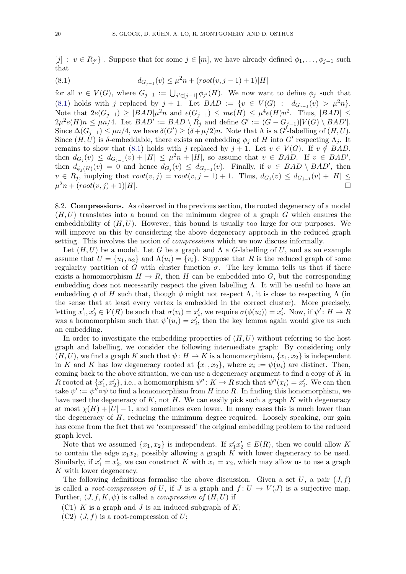$[j]: v \in R_{j'}\}$ . Suppose that for some  $j \in [m]$ , we have already defined  $\phi_1, \ldots, \phi_{j-1}$  such that

<span id="page-19-0"></span>(8.1) 
$$
d_{G_{j-1}}(v) \le \mu^2 n + (root(v, j-1) + 1)|H|
$$

for all  $v \in V(G)$ , where  $G_{j-1} := \bigcup_{j' \in [j-1]} \phi_{j'}(H)$ . We now want to define  $\phi_j$  such that [\(8.1\)](#page-19-0) holds with j replaced by  $j + 1$ . Let  $BAD := \{v \in V(G) : d_{G_{j-1}}(v) > \mu^2 n\}.$ Note that  $2e(G_{j-1}) \geq |BAD|\mu^2n$  and  $e(G_{j-1}) \leq me(H) \leq \mu^4e(H)n^2$ . Thus,  $|BAD| \leq$  $2\mu^2 e(H) n \leq \mu n/4$ . Let  $BAD' := BAD \setminus R_j$  and define  $G' := (G - G_{j-1})[V(G) \setminus BAD']$ . Since  $\Delta(G_{j-1}) \leq \mu n/4$ , we have  $\delta(G') \geq (\delta + \mu/2)n$ . Note that  $\Lambda$  is a  $G'$ -labelling of  $(H, U)$ . Since  $(H, U)$  is δ-embeddable, there exists an embedding  $\phi_j$  of H into G' respecting  $\Lambda_j$ . It remains to show that [\(8.1\)](#page-19-0) holds with j replaced by  $j + 1$ . Let  $v \in V(G)$ . If  $v \notin BAD$ , then  $d_{G_j}(v) \leq d_{G_{j-1}}(v) + |H| \leq \mu^2 n + |H|$ , so assume that  $v \in BAD$ . If  $v \in BAD'$ , then  $d_{\phi_j(H)}(v) = 0$  and hence  $d_{G_j}(v) \leq d_{G_{j-1}}(v)$ . Finally, if  $v \in BAD \setminus BAD'$ , then  $v \in R_j$ , implying that  $root(v, j) = root(v, j - 1) + 1$ . Thus,  $d_{G_j}(v) \leq d_{G_{j-1}}(v) + |H| \leq$  $\mu^2 n + (root(v, j) + 1)|H|.$ 

8.2. Compressions. As observed in the previous section, the rooted degeneracy of a model  $(H, U)$  translates into a bound on the minimum degree of a graph G which ensures the embeddability of  $(H, U)$ . However, this bound is usually too large for our purposes. We will improve on this by considering the above degeneracy approach in the reduced graph setting. This involves the notion of compressions which we now discuss informally.

Let  $(H, U)$  be a model. Let G be a graph and  $\Lambda$  a G-labelling of U, and as an example assume that  $U = \{u_1, u_2\}$  and  $\Lambda(u_i) = \{v_i\}$ . Suppose that R is the reduced graph of some regularity partition of G with cluster function  $\sigma$ . The key lemma tells us that if there exists a homomorphism  $H \to R$ , then H can be embedded into G, but the corresponding embedding does not necessarily respect the given labelling  $\Lambda$ . It will be useful to have an embedding  $\phi$  of H such that, though  $\phi$  might not respect  $\Lambda$ , it is close to respecting  $\Lambda$  (in the sense that at least every vertex is embedded in the correct cluster). More precisely, letting  $x'_1, x'_2 \in V(R)$  be such that  $\sigma(v_i) = x'_i$ , we require  $\sigma(\phi(u_i)) = x'_i$ . Now, if  $\psi' : H \to R$ was a homomorphism such that  $\psi'(u_i) = x'_i$ , then the key lemma again would give us such an embedding.

In order to investigate the embedding properties of  $(H, U)$  without referring to the host graph and labelling, we consider the following intermediate graph: By considering only  $(H, U)$ , we find a graph K such that  $\psi : H \to K$  is a homomorphism,  $\{x_1, x_2\}$  is independent in K and K has low degeneracy rooted at  $\{x_1, x_2\}$ , where  $x_i := \psi(u_i)$  are distinct. Then, coming back to the above situation, we can use a degeneracy argument to find a copy of  $K$  in R rooted at  $\{x'_1, x'_2\}$ , i.e., a homomorphism  $\psi'' : K \to R$  such that  $\psi''(x_i) = x'_i$ . We can then take  $\psi' := \psi'' \circ \psi$  to find a homomorphism from H into R. In finding this homomorphism, we have used the degeneracy of  $K$ , not  $H$ . We can easily pick such a graph  $K$  with degeneracy at most  $\chi(H) + |U| - 1$ , and sometimes even lower. In many cases this is much lower than the degeneracy of  $H$ , reducing the minimum degree required. Loosely speaking, our gain has come from the fact that we 'compressed' the original embedding problem to the reduced graph level.

Note that we assumed  $\{x_1, x_2\}$  is independent. If  $x'_1 x'_2 \in E(R)$ , then we could allow K to contain the edge  $x_1x_2$ , possibly allowing a graph K with lower degeneracy to be used. Similarly, if  $x_1' = x_2'$ , we can construct K with  $x_1 = x_2$ , which may allow us to use a graph K with lower degeneracy.

The following definitions formalise the above discussion. Given a set U, a pair  $(J, f)$ is called a *root-compression of U*, if J is a graph and  $f: U \to V(J)$  is a surjective map. Further,  $(J, f, K, \psi)$  is called a *compression of*  $(H, U)$  if

- (C1) K is a graph and J is an induced subgraph of  $K$ ;
- $(C2)$   $(J, f)$  is a root-compression of U;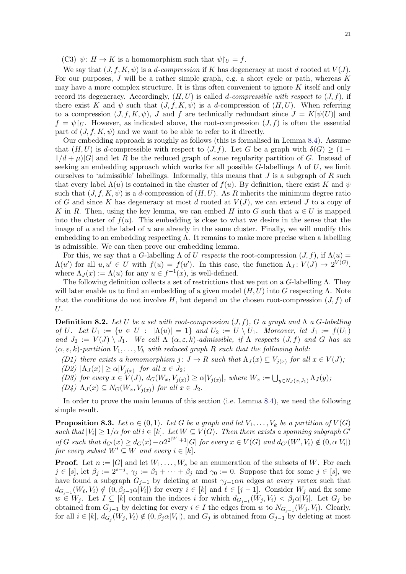(C3)  $\psi: H \to K$  is a homomorphism such that  $\psi|_U = f$ .

We say that  $(J, f, K, \psi)$  is a *d-compression* if K has degeneracy at most d rooted at  $V(J)$ . For our purposes,  $J$  will be a rather simple graph, e.g. a short cycle or path, whereas  $K$ may have a more complex structure. It is thus often convenient to ignore  $K$  itself and only record its degeneracy. Accordingly,  $(H, U)$  is called d-compressible with respect to  $(J, f)$ , if there exist K and  $\psi$  such that  $(J, f, K, \psi)$  is a d-compression of  $(H, U)$ . When referring to a compression  $(J, f, K, \psi)$ , J and f are technically redundant since  $J = K[\psi(U)]$  and  $f = \psi |_{U}$ . However, as indicated above, the root-compression  $(J, f)$  is often the essential part of  $(J, f, K, \psi)$  and we want to be able to refer to it directly.

Our embedding approach is roughly as follows (this is formalised in Lemma [8.4\)](#page-21-0). Assume that  $(H, U)$  is d-compressible with respect to  $(J, f)$ . Let G be a graph with  $\delta(G) \geq (1 1/d + \mu$ |G| and let R be the reduced graph of some regularity partition of G. Instead of seeking an embedding approach which works for all possible G-labellings  $\Lambda$  of U, we limit ourselves to 'admissible' labellings. Informally, this means that  $J$  is a subgraph of  $R$  such that every label  $\Lambda(u)$  is contained in the cluster of  $f(u)$ . By definition, there exist K and  $\psi$ such that  $(J, f, K, \psi)$  is a d-compression of  $(H, U)$ . As R inherits the minimum degree ratio of G and since K has degeneracy at most d rooted at  $V(J)$ , we can extend J to a copy of K in R. Then, using the key lemma, we can embed H into G such that  $u \in U$  is mapped into the cluster of  $f(u)$ . This embedding is close to what we desire in the sense that the image of u and the label of u are already in the same cluster. Finally, we will modify this embedding to an embedding respecting  $\Lambda$ . It remains to make more precise when a labelling is admissible. We can then prove our embedding lemma.

For this, we say that a G-labelling  $\Lambda$  of U respects the root-compression  $(J, f)$ , if  $\Lambda(u)$  =  $\Lambda(u')$  for all  $u, u' \in U$  with  $f(u) = f(u')$ . In this case, the function  $\Lambda_J: V(J) \to 2^{V(G)}$ , where  $\Lambda_J(x) := \Lambda(u)$  for any  $u \in f^{-1}(x)$ , is well-defined.

The following definition collects a set of restrictions that we put on a  $G$ -labelling  $\Lambda$ . They will later enable us to find an embedding of a given model  $(H, U)$  into G respecting  $\Lambda$ . Note that the conditions do not involve H, but depend on the chosen root-compression  $(J, f)$  of U.

<span id="page-20-0"></span>**Definition 8.2.** Let U be a set with root-compression  $(J, f)$ , G a graph and  $\Lambda$  a G-labelling of U. Let  $U_1 := \{u \in U : |\Lambda(u)| = 1\}$  and  $U_2 := U \setminus U_1$ . Moreover, let  $J_1 := f(U_1)$ and  $J_2 := V(J) \setminus J_1$ . We call  $\Lambda(\alpha, \varepsilon, k)$ -admissible, if  $\Lambda$  respects  $(J, f)$  and G has an  $(\alpha, \varepsilon, k)$ -partition  $V_1, \ldots, V_k$  with reduced graph R such that the following hold:

<span id="page-20-5"></span>(D1) there exists a homomorphism  $j: J \to R$  such that  $\Lambda_J(x) \subseteq V_{j(x)}$  for all  $x \in V(J)$ ;

<span id="page-20-3"></span> $(D2)$   $|\Lambda_J(x)| \ge \alpha |V_{j(x)}|$  for all  $x \in J_2$ ;

<span id="page-20-2"></span>(D3) for every  $x \in V(J)$ ,  $d_G(W_x, V_{j(x)}) \ge \alpha |V_{j(x)}|$ , where  $W_x := \bigcup_{y \in N_J(x, J_1)} \Lambda_J(y)$ ;

<span id="page-20-4"></span> $(D4)$   $\Lambda_J(x) \subseteq N_G(W_x, V_{j(x)})$  for all  $x \in J_2$ .

In order to prove the main lemma of this section (i.e. Lemma [8.4\)](#page-21-0), we need the following simple result.

<span id="page-20-1"></span>**Proposition 8.3.** Let  $\alpha \in (0,1)$ . Let G be a graph and let  $V_1, \ldots, V_k$  be a partition of  $V(G)$ such that  $|V_i| \geq 1/\alpha$  for all  $i \in [k]$ . Let  $W \subseteq V(G)$ . Then there exists a spanning subgraph G' of G such that  $d_{G'}(x) \geq d_G(x) - \alpha 2^{2^{|W|}+1} |G|$  for every  $x \in V(G)$  and  $d_{G'}(W', V_i) \notin (0, \alpha |V_i|)$ for every subset  $W' \subseteq W$  and every  $i \in [k]$ .

**Proof.** Let  $n := |G|$  and let  $W_1, \ldots, W_s$  be an enumeration of the subsets of W. For each  $j \in [s],$  let  $\beta_j := 2^{s-j}, \gamma_j := \beta_1 + \cdots + \beta_j$  and  $\gamma_0 := 0$ . Suppose that for some  $j \in [s],$  we have found a subgraph  $G_{j-1}$  by deleting at most  $\gamma_{j-1}$ αn edges at every vertex such that  $d_{G_{j-1}}(W_{\ell}, V_i) \notin (0, \beta_{j-1}\alpha|V_i|)$  for every  $i \in [k]$  and  $\ell \in [j-1]$ . Consider  $W_j$  and fix some  $w \in W_j$ . Let  $I \subseteq [k]$  contain the indices i for which  $d_{G_{j-1}}(W_j, V_i) < \beta_j \alpha |V_i|$ . Let  $G_j$  be obtained from  $G_{j-1}$  by deleting for every  $i \in I$  the edges from w to  $N_{G_{j-1}}(W_j, V_i)$ . Clearly, for all  $i \in [k]$ ,  $d_{G_j}(W_j, V_i) \notin (0, \beta_j \alpha |V_i|)$ , and  $G_j$  is obtained from  $G_{j-1}$  by deleting at most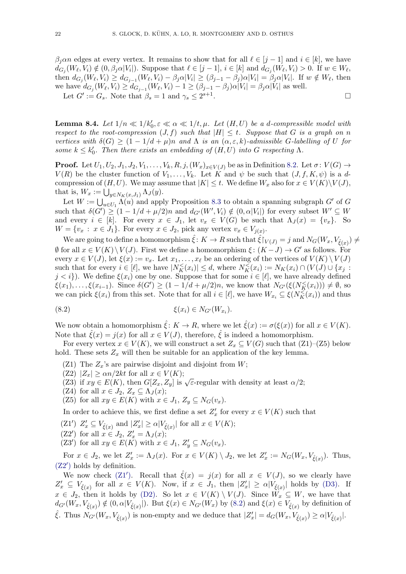$\beta_j$  and  $i \in [k]$ , we have  $\beta_j$  and  $i \in [k]$ , we have  $d_{G_j}(W_{\ell}, V_i) \notin (0, \beta_j \alpha |V_i|)$ . Suppose that  $\ell \in [j-1], i \in [k]$  and  $d_{G_j}(W_{\ell}, V_i) > 0$ . If  $w \in W_{\ell}$ , then  $d_{G_j}(W_\ell, V_i) \geq d_{G_{j-1}}(W_\ell, V_i) - \beta_j \alpha |V_i| \geq (\beta_{j-1} - \beta_j) \alpha |V_i| = \beta_j \alpha |V_i|$ . If  $w \notin W_\ell$ , then we have  $d_{G_j}(W_\ell, V_i) \geq d_{G_{j-1}}(W_\ell, V_i) - 1 \geq (\beta_{j-1} - \beta_j) \alpha |V_i| = \beta_j \alpha |V_i|$  as well. .

Let  $G' := G_s$ . Note that  $\beta_s = 1$  and  $\gamma_s \leq 2^{s+1}$ 

<span id="page-21-0"></span>**Lemma 8.4.** Let  $1/n \ll 1/k_0', \varepsilon \ll \alpha \ll 1/t, \mu$ . Let  $(H, U)$  be a d-compressible model with respect to the root-compression  $(J, f)$  such that  $|H| \leq t$ . Suppose that G is a graph on n vertices with  $\delta(G) \geq (1 - 1/d + \mu)n$  and  $\Lambda$  is an  $(\alpha, \varepsilon, k)$ -admissible G-labelling of U for some  $k \leq k_0'$ . Then there exists an embedding of  $(H, U)$  into G respecting  $\Lambda$ .

**Proof.** Let  $U_1, U_2, J_1, J_2, V_1, \ldots, V_k, R, j, (W_x)_{x \in V(J)}$  be as in Definition [8.2.](#page-20-0) Let  $\sigma: V(G) \to$  $V(R)$  be the cluster function of  $V_1, \ldots, V_k$ . Let K and  $\psi$  be such that  $(J, f, K, \psi)$  is a dcompression of  $(H, U)$ . We may assume that  $|K| \leq t$ . We define  $W_x$  also for  $x \in V(K) \backslash V(J)$ , that is,  $W_x := \bigcup_{y \in N_K(x,J_1)} \Lambda_J(y)$ .

Let  $W := \bigcup_{u \in U_1} \Lambda(u)$  and apply Proposition [8.3](#page-20-1) to obtain a spanning subgraph  $G'$  of  $G$ such that  $\delta(G') \geq (1 - 1/d + \mu/2)n$  and  $d_{G'}(W', V_i) \notin (0, \alpha|V_i|)$  for every subset  $W' \subseteq W$ and every  $i \in [k]$ . For every  $x \in J_1$ , let  $v_x \in V(G)$  be such that  $\Lambda_J(x) = \{v_x\}$ . So  $W = \{v_x : x \in J_1\}.$  For every  $x \in J_2$ , pick any vertex  $v_x \in V_{j(x)}$ .

We are going to define a homomorphism  $\hat{\xi} \colon K \to R$  such that  $\hat{\xi}|_{V(J)} = j$  and  $N_G(W_x, V_{\hat{\xi}(x)}) \neq$  $\emptyset$  for all  $x \in V(K) \setminus V(J)$ . First we define a homomorphism  $\xi : (K-J) \to G'$  as follows. For every  $x \in V(J)$ , let  $\xi(x) := v_x$ . Let  $x_1, \ldots, x_\ell$  be an ordering of the vertices of  $V(K) \setminus V(J)$ such that for every  $i \in [\ell]$ , we have  $|N_K^{\le}(x_i)| \le d$ , where  $N_K^{\le}(x_i) := N_K(x_i) \cap (V(J) \cup \{x_j\})$  $j < i$ . We define  $\xi(x_i)$  one by one. Suppose that for some  $i \in [\ell]$ , we have already defined  $\xi(x_1), \ldots, \xi(x_{i-1})$ . Since  $\delta(G') \geq (1 - 1/d + \mu/2)n$ , we know that  $N_{G'}(\xi(N_K^{\leq}(x_i))) \neq \emptyset$ , so we can pick  $\xi(x_i)$  from this set. Note that for all  $i \in [\ell],$  we have  $W_{x_i} \subseteq \xi(N_K^{\leq}(x_i))$  and thus

<span id="page-21-3"></span>
$$
\xi(x_i) \in N_{G'}(W_{x_i}).
$$

We now obtain a homomorphism  $\hat{\xi} : K \to R$ , where we let  $\hat{\xi}(x) := \sigma(\xi(x))$  for all  $x \in V(K)$ . Note that  $\hat{\xi}(x) = j(x)$  for all  $x \in V(J)$ , therefore,  $\hat{\xi}$  is indeed a homomorphism.

For every vertex  $x \in V(K)$ , we will construct a set  $Z_x \subseteq V(G)$  such that  $(Z1)$ – $(Z5)$  below hold. These sets  $Z_x$  will then be suitable for an application of the key lemma.

- (Z1) The  $Z_x$ 's are pairwise disjoint and disjoint from  $W$ ;
- (Z2)  $|Z_x| \ge \alpha n/2kt$  for all  $x \in V(K);$
- ( $Z_2$ )  $|Z_x| \ge \alpha n/2\kappa t$  for an  $x \in V(\mathbb{R})$ ,<br>(Z3) if  $xy \in E(K)$ , then  $G[Z_x, Z_y]$  is  $\sqrt{\varepsilon}$ -regular with density at least  $\alpha/2$ ;
- (Z4) for all  $x \in J_2$ ,  $Z_x \subseteq \Lambda_J(x)$ ;
- (Z5) for all  $xy \in E(K)$  with  $x \in J_1$ ,  $Z_y \subseteq N_G(v_x)$ .

In order to achieve this, we first define a set  $Z'_x$  for every  $x \in V(K)$  such that

- <span id="page-21-2"></span>(Z1')  $Z'_x \subseteq V_{\hat{\xi}(x)}$  and  $|Z'_x| \ge \alpha |V_{\hat{\xi}(x)}|$  for all  $x \in V(K)$ ;
- <span id="page-21-1"></span>(Z2') for all  $x \in J_2$ ,  $Z'_x = \Lambda_J(x);$
- <span id="page-21-4"></span> $(Z3')$  for all  $xy \in E(K)$  with  $x \in J_1$ ,  $Z'_y \subseteq N_G(v_x)$ .

For  $x \in J_2$ , we let  $Z'_x := \Lambda_J(x)$ . For  $x \in V(K) \setminus J_2$ , we let  $Z'_x := N_G(W_x, V_{\hat{\xi}(x)})$ . Thus,  $(Z2')$  $(Z2')$  holds by definition.

We now check [\(Z1](#page-21-2)'). Recall that  $\hat{\xi}(x) = j(x)$  for all  $x \in V(J)$ , so we clearly have  $Z'_x \subseteq V_{\hat{\xi}(x)}$  for all  $x \in V(K)$ . Now, if  $x \in J_1$ , then  $|Z'_x| \ge \alpha |V_{\hat{\xi}(x)}|$  holds by [\(D3\).](#page-20-2) If  $x \in J_2$ , then it holds by [\(D2\).](#page-20-3) So let  $x \in V(K) \setminus V(J)$ . Since  $\overrightarrow{W_x} \subseteq W$ , we have that  $d_{G'}(W_x, V_{\hat{\xi}(x)}) \notin (0, \alpha |V_{\hat{\xi}(x)}|)$ . But  $\xi(x) \in N_{G'}(W_x)$  by  $(8.2)$  and  $\xi(x) \in V_{\hat{\xi}(x)}$  by definition of  $\hat{\xi}$ . Thus  $N_{G'}(W_x, V_{\hat{\xi}(x)})$  is non-empty and we deduce that  $|Z'_x| = d_G(W_x, V_{\hat{\xi}(x)}) \ge \alpha |V_{\hat{\xi}(x)}|$ .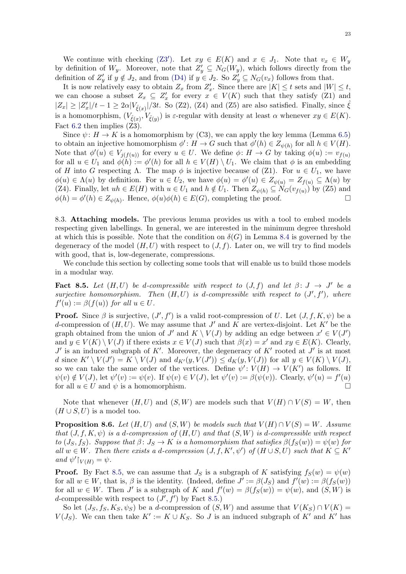We continue with checking [\(Z3](#page-21-4)'). Let  $xy \in E(K)$  and  $x \in J_1$ . Note that  $v_x \in W_y$ by definition of  $W_y$ . Moreover, note that  $Z'_y \subseteq N_G(W_y)$ , which follows directly from the definition of  $Z'_y$  if  $y \notin J_2$ , and from [\(D4\)](#page-20-4) if  $y \in J_2$ . So  $Z'_y \subseteq N_G(v_x)$  follows from that.

It is now relatively easy to obtain  $Z_x$  from  $Z'_x$ . Since there are  $|K| \le t$  sets and  $|W| \le t$ , we can choose a subset  $Z_x \subseteq Z'_x$  for every  $x \in V(K)$  such that they satisfy (Z1) and  $|Z_x| \geq |Z_x'|/t - 1 \geq 2\alpha |V_{\hat{\xi}(x)}|/3t$ . So (Z2), (Z4) and (Z5) are also satisfied. Finally, since  $\hat{\xi}$ is a homomorphism,  $(V_{\hat{\xi}(x)}, V_{\hat{\xi}(y)})$  is  $\varepsilon$ -regular with density at least  $\alpha$  whenever  $xy \in E(K)$ . Fact [6.2](#page-14-2) then implies (Z3).

Since  $\psi: H \to K$  is a homomorphism by (C3), we can apply the key lemma (Lemma [6.5\)](#page-15-2) to obtain an injective homomorphism  $\phi' : H \to G$  such that  $\phi'(h) \in Z_{\psi(h)}$  for all  $h \in V(H)$ . Note that  $\phi'(u) \in V_{j(f(u))}$  for every  $u \in U$ . We define  $\phi \colon H \to G$  by taking  $\phi(u) := v_{f(u)}$ for all  $u \in U_1$  and  $\phi(h) := \phi'(h)$  for all  $h \in V(H) \setminus U_1$ . We claim that  $\phi$  is an embedding of H into G respecting  $\Lambda$ . The map  $\phi$  is injective because of (Z1). For  $u \in U_1$ , we have  $\phi(u) \in \Lambda(u)$  by definition. For  $u \in U_2$ , we have  $\phi(u) = \phi'(u) \in Z_{\psi(u)} = Z_{f(u)} \subseteq \Lambda(u)$  by (Z4). Finally, let  $uh \in E(H)$  with  $u \in U_1$  and  $h \notin U_1$ . Then  $Z_{\psi(h)} \subseteq N_G(v_{f(u)})$  by (Z5) and  $\phi(h) = \phi'(h) \in Z_{\psi(h)}$ . Hence,  $\phi(u)\phi(h) \in E(G)$ , completing the proof.

8.3. Attaching models. The previous lemma provides us with a tool to embed models respecting given labellings. In general, we are interested in the minimum degree threshold at which this is possible. Note that the condition on  $\delta(G)$  in Lemma [8.4](#page-21-0) is governed by the degeneracy of the model  $(H, U)$  with respect to  $(J, f)$ . Later on, we will try to find models with good, that is, low-degenerate, compressions.

We conclude this section by collecting some tools that will enable us to build those models in a modular way.

<span id="page-22-0"></span>Fact 8.5. Let  $(H, U)$  be d-compressible with respect to  $(J, f)$  and let  $\beta: J \rightarrow J'$  be a surjective homomorphism. Then  $(H, U)$  is d-compressible with respect to  $(J', f')$ , where  $f'(u) := \beta(f(u))$  for all  $u \in U$ .

**Proof.** Since  $\beta$  is surjective,  $(J', f')$  is a valid root-compression of U. Let  $(J, f, K, \psi)$  be a d-compression of  $(H, U)$ . We may assume that J' and K are vertex-disjoint. Let K' be the graph obtained from the union of  $J'$  and  $K \setminus V(J)$  by adding an edge between  $x' \in V(J')$ and  $y \in V(K) \setminus V(J)$  if there exists  $x \in V(J)$  such that  $\beta(x) = x'$  and  $xy \in E(K)$ . Clearly,  $J'$  is an induced subgraph of K'. Moreover, the degeneracy of K' rooted at  $J'$  is at most d since  $K' \setminus V(J') = K \setminus V(J)$  and  $d_{K'}(y, V(J')) \leq d_K(y, V(J))$  for all  $y \in V(K) \setminus V(J)$ , so we can take the same order of the vertices. Define  $\psi' : V(H) \to V(K')$  as follows. If  $\psi(v) \notin V(J)$ , let  $\psi'(v) := \psi(v)$ . If  $\psi(v) \in V(J)$ , let  $\psi'(v) := \beta(\psi(v))$ . Clearly,  $\psi'(u) = f'(u)$ for all  $u \in U$  and  $\psi$  is a homomorphism.

Note that whenever  $(H, U)$  and  $(S, W)$  are models such that  $V(H) \cap V(S) = W$ , then  $(H \cup S, U)$  is a model too.

<span id="page-22-1"></span>**Proposition 8.6.** Let  $(H, U)$  and  $(S, W)$  be models such that  $V(H) \cap V(S) = W$ . Assume that  $(J, f, K, \psi)$  is a d-compression of  $(H, U)$  and that  $(S, W)$  is d-compressible with respect to  $(J_S, f_S)$ . Suppose that  $\beta: J_S \to K$  is a homomorphism that satisfies  $\beta(f_S(w)) = \psi(w)$  for all  $w \in W$ . Then there exists a d-compression  $(J, f, K', \psi')$  of  $(H \cup S, U)$  such that  $K \subseteq K'$ and  $\psi' \upharpoonright_{V(H)} = \psi$ .

**Proof.** By Fact [8.5,](#page-22-0) we can assume that  $J<sub>S</sub>$  is a subgraph of K satisfying  $f<sub>S</sub>(w) = \psi(w)$ for all  $w \in W$ , that is,  $\beta$  is the identity. (Indeed, define  $J' := \beta(J_S)$  and  $f'(w) := \beta(f_S(w))$ for all  $w \in W$ . Then J' is a subgraph of K and  $f'(w) = \beta(f_S(w)) = \psi(w)$ , and  $(S, W)$  is d-compressible with respect to  $(J', f')$  by Fact [8.5.](#page-22-0))

So let  $(J_S, f_S, K_S, \psi_S)$  be a d-compression of  $(S, W)$  and assume that  $V(K_S) \cap V(K) =$  $V(J_S)$ . We can then take  $K' := K \cup K_S$ . So J is an induced subgraph of K' and K' has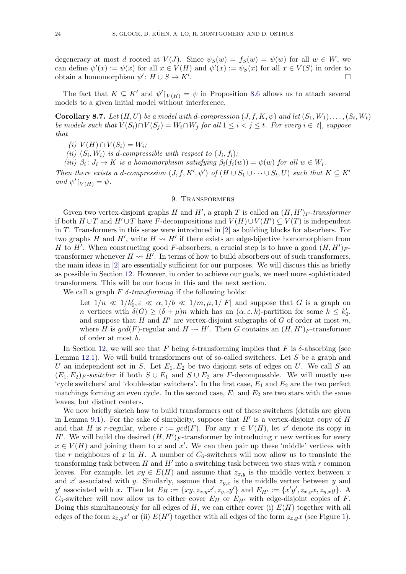degeneracy at most d rooted at  $V(J)$ . Since  $\psi_S(w) = f_S(w) = \psi(w)$  for all  $w \in W$ , we can define  $\psi'(x) := \psi(x)$  for all  $x \in V(H)$  and  $\psi'(x) := \psi(s(x))$  for all  $x \in V(S)$  in order to obtain a homomorphism  $\psi' : H \cup S \to K'$ .

The fact that  $K \subseteq K'$  and  $\psi'|_{V(H)} = \psi$  in Proposition [8.6](#page-22-1) allows us to attach several models to a given initial model without interference.

<span id="page-23-1"></span>**Corollary 8.7.** Let  $(H, U)$  be a model with d-compression  $(J, f, K, \psi)$  and let  $(S_1, W_1), \ldots, (S_t, W_t)$ be models such that  $V(S_i) \cap V(S_j) = W_i \cap W_j$  for all  $1 \leq i < j \leq t$ . For every  $i \in [t]$ , suppose that

(i)  $V(H) \cap V(S_i) = W_i;$ 

(ii)  $(S_i, W_i)$  is d-compressible with respect to  $(J_i, f_i)$ ;

(iii)  $\beta_i: J_i \to K$  is a homomorphism satisfying  $\beta_i(f_i(w)) = \psi(w)$  for all  $w \in W_i$ .

Then there exists a d-compression  $(J, f, K', \psi')$  of  $(H \cup S_1 \cup \cdots \cup S_t, U)$  such that  $K \subseteq K'$ and  $\psi' \upharpoonright_{V(H)} = \psi$ .

## 9. Transformers

<span id="page-23-0"></span>Given two vertex-disjoint graphs H and H', a graph T is called an  $(H, H')_F$ -transformer if both  $H \cup T$  and  $H' \cup T$  have F-decompositions and  $V(H) \cup V(H') \subseteq V(T)$  is independent in T. Transformers in this sense were introduced in  $[2]$  as building blocks for absorbers. For two graphs H and H', write  $H \rightsquigarrow H'$  if there exists an edge-bijective homomorphism from H to H'. When constructing good F-absorbers, a crucial step is to have a good  $(H, H')_F$ transformer whenever  $H \leadsto H'$ . In terms of how to build absorbers out of such transformers, the main ideas in [\[2\]](#page-57-4) are essentially sufficient for our purposes. We will discuss this as briefly as possible in Section [12.](#page-34-0) However, in order to achieve our goals, we need more sophisticated transformers. This will be our focus in this and the next section.

We call a graph  $F \delta$ -transforming if the following holds:

Let  $1/n \ll 1/k_0', \varepsilon \ll \alpha, 1/b \ll 1/m, \mu, 1/|F|$  and suppose that G is a graph on *n* vertices with  $\delta(G) \geq (\delta + \mu)n$  which has an  $(\alpha, \varepsilon, k)$ -partition for some  $k \leq k'_0$ , and suppose that  $H$  and  $H'$  are vertex-disjoint subgraphs of  $G$  of order at most  $m$ , where H is  $gcd(F)$ -regular and  $H \rightsquigarrow H'$ . Then G contains an  $(H, H')_F$ -transformer of order at most b.

In Section [12,](#page-34-0) we will see that F being  $\delta$ -transforming implies that F is  $\delta$ -absorbing (see Lemma [12.1\)](#page-34-1). We will build transformers out of so-called switchers. Let  $S$  be a graph and U an independent set in S. Let  $E_1, E_2$  be two disjoint sets of edges on U. We call S an  $(E_1, E_2)$ <sub>F</sub>-switcher if both  $S \cup E_1$  and  $S \cup E_2$  are F-decomposable. We will mostly use 'cycle switchers' and 'double-star switchers'. In the first case,  $E_1$  and  $E_2$  are the two perfect matchings forming an even cycle. In the second case,  $E_1$  and  $E_2$  are two stars with the same leaves, but distinct centers.

We now briefly sketch how to build transformers out of these switchers (details are given in Lemma [9.1\)](#page-25-0). For the sake of simplicity, suppose that  $H'$  is a vertex-disjoint copy of  $H$ and that H is r-regular, where  $r := gcd(F)$ . For any  $x \in V(H)$ , let x' denote its copy in H'. We will build the desired  $(H, H')_F$ -transformer by introducing r new vertices for every  $x \in V(H)$  and joining them to x and x'. We can then pair up these 'middle' vertices with the r neighbours of x in H. A number of  $C_6$ -switchers will now allow us to translate the transforming task between  $H$  and  $H'$  into a switching task between two stars with r common leaves. For example, let  $xy \in E(H)$  and assume that  $z_{x,y}$  is the middle vertex between x and x' associated with y. Similarly, assume that  $z_{y,x}$  is the middle vertex between y and y' associated with x. Then let  $E_H := \{xy, z_{x,y}x', z_{y,x}y'\}$  and  $E_{H'} := \{x'y', z_{x,y}x, z_{y,x}y\}$ . A  $C_6$ -switcher will now allow us to either cover  $E_H$  or  $E_{H'}$  with edge-disjoint copies of F. Doing this simultaneously for all edges of  $H$ , we can either cover (i)  $E(H)$  together with all edges of the form  $z_{x,y}x'$  or (ii)  $E(H')$  together with all edges of the form  $z_{x,y}x$  (see Figure [1\)](#page-24-0).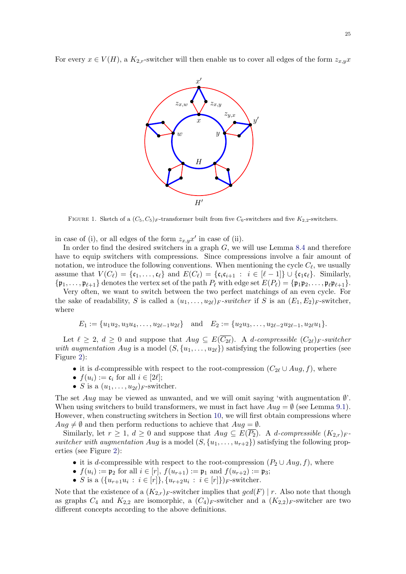<span id="page-24-0"></span>For every  $x \in V(H)$ , a  $K_{2,r}$ -switcher will then enable us to cover all edges of the form  $z_{x,y}x$ 



FIGURE 1. Sketch of a  $(C_5, C_5)_F$ -transformer built from five  $C_6$ -switchers and five  $K_{2,2}$ -switchers.

in case of (i), or all edges of the form  $z_{x,y}x'$  in case of (ii).

In order to find the desired switchers in a graph  $G$ , we will use Lemma [8.4](#page-21-0) and therefore have to equip switchers with compressions. Since compressions involve a fair amount of notation, we introduce the following conventions. When mentioning the cycle  $C_{\ell}$ , we usually assume that  $V(C_{\ell}) = {\mathfrak{c}_1, \ldots, \mathfrak{c}_{\ell}}$  and  $E(C_{\ell}) = {\mathfrak{c}_i \mathfrak{c}_{i+1} : i \in [\ell - 1]} \cup {\mathfrak{c}_1 \mathfrak{c}_{\ell}}$ . Similarly,  ${\mathfrak{p}_1, \ldots, \mathfrak{p}_{\ell+1}}$  denotes the vertex set of the path  $P_\ell$  with edge set  $E(P_\ell) = {\mathfrak{p}_1 \mathfrak{p}_2, \ldots, \mathfrak{p}_\ell \mathfrak{p}_{\ell+1}}.$ 

Very often, we want to switch between the two perfect matchings of an even cycle. For the sake of readability, S is called a  $(u_1, \ldots, u_{2\ell})_F$ -switcher if S is an  $(E_1, E_2)_F$ -switcher, where

$$
E_1 := \{u_1u_2, u_3u_4, \dots, u_{2\ell-1}u_{2\ell}\} \quad \text{and} \quad E_2 := \{u_2u_3, \dots, u_{2\ell-2}u_{2\ell-1}, u_{2\ell}u_1\}.
$$

Let  $\ell \geq 2$ ,  $d \geq 0$  and suppose that  $Aug \subseteq E(\overline{C_{2\ell}})$ . A d-compressible  $(C_{2\ell})_F$ -switcher with augmentation Aug is a model  $(S, \{u_1, \ldots, u_{2\ell}\})$  satisfying the following properties (see Figure [2\)](#page-25-1):

- it is d-compressible with respect to the root-compression  $(C_{2\ell} \cup Aug, f)$ , where
- $f(u_i) := \mathfrak{c}_i$  for all  $i \in [2\ell];$
- S is a  $(u_1, \ldots, u_{2\ell})_F$ -switcher.

The set Aug may be viewed as unwanted, and we will omit saying 'with augmentation  $\emptyset$ '. When using switchers to build transformers, we must in fact have  $Auq = \emptyset$  (see Lemma [9.1\)](#page-25-0). However, when constructing switchers in Section [10,](#page-27-0) we will first obtain compressions where  $Aug \neq \emptyset$  and then perform reductions to achieve that  $Aug = \emptyset$ .

Similarly, let  $r \geq 1$ ,  $d \geq 0$  and suppose that  $Aug \subseteq E(\overline{P_2})$ . A *d-compressible*  $(K_{2,r})_F$ switcher with augmentation Aug is a model  $(S, \{u_1, \ldots, u_{r+2}\})$  satisfying the following properties (see Figure [2\)](#page-25-1):

- it is d-compressible with respect to the root-compression  $(P_2 \cup Aug, f)$ , where
- $f(u_i) := \mathfrak{p}_2$  for all  $i \in [r]$ ,  $f(u_{r+1}) := \mathfrak{p}_1$  and  $f(u_{r+2}) := \mathfrak{p}_3$ ;
- S is a  $({u_{r+1}u_i : i \in [r]}, {u_{r+2}u_i : i \in [r]})_F$ -switcher.

Note that the existence of a  $(K_{2,r})_F$ -switcher implies that  $gcd(F) \mid r$ . Also note that though as graphs  $C_4$  and  $K_{2,2}$  are isomorphic, a  $(C_4)_F$ -switcher and a  $(K_{2,2})_F$ -switcher are two different concepts according to the above definitions.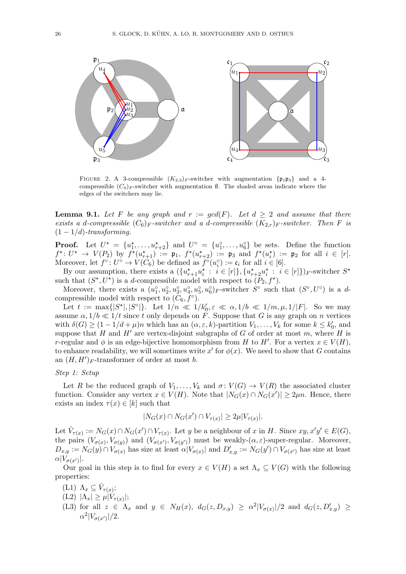<span id="page-25-1"></span>

FIGURE 2. A 3-compressible  $(K_{2,3})_F$ -switcher with augmentation  $\{ \mathfrak{p}_1 \mathfrak{p}_3 \}$  and a 4compressible  $(C_4)_F$ -switcher with augmentation  $\emptyset$ . The shaded areas indicate where the edges of the switchers may lie.

<span id="page-25-0"></span>**Lemma 9.1.** Let F be any graph and  $r := \gcd(F)$ . Let  $d \geq 2$  and assume that there exists a d-compressible  $(C_6)_F$ -switcher and a d-compressible  $(K_{2,r})_F$ -switcher. Then F is  $(1 - 1/d)$ -transforming.

**Proof.** Let  $U^* = \{u_1^*, \ldots, u_{r+2}^*\}$  and  $U^{\circ} = \{u_1^{\circ}, \ldots, u_6^{\circ}\}$  be sets. Define the function  $f^*: U^* \to V(P_2)$  by  $f^*(u_{r+1}^*) := \mathfrak{p}_1$ ,  $f^*(u_{r+2}^*) := \mathfrak{p}_3$  and  $f^*(u_i^*) := \mathfrak{p}_2$  for all  $i \in [r]$ . Moreover, let  $f^{\circ}: U^{\circ} \to V(C_6)$  be defined as  $f^{\circ}(u_i^{\circ}) := \mathfrak{c}_i$  for all  $i \in [6]$ .

By our assumption, there exists a  $(\{u_{r+1}^{\star}u_i^{\star} : i \in [r]\}, \{u_{r+2}^{\star}u_i^{\star} : i \in [r]\})_F$ -switcher  $S^{\star}$ such that  $(S^*, U^*)$  is a d-compressible model with respect to  $(P_2, f^*)$ .

Moreover, there exists a  $(u_1^{\circ}, u_2^{\circ}, u_3^{\circ}, u_4^{\circ}, u_5^{\circ}, u_6^{\circ})_F$ -switcher  $S^{\circ}$  such that  $(S^{\circ}, U^{\circ})$  is a dcompressible model with respect to  $(C_6, f^{\circ})$ .

Let  $t := \max\{|S^*|, |S^{\circ}|\}.$  Let  $1/n \ll 1/k_0', \varepsilon \ll \alpha, 1/b \ll 1/m, \mu, 1/|F|.$  So we may assume  $\alpha$ ,  $1/b \ll 1/t$  since t only depends on F. Suppose that G is any graph on n vertices with  $\delta(G) \ge (1 - 1/d + \mu)n$  which has an  $(\alpha, \varepsilon, k)$ -partition  $V_1, \ldots, V_k$  for some  $k \le k'_0$ , and suppose that H and H' are vertex-disjoint subgraphs of G of order at most m, where H is r-regular and  $\phi$  is an edge-bijective homomorphism from H to H'. For a vertex  $x \in V(H)$ , to enhance readability, we will sometimes write  $x'$  for  $\phi(x)$ . We need to show that G contains an  $(H, H')_F$ -transformer of order at most b.

## Step 1: Setup

Let R be the reduced graph of  $V_1, \ldots, V_k$  and  $\sigma: V(G) \to V(R)$  the associated cluster function. Consider any vertex  $x \in V(H)$ . Note that  $|N_G(x) \cap N_G(x')| \geq 2\mu n$ . Hence, there exists an index  $\tau(x) \in [k]$  such that

$$
|N_G(x) \cap N_G(x') \cap V_{\tau(x)}| \ge 2\mu |V_{\tau(x)}|.
$$

Let  $\hat{V}_{\tau(x)} := N_G(x) \cap N_G(x') \cap V_{\tau(x)}$ . Let y be a neighbour of x in H. Since  $xy, x'y' \in E(G)$ , the pairs  $(V_{\sigma(x)}, V_{\sigma(y)})$  and  $(V_{\sigma(x')}, V_{\sigma(y')})$  must be weakly- $(\alpha, \varepsilon)$ -super-regular. Moreover,  $D_{x,y} := N_G(y) \cap V_{\sigma(x)}$  has size at least  $\alpha|V_{\sigma(x)}|$  and  $D'_{x,y} := N_G(y') \cap V_{\sigma(x')}$  has size at least  $\alpha|V_{\sigma(x')}|.$ 

Our goal in this step is to find for every  $x \in V(H)$  a set  $\Lambda_x \subseteq V(G)$  with the following properties:

- (L1)  $\Lambda_x \subseteq \hat{V}_{\tau(x)}$ ;
- $(L2)$   $|\Lambda_x| \geq \mu |V_{\tau(x)}|;$
- (L3) for all  $z \in \Lambda_x$  and  $y \in N_H(x)$ ,  $d_G(z, D_{x,y}) \geq \alpha^2 |V_{\sigma(x)}|/2$  and  $d_G(z, D'_{x,y}) \geq$  $\alpha^2|V_{\sigma(x')}|/2.$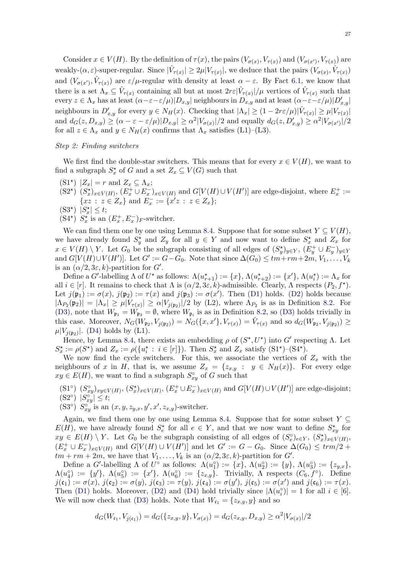Consider  $x \in V(H)$ . By the definition of  $\tau(x)$ , the pairs  $(V_{\sigma(x)}, V_{\tau(x)})$  and  $(V_{\sigma(x')}, V_{\tau(x)})$  are weakly- $(\alpha, \varepsilon)$ -super-regular. Since  $|\hat{V}_{\tau(x)}| \geq 2\mu |V_{\tau(x)}|$ , we deduce that the pairs  $(V_{\sigma(x)}, \hat{V}_{\tau(x)})$ and  $(V_{\sigma(x')}, \hat{V}_{\tau(x)})$  are  $\varepsilon/\mu$ -regular with density at least  $\alpha - \varepsilon$ . By Fact [6.1,](#page-14-3) we know that there is a set  $\Lambda_x \subseteq \hat{V}_{\tau(x)}$  containing all but at most  $2r\epsilon|\hat{V}_{\tau(x)}|/\mu$  vertices of  $\hat{V}_{\tau(x)}$  such that  $\text{every } z \in \Lambda_x \text{ has at least } (\alpha-\varepsilon-\varepsilon/\mu)|D_{x,y}| \text{ neighbours in } D_{x,y} \text{ and at least } (\alpha-\varepsilon-\varepsilon/\mu)|D'_{x,y}|$ neighbours in  $D'_{x,y}$  for every  $y \in N_H(x)$ . Checking that  $|\Lambda_x| \geq (1 - 2r\varepsilon/\mu)|\hat{V}_{\tau(x)}| \geq \mu|V_{\tau(x)}|$ and  $d_G(z, D_{x,y}) \ge (\alpha - \varepsilon - \varepsilon/\mu)|D_{x,y}| \ge \alpha^2 |V_{\sigma(x)}|/2$  and equally  $d_G(z, D'_{x,y}) \ge \alpha^2 |V_{\sigma(x')}|/2$ for all  $z \in \Lambda_x$  and  $y \in N_H(x)$  confirms that  $\Lambda_x$  satisfies (L1)–(L3).

#### Step 2: Finding switchers

We first find the double-star switchers. This means that for every  $x \in V(H)$ , we want to find a subgraph  $S_x^*$  of G and a set  $Z_x \subseteq V(G)$  such that

- <span id="page-26-0"></span> $(S1^*)$   $|Z_x| = r$  and  $Z_x \subseteq \Lambda_x$ ;
- <span id="page-26-1"></span> $(S2^*)$   $(S_x^*)_{x \in V(H)}$ ,  $(E_x^+ \cup E_x^-)_{x \in V(H)}$  and  $G[V(H) \cup V(H')]$  are edge-disjoint, where  $E_x^+ :=$  $\{xz : z \in Z_x\}$  and  $E_x^- := \{x'z : z \in Z_x\};$
- $(S3^{\star})$   $|S_{x}^{\star}| \leq t;$
- <span id="page-26-3"></span> $(S4^{\star})$   $S_x^{\star}$  is an  $(E_x^+, E_x^-)$ <sub>F</sub>-switcher.

We can find them one by one using Lemma [8.4.](#page-21-0) Suppose that for some subset  $Y \subseteq V(H)$ , we have already found  $S_y^*$  and  $Z_y$  for all  $y \in Y$  and now want to define  $S_x^*$  and  $Z_x$  for  $x \in V(H) \setminus Y$ . Let  $G_0$  be the subgraph consisting of all edges of  $(S_y^{\star})_{y \in Y}$ ,  $(E_y^+ \cup E_y^-)_{y \in Y}$ and  $G[V(H) \cup V(H')]$ . Let  $G' := G - G_0$ . Note that since  $\Delta(G_0) \leq tm + rm + 2m, V_1, \ldots, V_k$ is an  $(\alpha/2, 3\varepsilon, k)$ -partition for  $G'$ .

Define a G'-labelling  $\Lambda$  of  $U^*$  as follows:  $\Lambda(u_{r+1}^*) := \{x\}, \Lambda(u_{r+2}^*) := \{x'\}, \Lambda(u_i^*) := \Lambda_x$  for all  $i \in [r]$ . It remains to check that  $\Lambda$  is  $(\alpha/2, 3\varepsilon, k)$ -admissible. Clearly,  $\Lambda$  respects  $(P_2, f^{\star})$ . Let  $j(\mathfrak{p}_1) := \sigma(x)$ ,  $j(\mathfrak{p}_2) := \tau(x)$  and  $j(\mathfrak{p}_3) := \sigma(x')$ . Then [\(D1\)](#page-20-5) holds. [\(D2\)](#page-20-3) holds because  $|\Lambda_{P_2}(\mathfrak{p}_2)| = |\Lambda_x| \ge \mu |V_{\tau(x)}| \ge \alpha |V_{j(\mathfrak{p}_2)}|/2$  by (L2), where  $\Lambda_{P_2}$  is as in Definition [8.2.](#page-20-0) For [\(D3\),](#page-20-2) note that  $W_{\mathfrak{p}_1} = W_{\mathfrak{p}_3} = \emptyset$ , where  $W_{\mathfrak{p}_i}$  is as in Definition [8.2,](#page-20-0) so [\(D3\)](#page-20-2) holds trivially in this case. Moreover,  $N_G(W_{\mathfrak{p}_2}, V_{j(\mathfrak{p}_2)}) = N_G(\{x, x'\}, V_{\tau(x)}) = \hat{V}_{\tau(x)}$  and so  $d_G(W_{\mathfrak{p}_2}, V_{j(\mathfrak{p}_2)}) \ge$  $\mu |V_{j(p_2)}|$ . [\(D4\)](#page-20-4) holds by (L1).

Hence, by Lemma [8.4,](#page-21-0) there exists an embedding  $\rho$  of  $(S^*, U^*)$  into G' respecting  $\Lambda$ . Let  $S_x^* := \rho(S^*)$  and  $Z_x := \rho({u_i^* : i \in [r]})$ . Then  $S_x^*$  and  $Z_x$  satisfy  $(S1^*)$ – $(S4^*)$ .

We now find the cycle switchers. For this, we associate the vertices of  $Z_x$  with the neighbours of x in H, that is, we assume  $Z_x = \{z_{x,y} : y \in N_H(x)\}.$  For every edge  $xy \in E(H)$ , we want to find a subgraph  $S_{xy}^{\circ}$  of G such that

- $(S1^{\circ})$   $(S_{xy}^{\circ})_{xy\in V(H)}$ ,  $(S_x^{\star})_{x\in V(H)}$ ,  $(E_x^+\cup E_x^-)_{x\in V(H)}$  and  $G[V(H)\cup V(H')]$  are edge-disjoint;  $(S2^{\circ})$   $|S_{xy}^{\circ}| \leq t;$
- <span id="page-26-2"></span>(S3°)  $S_{xy}^{\circ}$  is an  $(x, y, z_{y,x}, y', x', z_{x,y})$ -switcher.

Again, we find them one by one using Lemma [8.4.](#page-21-0) Suppose that for some subset  $Y \subseteq$  $E(H)$ , we have already found  $S_e^*$  for all  $e \in Y$ , and that we now want to define  $S_{xy}^*$  for  $xy \in E(H) \setminus Y$ . Let  $G_0$  be the subgraph consisting of all edges of  $(S_e^{\circ})_{e \in Y}$ ,  $(S_x^{\star})_{x \in V(H)}$ ,  $(E_x^+ \cup E_x^-)_{x \in V(H)}$  and  $G[V(H) \cup V(H')]$  and let  $G' := G - G_0$ . Since  $\Delta(G_0) \leq \text{tr}m/2 +$  $tm + rm + 2m$ , we have that  $V_1, \ldots, V_k$  is an  $(\alpha/2, 3\varepsilon, k)$ -partition for G'.

Define a G'-labelling  $\Lambda$  of  $U^{\circ}$  as follows:  $\Lambda(u_1^{\circ}) := \{x\}, \Lambda(u_2^{\circ}) := \{y\}, \Lambda(u_3^{\circ}) := \{z_{y,x}\},\$  $\Lambda(u_4^{\circ}) := \{y'\}, \ \Lambda(u_5^{\circ}) := \{x'\}, \ \Lambda(u_6^{\circ}) := \{z_{x,y}\}.$  Trivially,  $\Lambda$  respects  $(C_6, f^{\circ})$ . Define  $j(\mathfrak{c}_1) := \sigma(x), \, j(\mathfrak{c}_2) := \sigma(y), \, j(\mathfrak{c}_3) := \tau(y), \, j(\mathfrak{c}_4) := \sigma(y'), \, j(\mathfrak{c}_5) := \sigma(x') \, \, \text{and} \, \, j(\mathfrak{c}_6) := \tau(x).$ Then [\(D1\)](#page-20-5) holds. Moreover, [\(D2\)](#page-20-3) and [\(D4\)](#page-20-4) hold trivially since  $|\Lambda(u_i^{\circ})| = 1$  for all  $i \in [6]$ . We will now check that [\(D3\)](#page-20-2) holds. Note that  $W_{\mathfrak{c}_1} = \{z_{x,y}, y\}$  and so

$$
d_G(W_{\mathfrak{c}_1}, V_{j(\mathfrak{c}_1)}) = d_G(\{z_{x,y}, y\}, V_{\sigma(x)}) = d_G(z_{x,y}, D_{x,y}) \ge \alpha^2 |V_{\sigma(x)}|/2
$$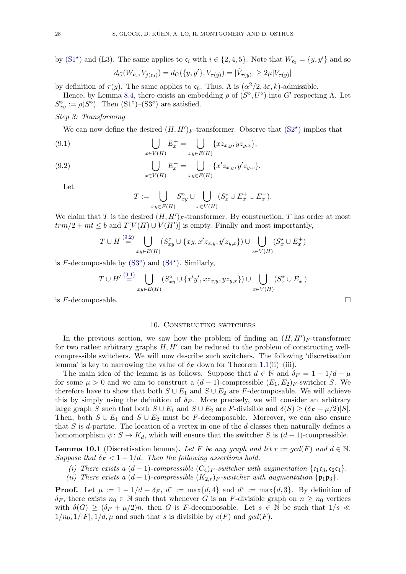by [\(S1](#page-26-0)<sup>\*</sup>) and (L3). The same applies to  $c_i$  with  $i \in \{2, 4, 5\}$ . Note that  $W_{c_3} = \{y, y'\}$  and so

$$
d_G(W_{\mathfrak{c}_1}, V_{j(\mathfrak{c}_3)}) = d_G(\{y, y'\}, V_{\tau(y)}) = |\hat{V}_{\tau(y)}| \ge 2\mu|V_{\tau(y)}|
$$

by definition of  $\tau(y)$ . The same applies to  $\mathfrak{c}_6$ . Thus,  $\Lambda$  is  $(\alpha^2/2, 3\varepsilon, k)$ -admissible.

Hence, by Lemma [8.4,](#page-21-0) there exists an embedding  $\rho$  of  $(S^{\circ}, U^{\circ})$  into G' respecting  $\Lambda$ . Let  $S_{xy}^{\circ} := \rho(S^{\circ})$ . Then  $(S1^{\circ})$ - $(S3^{\circ})$  are satisfied.

Step 3: Transforming

We can now define the desired  $(H, H')_F$ -transformer. Observe that  $(S2^*)$  $(S2^*)$  implies that

<span id="page-27-2"></span>(9.1) 
$$
\bigcup_{x \in V(H)} E_x^+ = \bigcup_{xy \in E(H)} \{xz_{x,y}, yz_{y,x}\},
$$

<span id="page-27-1"></span>(9.2) 
$$
\bigcup_{x \in V(H)} E_x^- = \bigcup_{xy \in E(H)} \{x'z_{x,y}, y'z_{y,x}\}.
$$

Let

$$
T := \bigcup_{xy \in E(H)} S_{xy}^{\circ} \cup \bigcup_{x \in V(H)} (S_x^{\star} \cup E_x^+ \cup E_x^-).
$$

We claim that T is the desired  $(H, H')_F$ -transformer. By construction, T has order at most  $trm/2 + mt \leq b$  and  $T[V(H) \cup V(H')]$  is empty. Finally and most importantly,

$$
T \cup H \stackrel{(9.2)}{=} \bigcup_{xy \in E(H)} (S_{xy}^{\circ} \cup \{xy, x'z_{x,y}, y'z_{y,x}\}) \cup \bigcup_{x \in V(H)} (S_x^{\star} \cup E_x^+)
$$

is  $F$ -decomposable by  $(S3^{\circ})$  $(S3^{\circ})$  and  $(S4^{\star})$  $(S4^{\star})$ . Similarly,

$$
T \cup H' \stackrel{\text{(9.1)}}{=} \bigcup_{xy \in E(H)} (S_{xy}^{\circ} \cup \{x'y', xz_{x,y}, yz_{y,x}\}) \cup \bigcup_{x \in V(H)} (S_x^{\star} \cup E_x^{-})
$$

is  $F$ -decomposable.

#### 10. Constructing switchers

<span id="page-27-0"></span>In the previous section, we saw how the problem of finding an  $(H, H')_F$ -transformer for two rather arbitrary graphs  $H, H'$  can be reduced to the problem of constructing wellcompressible switchers. We will now describe such switchers. The following 'discretisation lemma' is key to narrowing the value of  $\delta_F$  down for Theorem [1.1\(](#page-1-0)ii)–(iii).

The main idea of the lemma is as follows. Suppose that  $d \in \mathbb{N}$  and  $\delta_F = 1 - 1/d - \mu$ for some  $\mu > 0$  and we aim to construct a  $(d-1)$ -compressible  $(E_1, E_2)$ <sub>F</sub>-switcher S. We therefore have to show that both  $S \cup E_1$  and  $S \cup E_2$  are F-decomposable. We will achieve this by simply using the definition of  $\delta_F$ . More precisely, we will consider an arbitrary large graph S such that both  $S \cup E_1$  and  $S \cup E_2$  are F-divisible and  $\delta(S) \geq (\delta_F + \mu/2)|S|$ . Then, both  $S \cup E_1$  and  $S \cup E_2$  must be F-decomposable. Moreover, we can also ensure that S is d-partite. The location of a vertex in one of the  $d$  classes then naturally defines a homomorphism  $\psi: S \to K_d$ , which will ensure that the switcher S is  $(d-1)$ -compressible.

<span id="page-27-3"></span>**Lemma 10.1** (Discretisation lemma). Let F be any graph and let  $r := \gcd(F)$  and  $d \in \mathbb{N}$ . Suppose that  $\delta_F < 1 - 1/d$ . Then the following assertions hold.

- (i) There exists a  $(d-1)$ -compressible  $(C_4)_F$ -switcher with augmentation  $\{\mathfrak{c}_1\mathfrak{c}_3,\mathfrak{c}_2\mathfrak{c}_4\}.$
- (ii) There exists a  $(d-1)$ -compressible  $(K_{2,r})_F$ -switcher with augmentation  $\{\mathfrak{p}_1 \mathfrak{p}_3\}$ .

**Proof.** Let  $\mu := 1 - 1/d - \delta_F$ ,  $d^{\circ} := \max\{d, 4\}$  and  $d^{\star} := \max\{d, 3\}$ . By definition of  $\delta_F$ , there exists  $n_0 \in \mathbb{N}$  such that whenever G is an F-divisible graph on  $n \geq n_0$  vertices with  $\delta(G) \geq (\delta_F + \mu/2)n$ , then G is F-decomposable. Let  $s \in \mathbb{N}$  be such that  $1/s \ll$  $1/n_0$ ,  $1/|F|$ ,  $1/d$ ,  $\mu$  and such that s is divisible by  $e(F)$  and  $gcd(F)$ .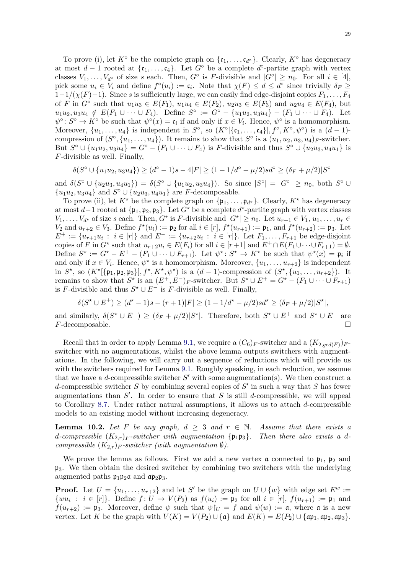To prove (i), let  $K^{\circ}$  be the complete graph on  $\{\mathfrak{c}_1,\ldots,\mathfrak{c}_{d^{\circ}}\}$ . Clearly,  $K^{\circ}$  has degeneracy at most  $d-1$  rooted at  $\{c_1,\ldots,c_4\}$ . Let  $G^{\circ}$  be a complete  $d^{\circ}$ -partite graph with vertex classes  $V_1, \ldots, V_{d^{\circ}}$  of size s each. Then,  $G^{\circ}$  is F-divisible and  $|G^{\circ}| \geq n_0$ . For all  $i \in [4]$ , pick some  $u_i \in V_i$  and define  $f^{\circ}(u_i) := \mathfrak{c}_i$ . Note that  $\chi(F) \leq d \leq d^{\circ}$  since trivially  $\delta_F \geq$  $1-1/(\chi(F)-1)$ . Since s is sufficiently large, we can easily find edge-disjoint copies  $F_1, \ldots, F_4$ of F in  $G^{\circ}$  such that  $u_1u_3 \in E(F_1)$ ,  $u_1u_4 \in E(F_2)$ ,  $u_2u_3 \in E(F_3)$  and  $u_2u_4 \in E(F_4)$ , but  $u_1u_2, u_3u_4 \notin E(F_1 \cup \cdots \cup F_4)$ . Define  $S^{\circ} := G^{\circ} - \{u_1u_2, u_3u_4\} - (F_1 \cup \cdots \cup F_4)$ . Let  $\psi^{\circ} \colon S^{\circ} \to K^{\circ}$  be such that  $\psi^{\circ}(x) = \mathfrak{c}_i$  if and only if  $x \in V_i$ . Hence,  $\psi^{\circ}$  is a homomorphism. Moreover,  $\{u_1, \ldots, u_4\}$  is independent in  $S^{\circ}$ , so  $(K^{\circ}[\{\mathfrak{c}_1, \ldots, \mathfrak{c}_4\}], f^{\circ}, K^{\circ}, \psi^{\circ})$  is a  $(d-1)$ compression of  $(S^{\circ}, \{u_1, \ldots, u_4\})$ . It remains to show that  $S^{\circ}$  is a  $(u_1, u_2, u_3, u_4)_F$ -switcher. But  $S^{\circ} \cup \{u_1u_2, u_3u_4\} = G^{\circ} - (F_1 \cup \cdots \cup F_4)$  is F-divisible and thus  $S^{\circ} \cup \{u_2u_3, u_4u_1\}$  is F-divisible as well. Finally,

$$
\delta(S^{\circ} \cup \{u_1u_2, u_3u_4\}) \ge (d^{\circ} - 1)s - 4|F| \ge (1 - 1/d^{\circ} - \mu/2)sd^{\circ} \ge (\delta_F + \mu/2)|S^{\circ}|
$$

and  $\delta(S^{\circ} \cup \{u_2u_3, u_4u_1\}) = \delta(S^{\circ} \cup \{u_1u_2, u_3u_4\})$ . So since  $|S^{\circ}| = |G^{\circ}| \ge n_0$ , both  $S^{\circ} \cup$  ${u_1u_2, u_3u_4}$  and  $S^{\circ} \cup {u_2u_3, u_4u_1}$  are *F*-decomposable.

To prove (ii), let  $K^*$  be the complete graph on  $\{\mathfrak{p}_1,\ldots,\mathfrak{p}_{d^*}\}$ . Clearly,  $K^*$  has degeneracy at most d–1 rooted at  $\{\mathfrak{p}_1, \mathfrak{p}_2, \mathfrak{p}_3\}$ . Let  $G^*$  be a complete d\*-partite graph with vertex classes  $V_1, \ldots, V_{d^*}$  of size s each. Then,  $G^*$  is F-divisible and  $|G^*| \geq n_0$ . Let  $u_{r+1} \in V_1, u_1, \ldots, u_r \in$  $V_2$  and  $u_{r+2} \in V_3$ . Define  $f^*(u_i) := \mathfrak{p}_2$  for all  $i \in [r]$ ,  $f^*(u_{r+1}) := \mathfrak{p}_1$ , and  $f^*(u_{r+2}) := \mathfrak{p}_3$ . Let  $E^+ := \{u_{r+1}u_i : i \in [r]\}\$  and  $E^- := \{u_{r+2}u_i : i \in [r]\}\$ . Let  $F_1, \ldots, F_{r+1}$  be edge-disjoint copies of F in  $G^*$  such that  $u_{r+2}u_i \in E(F_i)$  for all  $i \in [r+1]$  and  $E^+ \cap E(F_1 \cup \cdots \cup F_{r+1}) = \emptyset$ . Define  $S^* := G^* - E^+ - (F_1 \cup \cdots \cup F_{r+1})$ . Let  $\psi^* : S^* \to K^*$  be such that  $\psi^*(x) = \mathfrak{p}_i$  if and only if  $x \in V_i$ . Hence,  $\psi^*$  is a homomorphism. Moreover,  $\{u_1, \ldots, u_{r+2}\}$  is independent in  $S^*$ , so  $(K^*[\{\mathfrak{p}_1, \mathfrak{p}_2, \mathfrak{p}_3\}], f^*, K^*, \psi^*)$  is a  $(d-1)$ -compression of  $(S^*, \{u_1, \ldots, u_{r+2}\})$ . It remains to show that  $S^*$  is an  $(E^+, E^-)$ <sub>F</sub>-switcher. But  $S^* \cup E^+ = G^* - (F_1 \cup \cdots \cup F_{r+1})$ is F-divisible and thus  $S^* \cup E^-$  is F-divisible as well. Finally,

$$
\delta(S^{\star} \cup E^{+}) \ge (d^{\star} - 1)s - (r + 1)|F| \ge (1 - 1/d^{\star} - \mu/2)sd^{\star} \ge (\delta_{F} + \mu/2)|S^{\star}|,
$$

and similarly,  $\delta(S^* \cup E^-) \ge (\delta_F + \mu/2)|S^*|$ . Therefore, both  $S^* \cup E^+$  and  $S^* \cup E^-$  are  $F$ -decomposable.

Recall that in order to apply Lemma [9.1,](#page-25-0) we require a  $(C_6)_F$ -switcher and a  $(K_{2,gcd(F)})_F$ switcher with no augmentations, whilst the above lemma outputs switchers with augmentations. In the following, we will carry out a sequence of reductions which will provide us with the switchers required for Lemma [9.1.](#page-25-0) Roughly speaking, in each reduction, we assume that we have a d-compressible switcher  $S'$  with some augmentation(s). We then construct a d-compressible switcher S by combining several copies of  $S'$  in such a way that S has fewer augmentations than  $S'$ . In order to ensure that S is still d-compressible, we will appeal to Corollary [8.7.](#page-23-1) Under rather natural assumptions, it allows us to attach  $d$ -compressible models to an existing model without increasing degeneracy.

<span id="page-28-0"></span>**Lemma 10.2.** Let F be any graph,  $d \geq 3$  and  $r \in \mathbb{N}$ . Assume that there exists a d-compressible  $(K_{2,r})_F$ -switcher with augmentation  $\{ \mathfrak{p}_1 \mathfrak{p}_3 \}$ . Then there also exists a dcompressible  $(K_{2,r})_F$ -switcher (with augmentation  $\emptyset$ ).

We prove the lemma as follows. First we add a new vertex  $\boldsymbol{\mathfrak{a}}$  connected to  $\mathfrak{p}_1$ ,  $\mathfrak{p}_2$  and  $\mathfrak{p}_3$ . We then obtain the desired switcher by combining two switchers with the underlying augmented paths  $\mathfrak{p}_1 \mathfrak{p}_2 \mathfrak{a}$  and  $\mathfrak{a} \mathfrak{p}_2 \mathfrak{p}_3$ .

**Proof.** Let  $U = \{u_1, \ldots, u_{r+2}\}\$ and let S' be the graph on  $U \cup \{w\}$  with edge set  $E^w :=$  $\{wu_i : i \in [r]\}.$  Define  $f: U \to V(P_2)$  as  $f(u_i) := \mathfrak{p}_2$  for all  $i \in [r], f(u_{r+1}) := \mathfrak{p}_1$  and  $f(u_{r+2}) := \mathfrak{p}_3$ . Moreover, define  $\psi$  such that  $\psi|_U = f$  and  $\psi(w) := \mathfrak{a}$ , where  $\mathfrak{a}$  is a new vertex. Let K be the graph with  $V(K) = V(P_2) \cup \{\mathfrak{a}\}\$ and  $E(K) = E(P_2) \cup \{\mathfrak{a}\mathfrak{p}_1, \mathfrak{a}\mathfrak{p}_2, \mathfrak{a}\mathfrak{p}_3\}.$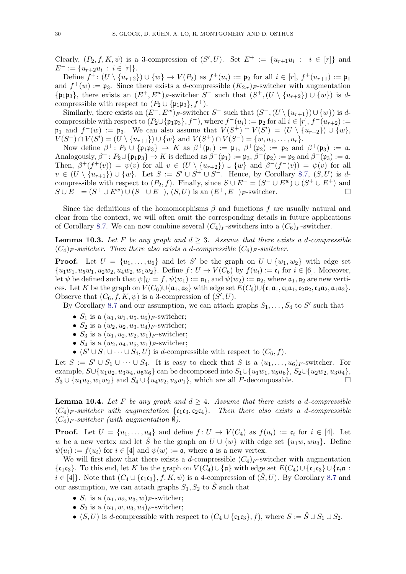Clearly,  $(P_2, f, K, \psi)$  is a 3-compression of  $(S', U)$ . Set  $E^+ := \{u_{r+1}u_i : i \in [r]\}\$ and  $E^- := \{u_{r+2}u_i : i \in [r]\}.$ 

Define  $f^{\pm}$ :  $(U \setminus \{u_{r+2}\}) \cup \{w\} \to V(P_2)$  as  $f^{\pm}(u_i) := \mathfrak{p}_2$  for all  $i \in [r], f^{\pm}(u_{r+1}) := \mathfrak{p}_1$ and  $f^+(w) := \mathfrak{p}_3$ . Since there exists a d-compressible  $(K_{2,r})_F$ -switcher with augmentation  $\{\mathfrak{p}_1 \mathfrak{p}_3\}$ , there exists an  $(E^+, E^w)_F$ -switcher  $S^+$  such that  $(S^+, (U \setminus \{u_{r+2}\}) \cup \{w\})$  is dcompressible with respect to  $(P_2 \cup \{\mathfrak{p}_1 \mathfrak{p}_3\}, f^+).$ 

Similarly, there exists an  $(E^-, E^w)_F$ -switcher S<sup>-</sup> such that  $(S^-, (U \setminus \{u_{r+1}\}) \cup \{w\})$  is dcompressible with respect to  $(P_2 \cup {\mathfrak{p}_1 \mathfrak{p}_3}, f^-)$ , where  $f^-(u_i) := \mathfrak{p}_2$  for all  $i \in [r], f^-(u_{r+2}) :=$  $\mathfrak{p}_1$  and  $f^-(w) := \mathfrak{p}_3$ . We can also assume that  $V(S^+) \cap V(S') = (U \setminus \{u_{r+2}\}) \cup \{w\},$  $V(S^-) \cap V(S') = (U \setminus \{u_{r+1}\}) \cup \{w\}$  and  $V(S^+) \cap V(S^-) = \{w, u_1, \ldots, u_r\}.$ 

Now define  $\beta^+$ :  $P_2 \cup {\mathfrak{p}_1 \mathfrak{p}_3} \rightarrow K$  as  $\beta^+ (\mathfrak{p}_1) := \mathfrak{p}_1$ ,  $\beta^+ (\mathfrak{p}_2) := \mathfrak{p}_2$  and  $\beta^+ (\mathfrak{p}_3) := \mathfrak{a}$ . Analogously,  $\beta^-: P_2 \cup {\mathfrak{p}_1 \mathfrak{p}_3} \to K$  is defined as  $\beta^-({\mathfrak{p}_1}) := {\mathfrak{p}_3}, \beta^-({\mathfrak{p}_2}) := {\mathfrak{p}_2}$  and  $\beta^-({\mathfrak{p}_3}) := {\mathfrak{a}}$ . Then,  $\beta^+(f^+(v)) = \psi(v)$  for all  $v \in (U \setminus \{u_{r+2}\}) \cup \{w\}$  and  $\beta^-(f^-(v)) = \psi(v)$  for all  $v \in (U \setminus \{u_{r+1}\}) \cup \{w\}$ . Let  $S := S' \cup S^+ \cup S^-$ . Hence, by Corollary [8.7,](#page-23-1)  $(S, U)$  is dcompressible with respect to  $(P_2, f)$ . Finally, since  $S \cup E^+ = (S^- \cup E^w) \cup (S^+ \cup E^+)$  and  $S \cup E^- = (S^+ \cup E^w) \cup (S^- \cup E^-), (S, U)$  is an  $(E^+, E^-)$ <sub>F</sub>-switcher.

Since the definitions of the homomorphisms  $\beta$  and functions f are usually natural and clear from the context, we will often omit the corresponding details in future applications of Corollary [8.7.](#page-23-1) We can now combine several  $(C_4)_F$ -switchers into a  $(C_6)_F$ -switcher.

<span id="page-29-0"></span>**Lemma 10.3.** Let F be any graph and  $d \geq 3$ . Assume that there exists a d-compressible  $(C_4)_F$ -switcher. Then there also exists a d-compressible  $(C_6)_F$ -switcher.

**Proof.** Let  $U = \{u_1, \ldots, u_6\}$  and let S' be the graph on  $U \cup \{w_1, w_2\}$  with edge set  $\{u_1w_1, u_5w_1, u_2w_2, u_4w_2, w_1w_2\}$ . Define  $f: U \to V(C_6)$  by  $f(u_i) := \mathfrak{c}_i$  for  $i \in [6]$ . Moreover, let  $\psi$  be defined such that  $\psi|_{U} = f$ ,  $\psi(w_1) := \mathfrak{a}_1$ , and  $\psi(w_2) := \mathfrak{a}_2$ , where  $\mathfrak{a}_1$ ,  $\mathfrak{a}_2$  are new vertices. Let K be the graph on  $V(C_6) \cup \{ \mathfrak{a}_1, \mathfrak{a}_2 \}$  with edge set  $E(C_6) \cup \{ \mathfrak{c}_1 \mathfrak{a}_1, \mathfrak{c}_5 \mathfrak{a}_1, \mathfrak{c}_2 \mathfrak{a}_2, \mathfrak{c}_4 \mathfrak{a}_2, \mathfrak{a}_1 \mathfrak{a}_2 \}.$ Observe that  $(C_6, f, K, \psi)$  is a 3-compression of  $(S', U)$ .

By Corollary [8.7](#page-23-1) and our assumption, we can attach graphs  $S_1, \ldots, S_4$  to S' such that

- $S_1$  is a  $(u_1, w_1, u_5, u_6)$ <sub>F</sub>-switcher;
- $S_2$  is a  $(w_2, u_2, u_3, u_4)_F$ -switcher;
- $S_3$  is a  $(u_1, u_2, w_2, w_1)_{F}$ -switcher;
- $S_4$  is a  $(w_2, u_4, u_5, w_1)_{F}$ -switcher;
- $(S' \cup S_1 \cup \cdots \cup S_4, U)$  is d-compressible with respect to  $(C_6, f)$ .

Let  $S := S' \cup S_1 \cup \cdots \cup S_4$ . It is easy to check that S is a  $(u_1, \ldots, u_6)$ <sub>F</sub>-switcher. For example,  $S \cup \{u_1u_2, u_3u_4, u_5u_6\}$  can be decomposed into  $S_1 \cup \{u_1w_1, u_5u_6\}$ ,  $S_2 \cup \{u_2w_2, u_3u_4\}$ ,  $S_3 \cup \{u_1u_2, w_1w_2\}$  and  $S_4 \cup \{u_4w_2, u_5w_1\}$ , which are all F-decomposable.

<span id="page-29-1"></span>**Lemma 10.4.** Let F be any graph and  $d \geq 4$ . Assume that there exists a d-compressible  $(C_4)$ <sub>F</sub>-switcher with augmentation  $\{c_1c_3,c_2c_4\}$ . Then there also exists a d-compressible  $(C_4)_F$ -switcher (with augmentation  $\emptyset$ ).

**Proof.** Let  $U = \{u_1, \ldots, u_4\}$  and define  $f: U \to V(C_4)$  as  $f(u_i) := c_i$  for  $i \in [4]$ . Let w be a new vertex and let S<sup>s</sup> be the graph on  $U \cup \{w\}$  with edge set  $\{u_1w, w_3\}$ . Define  $\psi(u_i) := f(u_i)$  for  $i \in [4]$  and  $\psi(w) := \mathfrak{a}$ , where  $\mathfrak{a}$  is a new vertex.

We will first show that there exists a d-compressible  $(C_4)_F$ -switcher with augmentation  $\{\mathfrak{c}_1\mathfrak{c}_3\}.$  To this end, let K be the graph on  $V(C_4)\cup \{\mathfrak{a}\}\)$  with edge set  $E(C_4)\cup \{\mathfrak{c}_1\mathfrak{c}_3\}\cup \{\mathfrak{c}_i\mathfrak{a}$ :  $i \in [4]$ . Note that  $(C_4 \cup {\mathfrak{c}_1 \mathfrak{c}_3}$ ,  $f, K, \psi)$  is a 4-compression of  $(\hat{S}, U)$ . By Corollary [8.7](#page-23-1) and our assumption, we can attach graphs  $S_1, S_2$  to  $\hat{S}$  such that

- $S_1$  is a  $(u_1, u_2, u_3, w)_F$ -switcher;
- $S_2$  is a  $(u_1, w, u_3, u_4)$ <sub>F</sub>-switcher;
- (S, U) is d-compressible with respect to  $(C_4 \cup {\mathfrak{c}}_1{\mathfrak{c}}_3)$ , f), where  $S := \hat{S} \cup S_1 \cup S_2$ .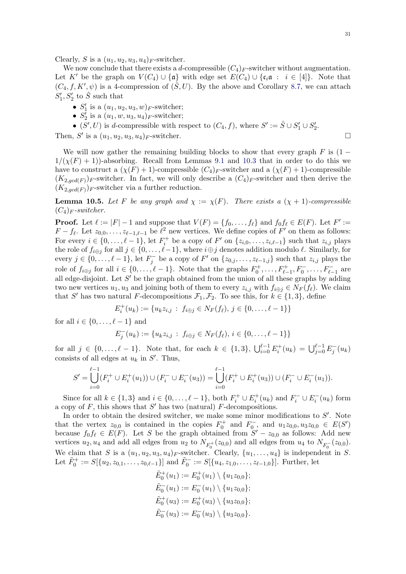Clearly, S is a  $(u_1, u_2, u_3, u_4)_F$ -switcher.

We now conclude that there exists a d-compressible  $(C_4)_F$ -switcher without augmentation. Let K' be the graph on  $V(C_4) \cup \{\mathfrak{a}\}\$  with edge set  $E(C_4) \cup \{\mathfrak{c}_i \mathfrak{a} : i \in [4]\}\$ . Note that  $(C_4, f, K', \psi)$  is a 4-compression of  $(\hat{S}, U)$ . By the above and Corollary [8.7,](#page-23-1) we can attach  $S_1', S_2'$  to  $\hat{S}$  such that

- $S'_1$  is a  $(u_1, u_2, u_3, w)_F$ -switcher;
- $S_2^{\prime}$  is a  $(u_1, w, u_3, u_4)_F$ -switcher;
- $(S', U)$  is d-compressible with respect to  $(C_4, f)$ , where  $S' := \hat{S} \cup S'_1 \cup S'_2$ .

Then, S' is a  $(u_1, u_2, u_3, u_4)_F$ -switcher.

We will now gather the remaining building blocks to show that every graph  $F$  is (1 –  $1/(\chi(F) + 1)$ -absorbing. Recall from Lemmas [9.1](#page-25-0) and [10.3](#page-29-0) that in order to do this we have to construct a  $(\chi(F) + 1)$ -compressible  $(C_4)_F$ -switcher and a  $(\chi(F) + 1)$ -compressible  $(K_{2,gcd(F)})_F$ -switcher. In fact, we will only describe a  $(C_4)_F$ -switcher and then derive the  $(K_{2,gcd(F)})_F$ -switcher via a further reduction.

<span id="page-30-0"></span>**Lemma 10.5.** Let F be any graph and  $\chi := \chi(F)$ . There exists a  $(\chi + 1)$ -compressible  $(C_4)$ <sub>F</sub>-switcher.

**Proof.** Let  $\ell := |F| - 1$  and suppose that  $V(F) = \{f_0, \ldots, f_\ell\}$  and  $f_0f_\ell \in E(F)$ . Let  $F' :=$  $F - f_\ell$ . Let  $z_{0,0}, \ldots, z_{\ell-1,\ell-1}$  be  $\ell^2$  new vertices. We define copies of  $F'$  on them as follows: For every  $i \in \{0, \ldots, \ell - 1\}$ , let  $F_i^+$  be a copy of  $F'$  on  $\{z_{i,0}, \ldots, z_{i,\ell-1}\}$  such that  $z_{i,j}$  plays the role of  $f_{i\oplus j}$  for all  $j \in \{0, \ldots, \ell-1\}$ , where  $i\oplus j$  denotes addition modulo  $\ell$ . Similarly, for every  $j \in \{0, \ldots, \ell - 1\}$ , let  $F_j^-$  be a copy of  $F'$  on  $\{z_{0,j}, \ldots, z_{\ell-1,j}\}$  such that  $z_{i,j}$  plays the role of  $f_{i \oplus j}$  for all  $i \in \{0, ..., \ell - 1\}$ . Note that the graphs  $F_0^+, ..., F_{\ell-1}^+, F_0^-, ..., F_{\ell-1}^-$  are all edge-disjoint. Let  $S'$  be the graph obtained from the union of all these graphs by adding two new vertices  $u_1, u_3$  and joining both of them to every  $z_{i,j}$  with  $f_{i \oplus j} \in N_F(f_\ell)$ . We claim that S' has two natural F-decompositions  $\mathcal{F}_1, \mathcal{F}_2$ . To see this, for  $k \in \{1,3\}$ , define

$$
E_i^+(u_k) := \{u_k z_{i,j} : f_{i \oplus j} \in N_F(f_\ell), j \in \{0, \ldots, \ell - 1\}\}
$$

for all  $i \in \{0, \ldots, \ell - 1\}$  and

$$
E_j^-(u_k) := \{ u_k z_{i,j} : f_{i \oplus j} \in N_F(f_\ell), i \in \{0, \ldots, \ell - 1\} \}
$$

for all  $j \in \{0, \ldots, \ell - 1\}$ . Note that, for each  $k \in \{1, 3\}$ ,  $\bigcup_{i=0}^{\ell-1} E_i^+(u_k) = \bigcup_{j=0}^{\ell-1} E_j^-(u_k)$ consists of all edges at  $u_k$  in  $S'$ . Thus,

$$
S' = \bigcup_{i=0}^{\ell-1} (F_i^+ \cup E_i^+(u_1)) \cup (F_i^- \cup E_i^-(u_3)) = \bigcup_{i=0}^{\ell-1} (F_i^+ \cup E_i^+(u_3)) \cup (F_i^- \cup E_i^-(u_1)).
$$

Since for all  $k \in \{1,3\}$  and  $i \in \{0,\ldots,\ell-1\}$ , both  $F_i^+ \cup E_i^+(u_k)$  and  $F_i^- \cup E_i^-(u_k)$  form a copy of  $F$ , this shows that  $S'$  has two (natural)  $F$ -decompositions.

In order to obtain the desired switcher, we make some minor modifications to  $S'$ . Note that the vertex  $z_{0,0}$  is contained in the copies  $F_0^+$  and  $F_0^-$ , and  $u_1z_{0,0}, u_3z_{0,0} \in E(S')$ because  $f_0f_\ell \in E(F)$ . Let S be the graph obtained from  $S'-z_{0,0}$  as follows: Add new vertices  $u_2, u_4$  and add all edges from  $u_2$  to  $N_{F_0^+}(z_{0,0})$  and all edges from  $u_4$  to  $N_{F_0^-}(z_{0,0})$ . We claim that S is a  $(u_1, u_2, u_3, u_4)_F$ -switcher. Clearly,  $\{u_1, \ldots, u_4\}$  is independent in S. Let  $\tilde{F}_0^+ := S[\{u_2, z_{0,1}, \ldots, z_{0,\ell-1}\}]$  and  $\tilde{F}_0^- := S[\{u_4, z_{1,0}, \ldots, z_{\ell-1,0}\}]$ . Further, let

$$
\tilde{E}_0^+(u_1) := E_0^+(u_1) \setminus \{u_1z_{0,0}\};
$$
\n
$$
\tilde{E}_0^-(u_1) := E_0^-(u_1) \setminus \{u_1z_{0,0}\};
$$
\n
$$
\tilde{E}_0^+(u_3) := E_0^+(u_3) \setminus \{u_3z_{0,0}\};
$$
\n
$$
\tilde{E}_0^-(u_3) := E_0^-(u_3) \setminus \{u_3z_{0,0}\}.
$$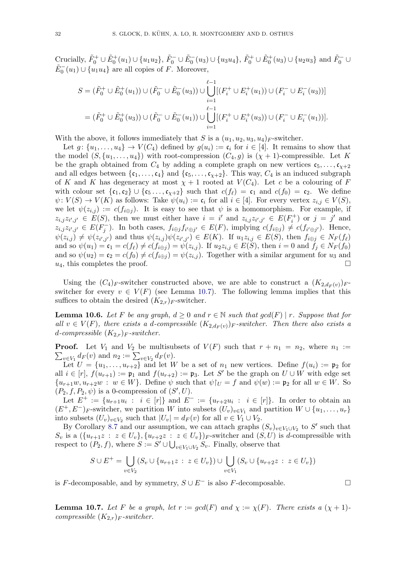Crucially,  $\tilde{F}_0^+ \cup \tilde{E}_0^+(u_1) \cup \{u_1u_2\}$ ,  $\tilde{F}_0^- \cup \tilde{E}_0^-(u_3) \cup \{u_3u_4\}$ ,  $\tilde{F}_0^+ \cup \tilde{E}_0^+(u_3) \cup \{u_2u_3\}$  and  $\tilde{F}_0^- \cup$  $\tilde{E}_0^-(u_1) \cup \{u_1u_4\}$  are all copies of F. Moreover,

$$
S = (\tilde{F}_0^+ \cup \tilde{E}_0^+(u_1)) \cup (\tilde{F}_0^- \cup \tilde{E}_0^-(u_3)) \cup \bigcup_{i=1}^{\ell-1} [(F_i^+ \cup E_i^+(u_1)) \cup (F_i^- \cup E_i^-(u_3))] = (\tilde{F}_0^+ \cup \tilde{E}_0^+(u_3)) \cup (\tilde{F}_0^- \cup \tilde{E}_0^-(u_1)) \cup \bigcup_{i=1}^{\ell-1} [(F_i^+ \cup E_i^+(u_3)) \cup (F_i^- \cup E_i^-(u_1))].
$$

With the above, it follows immediately that S is a  $(u_1, u_2, u_3, u_4)_F$ -switcher.

Let  $g: \{u_1, \ldots, u_4\} \to V(C_4)$  defined by  $g(u_i) := \mathfrak{c}_i$  for  $i \in [4]$ . It remains to show that the model  $(S, \{u_1, \ldots, u_4\})$  with root-compression  $(C_4, g)$  is  $(\chi + 1)$ -compressible. Let K be the graph obtained from  $C_4$  by adding a complete graph on new vertices  $c_5, \ldots, c_{\chi+2}$ and all edges between  $\{\mathfrak{c}_1,\ldots,\mathfrak{c}_4\}$  and  $\{\mathfrak{c}_5,\ldots,\mathfrak{c}_{\chi+2}\}$ . This way,  $C_4$  is an induced subgraph of K and K has degeneracy at most  $\chi + 1$  rooted at  $V(C_4)$ . Let c be a colouring of F with colour set  $\{\mathfrak{c}_1,\mathfrak{c}_2\} \cup \{\mathfrak{c}_5 \ldots,\mathfrak{c}_{\chi+2}\}$  such that  $c(f_\ell) = \mathfrak{c}_1$  and  $c(f_0) = \mathfrak{c}_2$ . We define  $\psi: V(S) \to V(K)$  as follows: Take  $\psi(u_i) := \mathfrak{c}_i$  for all  $i \in [4]$ . For every vertex  $z_{i,j} \in V(S)$ , we let  $\psi(z_{i,j}) := c(f_{i\oplus j})$ . It is easy to see that  $\psi$  is a homomorphism. For example, if  $z_{i,j}z_{i',j'} \in E(S)$ , then we must either have  $i = i'$  and  $z_{i,j}z_{i',j'} \in E(F_i^+)$  or  $j = j'$  and  $z_{i,j} z_{i',j'} \in E(F_j^-)$ . In both cases,  $f_{i \oplus j} f_{i' \oplus j'} \in E(F)$ , implying  $c(f_{i \oplus j}) \neq c(f_{i' \oplus j'})$ . Hence,  $\psi(z_{i,j}) \neq \psi(z_{i',j'})$  and thus  $\psi(z_{i,j})\psi(z_{i',j'}) \in E(K)$ . If  $u_1z_{i,j} \in E(S)$ , then  $f_{i\oplus j} \in N_F(f_{\ell})$ and so  $\psi(u_1) = \mathfrak{c}_1 = c(f_\ell) \neq c(f_{i \oplus j}) = \psi(z_{i,j}).$  If  $u_2 z_{i,j} \in E(S)$ , then  $i = 0$  and  $f_j \in N_F(f_0)$ and so  $\psi(u_2) = \mathfrak{c}_2 = c(f_0) \neq c(f_{i \oplus j}) = \psi(z_{i,j}).$  Together with a similar argument for  $u_3$  and  $u_4$ , this completes the proof.

Using the  $(C_4)_F$ -switcher constructed above, we are able to construct a  $(K_{2,d_F(v)})_F$ switcher for every  $v \in V(F)$  (see Lemma [10.7\)](#page-31-0). The following lemma implies that this suffices to obtain the desired  $(K_{2,r})_F$ -switcher.

<span id="page-31-1"></span>**Lemma 10.6.** Let F be any graph,  $d \geq 0$  and  $r \in \mathbb{N}$  such that  $gcd(F) \mid r$ . Suppose that for all  $v \in V(F)$ , there exists a d-compressible  $(K_{2,d_F(v)})_F$ -switcher. Then there also exists a d-compressible  $(K_{2,r})_F$ -switcher.

**Proof.** Let  $V_1$  and  $V_2$  be multisubsets of  $V(F)$  such that  $r + n_1 = n_2$ , where  $n_1 :=$  $\sum_{v \in V_1} d_F(v)$  and  $n_2 := \sum_{v \in V_2} d_F(v)$ .

Let  $U = \{u_1, \ldots, u_{r+2}\}\$  and let W be a set of  $n_1$  new vertices. Define  $f(u_i) := \mathfrak{p}_2$  for all  $i \in [r]$ ,  $f(u_{r+1}) := \mathfrak{p}_1$  and  $f(u_{r+2}) := \mathfrak{p}_3$ . Let S' be the graph on  $U \cup W$  with edge set  $\{u_{r+1}w, u_{r+2}w : w \in W\}$ . Define  $\psi$  such that  $\psi|_U = f$  and  $\psi(w) := \mathfrak{p}_2$  for all  $w \in W$ . So  $(P_2, f, P_2, \psi)$  is a 0-compression of  $(S', U)$ .

Let  $E^+ := \{u_{r+1}u_i : i \in [r]\}\$  and  $E^- := \{u_{r+2}u_i : i \in [r]\}\$ . In order to obtain an  $(E^+, E^-)$ <sub>F</sub>-switcher, we partition W into subsets  $(U_v)_{v \in V_1}$  and partition  $W \cup \{u_1, \ldots, u_r\}$ into subsets  $(U_v)_{v \in V_2}$  such that  $|U_v| = d_F(v)$  for all  $v \in V_1 \cup V_2$ .

By Corollary [8.7](#page-23-1) and our assumption, we can attach graphs  $(S_v)_{v \in V_1 \cup V_2}$  to S' such that  $S_v$  is a  $({u_{r+1}z : z \in U_v}, {u_{r+2}z : z \in U_v})_F$ -switcher and  $(S, U)$  is d-compressible with respect to  $(P_2, f)$ , where  $S := S' \cup \bigcup_{v \in V_1 \cup V_2} S_v$ . Finally, observe that

$$
S \cup E^{+} = \bigcup_{v \in V_2} (S_v \cup \{u_{r+1}z : z \in U_v\}) \cup \bigcup_{v \in V_1} (S_v \cup \{u_{r+2}z : z \in U_v\})
$$

is F-decomposable, and by symmetry,  $S \cup E^-$  is also F-decomposable.  $□$ 

<span id="page-31-0"></span>**Lemma 10.7.** Let F be a graph, let  $r := \gcd(F)$  and  $\chi := \chi(F)$ . There exists a  $(\chi + 1)$ compressible  $(K_{2,r})_F$ -switcher.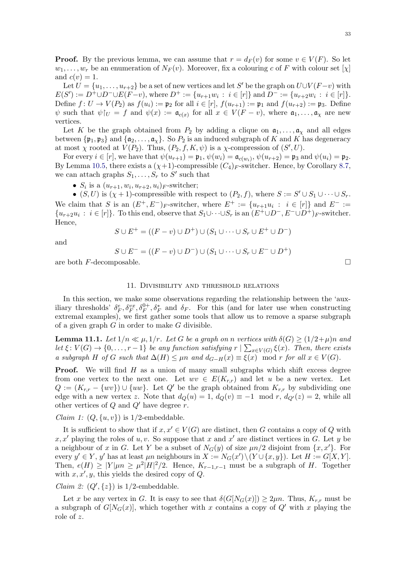**Proof.** By the previous lemma, we can assume that  $r = d_F(v)$  for some  $v \in V(F)$ . So let  $w_1, \ldots, w_r$  be an enumeration of  $N_F(v)$ . Moreover, fix a colouring c of F with colour set  $[\chi]$ and  $c(v) = 1$ .

Let  $U = \{u_1, \ldots, u_{r+2}\}$  be a set of new vertices and let S' be the graph on  $U \cup V(F-v)$  with  $E(S') := D^+ \cup D^- \cup E(F-v)$ , where  $D^+ := \{u_{r+1}w_i : i \in [r]\}$  and  $D^- := \{u_{r+2}w_i : i \in [r]\}.$ Define  $f: U \to V(P_2)$  as  $f(u_i) := \mathfrak{p}_2$  for all  $i \in [r]$ ,  $f(u_{r+1}) := \mathfrak{p}_1$  and  $f(u_{r+2}) := \mathfrak{p}_3$ . Define  $\psi$  such that  $\psi|_{U} = f$  and  $\psi(x) := \mathfrak{a}_{c(x)}$  for all  $x \in V(F - v)$ , where  $\mathfrak{a}_1, \ldots, \mathfrak{a}_\chi$  are new vertices.

Let K be the graph obtained from  $P_2$  by adding a clique on  $\mathfrak{a}_1, \ldots, \mathfrak{a}_\chi$  and all edges between  $\{\mathfrak{p}_1, \mathfrak{p}_3\}$  and  $\{\mathfrak{a}_2, \ldots, \mathfrak{a}_\chi\}$ . So  $P_2$  is an induced subgraph of K and K has degeneracy at most  $\chi$  rooted at  $V(P_2)$ . Thus,  $(P_2, f, K, \psi)$  is a  $\chi$ -compression of  $(S', U)$ .

For every  $i \in [r]$ , we have that  $\psi(u_{r+1}) = \mathfrak{p}_1$ ,  $\psi(w_i) = \mathfrak{a}_{c(w_i)}$ ,  $\psi(u_{r+2}) = \mathfrak{p}_3$  and  $\psi(u_i) = \mathfrak{p}_2$ . By Lemma [10.5,](#page-30-0) there exists a  $(\chi+1)$ -compressible  $(C_4)_F$ -switcher. Hence, by Corollary [8.7,](#page-23-1) we can attach graphs  $S_1, \ldots, S_r$  to  $S'$  such that

•  $S_i$  is a  $(u_{r+1}, w_i, u_{r+2}, u_i)$ <sub>F</sub>-switcher;

•  $(S, U)$  is  $(\chi + 1)$ -compressible with respect to  $(P_2, f)$ , where  $S := S' \cup S_1 \cup \cdots \cup S_r$ . We claim that S is an  $(E^+, E^-)$ <sub>F</sub>-switcher, where  $E^+ := \{u_{r+1}u_i : i \in [r]\}\$  and  $E^- :=$  $\{u_{r+2}u_i : i \in [r]\}\$ . To this end, observe that  $S_1 \cup \cdots \cup S_r$  is an  $(E^+ \cup D^-, E^- \cup D^+)_{F}$ -switcher. Hence,

$$
S \cup E^+ = ((F - v) \cup D^+) \cup (S_1 \cup \dots \cup S_r \cup E^+ \cup D^-)
$$

and

$$
S \cup E^- = ((F - v) \cup D^-) \cup (S_1 \cup \dots \cup S_r \cup E^- \cup D^+)
$$

are both  $F$ -decomposable.  $\Box$ 

#### 11. Divisibility and threshold relations

<span id="page-32-0"></span>In this section, we make some observations regarding the relationship between the 'auxiliary thresholds'  $\delta_F^e, \delta_F^{vx}, \delta_F^{0+}, \delta_F^*$  and  $\delta_F$ . For this (and for later use when constructing extremal examples), we first gather some tools that allow us to remove a sparse subgraph of a given graph  $G$  in order to make  $G$  divisible.

<span id="page-32-1"></span>**Lemma 11.1.** Let  $1/n \ll \mu$ ,  $1/r$ . Let G be a graph on n vertices with  $\delta(G) \geq (1/2+\mu)n$  and let  $\xi: V(G) \to \{0, \ldots, r-1\}$  be any function satisfying  $r \mid \sum_{x \in V(G)} \xi(x)$ . Then, there exists a subgraph H of G such that  $\Delta(H) \leq \mu n$  and  $d_{G-H}(x) \equiv \xi(x) \mod r$  for all  $x \in V(G)$ .

**Proof.** We will find  $H$  as a union of many small subgraphs which shift excess degree from one vertex to the next one. Let  $wv \in E(K_{r,r})$  and let u be a new vertex. Let  $Q := (K_{r,r} - \{wv\}) \cup \{uw\}.$  Let  $Q'$  be the graph obtained from  $K_{r,r}$  by subdividing one edge with a new vertex z. Note that  $d_Q(u) = 1$ ,  $d_Q(v) \equiv -1 \mod r$ ,  $d_{Q'}(z) = 2$ , while all other vertices of  $Q$  and  $Q'$  have degree  $r$ .

*Claim 1:*  $(Q, \{u, v\})$  is  $1/2$ -embeddable.

It is sufficient to show that if  $x, x' \in V(G)$  are distinct, then G contains a copy of Q with  $x, x'$  playing the roles of  $u, v$ . So suppose that x and  $x'$  are distinct vertices in G. Let y be a neighbour of x in G. Let Y be a subset of  $N_G(y)$  of size  $\mu n/2$  disjoint from  $\{x, x'\}$ . For every  $y' \in Y$ , y' has at least  $\mu n$  neighbours in  $X := N_G(x') \setminus (Y \cup \{x, y\})$ . Let  $H := G[X, Y]$ . Then,  $e(H) \geq |Y| \mu n \geq \mu^2 |H|^2/2$ . Hence,  $K_{r-1,r-1}$  must be a subgraph of H. Together with  $x, x', y$ , this yields the desired copy of Q.

*Claim 2:*  $(Q', \{z\})$  is 1/2-embeddable.

Let x be any vertex in G. It is easy to see that  $\delta(G[N_G(x)]) \geq 2\mu n$ . Thus,  $K_{r,r}$  must be a subgraph of  $G[N_G(x)]$ , which together with x contains a copy of Q' with x playing the role of z.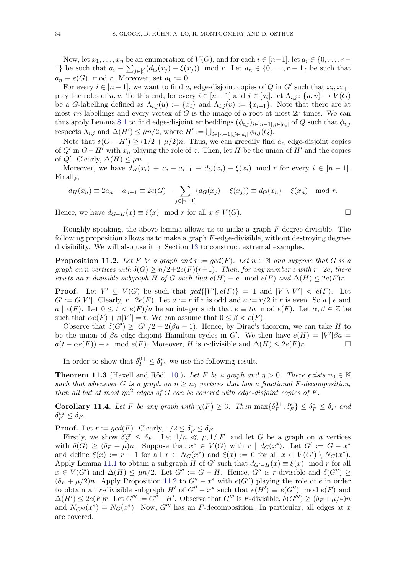Now, let  $x_1, \ldots, x_n$  be an enumeration of  $V(G)$ , and for each  $i \in [n-1]$ , let  $a_i \in \{0, \ldots, r-1\}$ 1} be such that  $a_i \equiv \sum_{j \in [i]} (d_G(x_j) - \xi(x_j)) \mod r$ . Let  $a_n \in \{0, \ldots, r-1\}$  be such that  $a_n \equiv e(G) \mod r$ . Moreover, set  $a_0 := 0$ .

For every  $i \in [n-1]$ , we want to find  $a_i$  edge-disjoint copies of Q in G' such that  $x_i, x_{i+1}$ play the roles of  $u, v$ . To this end, for every  $i \in [n-1]$  and  $j \in [a_i]$ , let  $\Lambda_{i,j} : \{u, v\} \to V(G)$ be a G-labelling defined as  $\Lambda_{i,j}(u) := \{x_i\}$  and  $\Lambda_{i,j}(v) := \{x_{i+1}\}\$ . Note that there are at most  $rn$  labellings and every vertex of  $G$  is the image of a root at most  $2r$  times. We can thus apply Lemma [8.1](#page-18-1) to find edge-disjoint embeddings  $(\phi_{i,j})_{i\in[n-1],j\in[n_i]}$  of Q such that  $\phi_{i,j}$ respects  $\Lambda_{i,j}$  and  $\Delta(H') \leq \mu n/2$ , where  $H' := \bigcup_{i \in [n-1], j \in [a_i]} \phi_{i,j}(Q)$ .

Note that  $\delta(G - H') \ge (1/2 + \mu/2)n$ . Thus, we can greedily find  $a_n$  edge-disjoint copies of  $Q'$  in  $G-H'$  with  $x_n$  playing the role of z. Then, let H be the union of H' and the copies of  $Q'$ . Clearly,  $\Delta(H) \leq \mu n$ .

Moreover, we have  $d_H(x_i) \equiv a_i - a_{i-1} \equiv d_G(x_i) - \xi(x_i) \mod r$  for every  $i \in [n-1]$ . Finally,

$$
d_H(x_n) \equiv 2a_n - a_{n-1} \equiv 2e(G) - \sum_{j \in [n-1]} (d_G(x_j) - \xi(x_j)) \equiv d_G(x_n) - \xi(x_n) \mod r.
$$

Hence, we have  $d_{G-H}(x) \equiv \xi(x) \mod r$  for all  $x \in V(G)$ .

Roughly speaking, the above lemma allows us to make a graph F-degree-divisible. The following proposition allows us to make a graph  $F$ -edge-divisible, without destroying degreedivisibility. We will also use it in Section [13](#page-36-1) to construct extremal examples.

<span id="page-33-2"></span>**Proposition 11.2.** Let F be a graph and  $r := gcd(F)$ . Let  $n \in \mathbb{N}$  and suppose that G is a graph on n vertices with  $\delta(G) \ge n/2+2e(F)(r+1)$ . Then, for any number e with  $r \mid 2e$ , there exists an r-divisible subgraph H of G such that  $e(H) \equiv e \mod e(F)$  and  $\Delta(H) \leq 2e(F)r$ .

**Proof.** Let  $V' \subseteq V(G)$  be such that  $gcd\{|V'|, e(F)\} = 1$  and  $|V \setminus V'| < e(F)$ . Let  $G' := G[V']$ . Clearly,  $r | 2e(F)$ . Let  $a := r$  if r is odd and  $a := r/2$  if r is even. So a | e and  $a \mid e(F)$ . Let  $0 \leq t < e(F)/a$  be an integer such that  $e \equiv ta \mod e(F)$ . Let  $\alpha, \beta \in \mathbb{Z}$  be such that  $\alpha e(F) + \beta |V'| = t$ . We can assume that  $0 \le \beta < e(F)$ .

Observe that  $\delta(G') \geq |G'|/2 + 2(\beta a - 1)$ . Hence, by Dirac's theorem, we can take H to be the union of  $\beta a$  edge-disjoint Hamilton cycles in G'. We then have  $e(H) = |V'| \beta a =$  $a(t - \alpha e(F)) \equiv e \mod e(F)$ . Moreover, H is r-divisible and  $\Delta(H) \leq 2e(F)r$ .

In order to show that  $\delta_F^{0+} \leq \delta_F^*$ , we use the following result.

<span id="page-33-0"></span>**Theorem 11.3** (Haxell and Rödl [\[10\]](#page-57-3)). Let F be a graph and  $\eta > 0$ . There exists  $n_0 \in \mathbb{N}$ such that whenever G is a graph on  $n \geq n_0$  vertices that has a fractional F-decomposition, then all but at most  $\eta n^2$  edges of G can be covered with edge-disjoint copies of F.

<span id="page-33-1"></span>**Corollary 11.4.** Let F be any graph with  $\chi(F) \geq 3$ . Then  $\max\{\delta_F^{0+1}\}$  $\{\delta^+_F, \delta^e_F\} \leq \delta^*_F \leq \delta_F$  and  $\delta_F^{vx} \leq \delta_F$ .

**Proof.** Let  $r := \gcd(F)$ . Clearly,  $1/2 \leq \delta_F^* \leq \delta_F$ .

Firstly, we show  $\delta_F^{vx} \leq \delta_F$ . Let  $1/n \ll \mu, 1/|F|$  and let G be a graph on n vertices with  $\delta(G) \geq (\delta_F + \mu)n$ . Suppose that  $x^* \in V(G)$  with  $r | d_G(x^*)$ . Let  $G' := G - x^*$ and define  $\xi(x) := r - 1$  for all  $x \in N_G(x^*)$  and  $\xi(x) := 0$  for all  $x \in V(G') \setminus N_G(x^*)$ . Apply Lemma [11.1](#page-32-1) to obtain a subgraph H of G' such that  $d_{G'-H}(x) \equiv \xi(x) \mod r$  for all  $x \in V(G')$  and  $\Delta(H) \leq \mu n/2$ . Let  $G'' := G - H$ . Hence,  $G''$  is r-divisible and  $\delta(G'') \geq$  $(\delta_F + \mu/2)n$ . Apply Proposition [11.2](#page-33-2) to  $G'' - x^*$  with  $e(G'')$  playing the role of e in order to obtain an r-divisible subgraph H' of  $G'' - x^*$  such that  $e(H') \equiv e(G'') \mod e(F)$  and  $\Delta(H') \leq 2e(F)r$ . Let  $G''' := G'' - H'$ . Observe that  $G'''$  is F-divisible,  $\delta(G''') \geq (\delta_F + \mu/4)n$ and  $N_{G''}(x^*) = N_G(x^*)$ . Now,  $G'''$  has an F-decomposition. In particular, all edges at x are covered.

$$
\Box
$$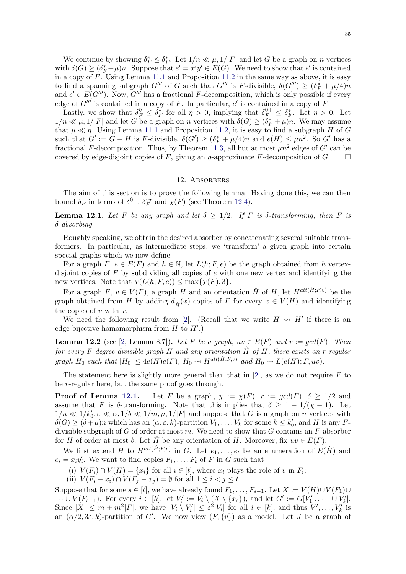We continue by showing  $\delta_F^e \leq \delta_F^*$ . Let  $1/n \ll \mu, 1/|F|$  and let G be a graph on n vertices with  $\delta(G) \geq (\delta_F^* + \mu)n$ . Suppose that  $e' = x'y' \in E(G)$ . We need to show that  $e'$  is contained in a copy of F. Using Lemma [11.1](#page-32-1) and Proposition [11.2](#page-33-2) in the same way as above, it is easy to find a spanning subgraph  $G'''$  of G such that  $G'''$  is F-divisible,  $\delta(G''') \ge (\delta_F^* + \mu/4)n$ and  $e' \in E(G''')$ . Now,  $G'''$  has a fractional F-decomposition, which is only possible if every edge of  $G'''$  is contained in a copy of F. In particular,  $e'$  is contained in a copy of F.

Lastly, we show that  $\delta_F^{\eta} \leq \delta_F^*$  for all  $\eta > 0$ , implying that  $\delta_F^{0+} \leq \delta_F^*$ . Let  $\eta > 0$ . Let  $1/n \ll \mu, 1/|F|$  and let G be a graph on n vertices with  $\delta(G) \geq (\delta_F^* + \mu)n$ . We may assume that  $\mu \ll \eta$ . Using Lemma [11.1](#page-32-1) and Proposition [11.2,](#page-33-2) it is easy to find a subgraph H of G such that  $G' := G - H$  is F-divisible,  $\delta(G') \geq (\delta_F^* + \mu/4)n$  and  $e(H) \leq \mu n^2$ . So G' has a fractional F-decomposition. Thus, by Theorem [11.3,](#page-33-0) all but at most  $\mu n^2$  edges of G' can be covered by edge-disjoint copies of F, giving an  $\eta$ -approximate F-decomposition of G.  $\Box$ 

#### 12. Absorbers

<span id="page-34-0"></span>The aim of this section is to prove the following lemma. Having done this, we can then bound  $\delta_F$  in terms of  $\delta^{0+}$ ,  $\delta_F^{vx}$  and  $\chi(F)$  (see Theorem [12.4\)](#page-35-0).

<span id="page-34-1"></span>**Lemma 12.1.** Let F be any graph and let  $\delta \geq 1/2$ . If F is  $\delta$ -transforming, then F is δ-absorbing.

Roughly speaking, we obtain the desired absorber by concatenating several suitable transformers. In particular, as intermediate steps, we 'transform' a given graph into certain special graphs which we now define.

For a graph F,  $e \in E(F)$  and  $h \in \mathbb{N}$ , let  $L(h; F, e)$  be the graph obtained from h vertexdisjoint copies of  $F$  by subdividing all copies of  $e$  with one new vertex and identifying the new vertices. Note that  $\chi(L(h; F, e)) \leq \max{\chi(F), 3}.$ 

For a graph  $F, v \in V(F)$ , a graph H and an orientation  $\hat{H}$  of H, let  $H^{att(\hat{H};F,v)}$  be the graph obtained from H by adding  $d_{\hat{H}}^+$  $\hat{H}_{\hat{H}}(x)$  copies of F for every  $x \in V(H)$  and identifying the copies of  $v$  with  $x$ .

We need the following result from [\[2\]](#page-57-4). (Recall that we write  $H \rightsquigarrow H'$  if there is an edge-bijective homomorphism from  $H$  to  $H'$ .)

<span id="page-34-2"></span>**Lemma 12.2** (see [\[2,](#page-57-4) Lemma 8.7]). Let F be a graph,  $uv \in E(F)$  and  $r := gcd(F)$ . Then for every F-degree-divisible graph H and any orientation  $\hat{H}$  of H, there exists an r-regular graph  $H_0$  such that  $|H_0| \leq 4e(H)e(F)$ ,  $H_0 \rightsquigarrow H^{att(\hat{H};F,v)}$  and  $H_0 \rightsquigarrow L(e(H);F,uv)$ .

The statement here is slightly more general than that in  $[2]$ , as we do not require F to be r-regular here, but the same proof goes through.

**Proof of Lemma [12.1.](#page-34-1)** Let F be a graph,  $\chi := \chi(F)$ ,  $r := \gcd(F)$ ,  $\delta \geq 1/2$  and assume that F is  $\delta$ -transforming. Note that this implies that  $\delta \geq 1 - 1/(\chi - 1)$ . Let  $1/n \ll 1/k_0', \varepsilon \ll \alpha, 1/b \ll 1/m, \mu, 1/|F|$  and suppose that G is a graph on n vertices with  $\delta(G) \geq (\delta + \mu)n$  which has an  $(\alpha, \varepsilon, k)$ -partition  $V_1, \ldots, V_k$  for some  $k \leq k'_0$ , and H is any Fdivisible subgraph of  $G$  of order at most  $m$ . We need to show that  $G$  contains an  $F$ -absorber for H of order at most b. Let  $\hat{H}$  be any orientation of H. Moreover, fix  $uv \in E(F)$ .

We first extend H to  $H^{att(\hat{H};F,v)}$  in G. Let  $e_1,\ldots,e_t$  be an enumeration of  $E(\hat{H})$  and  $e_i = \overrightarrow{x_i y_i}$ . We want to find copies  $F_1, \ldots, F_t$  of F in G such that

(i)  $V(F_i) \cap V(H) = \{x_i\}$  for all  $i \in [t]$ , where  $x_i$  plays the role of v in  $F_i$ ;

(ii)  $V(F_i - x_i) \cap V(F_j - x_j) = \emptyset$  for all  $1 \leq i < j \leq t$ .

Suppose that for some  $s \in [t]$ , we have already found  $F_1, \ldots, F_{s-1}$ . Let  $X := V(H) \cup V(F_1) \cup$  $\cdots \cup V(F_{s-1})$ . For every  $i \in [k]$ , let  $V_i' := V_i \setminus (X \setminus \{x_s\})$ , and let  $G' := G[V'_1 \cup \cdots \cup V'_k]$ . Since  $|X| \leq m + m^2|F|$ , we have  $|V_i \setminus V'_i| \leq \varepsilon^2|V_i|$  for all  $i \in [k]$ , and thus  $V'_1, \ldots, V'_k$  is an  $(\alpha/2, 3\varepsilon, k)$ -partition of G'. We now view  $(F, \{v\})$  as a model. Let J be a graph of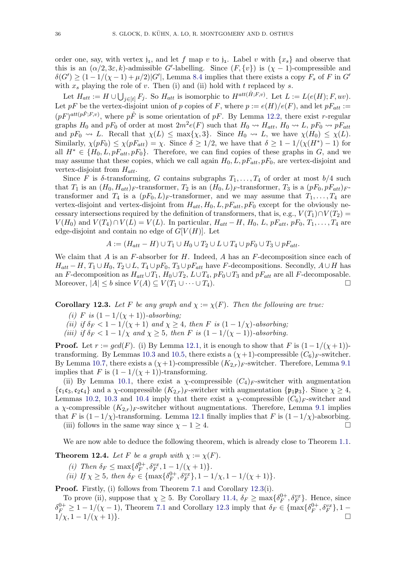order one, say, with vertex  $j_1$ , and let f map v to  $j_1$ . Label v with  $\{x_s\}$  and observe that this is an  $(\alpha/2, 3\varepsilon, k)$ -admissible G'-labelling. Since  $(F, \{v\})$  is  $(\chi - 1)$ -compressible and  $\delta(G') \geq (1-1/(\chi-1)+\mu/2)|G'|$ , Lemma [8.4](#page-21-0) implies that there exists a copy  $F_s$  of F in G' with  $x_s$  playing the role of v. Then (i) and (ii) hold with t replaced by s.

Let  $H_{att} := H \cup \bigcup_{j \in [t]} F_j$ . So  $H_{att}$  is isomorphic to  $H^{att(\hat{H};F,v)}$ . Let  $L := L(e(H);F,uv)$ . Let pF be the vertex-disjoint union of p copies of F, where  $p := e(H)/e(F)$ , and let  $pF_{att} :=$  $(pF)^{att(pF;F,v)}$ , where  $p\hat{F}$  is some orientation of  $pF$ . By Lemma [12.2,](#page-34-2) there exist r-regular graphs  $H_0$  and  $pF_0$  of order at most  $2m^2e(F)$  such that  $H_0 \rightsquigarrow H_{att}$ ,  $H_0 \rightsquigarrow L$ ,  $pF_0 \rightsquigarrow pF_{att}$ and  $pF_0 \rightsquigarrow L$ . Recall that  $\chi(L) \le \max{\{\chi, 3\}}$ . Since  $H_0 \rightsquigarrow L$ , we have  $\chi(H_0) \le \chi(L)$ . Similarly,  $\chi(pF_0) \leq \chi(pF_{att}) = \chi$ . Since  $\delta \geq 1/2$ , we have that  $\delta \geq 1 - 1/(\chi(H^*) - 1)$  for all  $H^* \in \{H_0, L, pF_{att}, pF_0\}$ . Therefore, we can find copies of these graphs in G, and we may assume that these copies, which we call again  $H_0, L, pF_{att}, pF_0$ , are vertex-disjoint and vertex-disjoint from  $H_{att}$ .

Since F is  $\delta$ -transforming, G contains subgraphs  $T_1, \ldots, T_4$  of order at most  $b/4$  such that  $T_1$  is an  $(H_0, H_{att})_F$ -transformer,  $T_2$  is an  $(H_0, L)_F$ -transformer,  $T_3$  is a  $(pF_0, pF_{att})_F$ transformer and  $T_4$  is a  $(pF_0, L)_F$ -transformer, and we may assume that  $T_1, \ldots, T_4$  are vertex-disjoint and vertex-disjoint from  $H_{att}$ ,  $H_0$ ,  $L$ ,  $pF_{att}$ ,  $pF_0$  except for the obviously necessary intersections required by the definition of transformers, that is, e.g.,  $V(T_1) \cap V(T_2) =$  $V(H_0)$  and  $V(T_4) \cap V(L) = V(L)$ . In particular,  $H_{att} - H$ ,  $H_0$ , L,  $pF_{att}$ ,  $pF_0$ ,  $T_1, \ldots, T_4$  are edge-disjoint and contain no edge of  $G[V(H)]$ . Let

$$
A := (H_{att} - H) \cup T_1 \cup H_0 \cup T_2 \cup L \cup T_4 \cup pF_0 \cup T_3 \cup pF_{att}.
$$

We claim that  $A$  is an  $F$ -absorber for  $H$ . Indeed,  $A$  has an  $F$ -decomposition since each of  $H_{att} - H$ ,  $T_1 \cup H_0$ ,  $T_2 \cup L$ ,  $T_4 \cup pF_0$ ,  $T_3 \cup pF_{att}$  have F-decompositions. Secondly,  $A \cup H$  has an F-decomposition as  $H_{att} \cup T_1$ ,  $H_0 \cup T_2$ ,  $L \cup T_4$ ,  $pF_0 \cup T_3$  and  $pF_{att}$  are all F-decomposable. Moreover,  $|A| \leq b$  since  $V(A) \subseteq V(T_1 \cup \cdots \cup T_4)$ .

<span id="page-35-1"></span>**Corollary 12.3.** Let F be any graph and  $\chi := \chi(F)$ . Then the following are true:

- (i) F is  $(1 1/(\chi + 1))$ -absorbing;
- (ii) if  $\delta_F < 1 1/(\chi + 1)$  and  $\chi \geq 4$ , then F is  $(1 1/\chi)$ -absorbing;
- (iii) if  $\delta_F < 1 1/\chi$  and  $\chi > 5$ , then F is  $(1 1/(\chi 1))$ -absorbing.

**Proof.** Let  $r := \gcd(F)$ . (i) By Lemma [12.1,](#page-34-1) it is enough to show that F is  $(1 - 1/(\chi + 1))$ -transforming. By Lemmas [10.3](#page-29-0) and [10.5,](#page-30-0) there exists a  $(\chi + 1)$ -compressible  $(C_6)_F$ -switcher. By Lemma [10.7,](#page-31-0) there exists a  $(\chi+1)$ -compressible  $(K_{2,r})_F$ -switcher. Therefore, Lemma [9.1](#page-25-0) implies that F is  $(1 - 1/(\chi + 1))$ -transforming.

(ii) By Lemma [10.1,](#page-27-3) there exist a  $\chi$ -compressible  $(C_4)_F$ -switcher with augmentation  $\{\mathfrak{c}_1\mathfrak{c}_3,\mathfrak{c}_2\mathfrak{c}_4\}$  and a  $\chi$ -compressible  $(K_{2,r})_F$ -switcher with augmentation  $\{\mathfrak{p}_1\mathfrak{p}_3\}$ . Since  $\chi \geq 4$ , Lemmas [10.2,](#page-28-0) [10.3](#page-29-0) and [10.4](#page-29-1) imply that there exist a  $\chi$ -compressible  $(C_6)_F$ -switcher and a  $\chi$ -compressible  $(K_{2,r})_F$ -switcher without augmentations. Therefore, Lemma [9.1](#page-25-0) implies that F is  $(1-1/\chi)$ -transforming. Lemma [12.1](#page-34-1) finally implies that F is  $(1-1/\chi)$ -absorbing.

(iii) follows in the same way since  $\chi - 1 \geq 4$ .

We are now able to deduce the following theorem, which is already close to Theorem [1.1.](#page-1-0)

<span id="page-35-0"></span>**Theorem 12.4.** Let F be a graph with  $\chi := \chi(F)$ .

- (i) Then  $\delta_F \leq \max\{\delta_F^{0+}$  $\delta_F^{0+}, \delta_F^{vx}, 1-1/(\chi+1)\}.$
- (ii) If  $\chi \geq 5$ , then  $\delta_F \in {\max\{\delta_F^{0+1}\}}$  $\mathcal{F}_{F}^{0+}, \delta_{F}^{vx}\}, 1 - 1/\chi, 1 - 1/(\chi + 1)\}.$

Proof. Firstly, (i) follows from Theorem [7.1](#page-16-0) and Corollary [12.3\(](#page-35-1)i).

To prove (ii), suppose that  $\chi \geq 5$ . By Corollary [11.4,](#page-33-1)  $\delta_F \geq \max\{\delta_F^{0+1}\}$  $\{\theta^+_F, \delta_F^{vx}\}.$  Hence, since  $\delta_F^{0+} \geq 1 - 1/(\chi - 1)$ , Theorem [7.1](#page-16-0) and Corollary [12.3](#page-35-1) imply that  $\delta_F \in {\max\{\delta_F^{0+} \}}$  $\{G_F^{0+}, \delta_F^{vx}\}, 1 1/\chi$ ,  $1-1/(\chi+1)$ .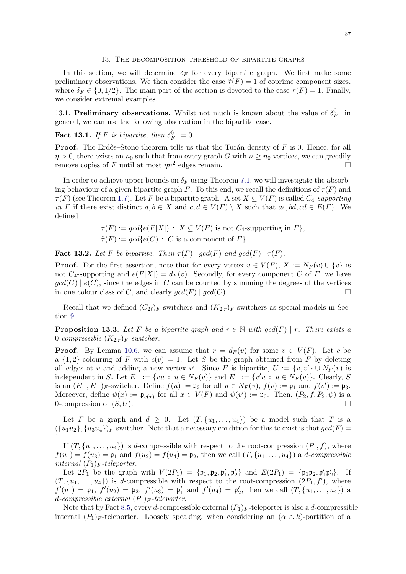#### 13. The decomposition threshold of bipartite graphs

<span id="page-36-1"></span>In this section, we will determine  $\delta_F$  for every bipartite graph. We first make some preliminary observations. We then consider the case  $\tilde{\tau}(F) = 1$  of coprime component sizes, where  $\delta_F \in \{0, 1/2\}$ . The main part of the section is devoted to the case  $\tau(F) = 1$ . Finally, we consider extremal examples.

13.1. Preliminary observations. Whilst not much is known about the value of  $\delta_F^{0+}$  $\mathop{F}\limits^{0+}$  in general, we can use the following observation in the bipartite case.

<span id="page-36-3"></span>**Fact 13.1.** If F is bipartite, then  $\delta_F^{0+} = 0$ .

**Proof.** The Erdős–Stone theorem tells us that the Turán density of  $F$  is 0. Hence, for all  $\eta > 0$ , there exists an  $n_0$  such that from every graph G with  $n \geq n_0$  vertices, we can greedily remove copies of F until at most  $\eta n^2$  edges remain.

In order to achieve upper bounds on  $\delta_F$  using Theorem [7.1,](#page-16-0) we will investigate the absorbing behaviour of a given bipartite graph F. To this end, we recall the definitions of  $\tau(F)$  and  $\tilde{\tau}(F)$  (see Theorem [1.7\)](#page-3-0). Let F be a bipartite graph. A set  $X \subseteq V(F)$  is called  $C_4$ -supporting in F if there exist distinct  $a, b \in X$  and  $c, d \in V(F) \setminus X$  such that  $ac, bd, cd \in E(F)$ . We defined

$$
\tau(F) := gcd\{e(F[X]) : X \subseteq V(F) \text{ is not } C_4\text{-supporting in } F\},\
$$
  

$$
\tilde{\tau}(F) := gcd\{e(C) : C \text{ is a component of } F\}.
$$

<span id="page-36-0"></span>**Fact 13.2.** Let F be bipartite. Then  $\tau(F) \mid \gcd(F)$  and  $\gcd(F) \mid \tilde{\tau}(F)$ .

**Proof.** For the first assertion, note that for every vertex  $v \in V(F)$ ,  $X := N_F(v) \cup \{v\}$  is not  $C_4$ -supporting and  $e(F[X]) = d_F(v)$ . Secondly, for every component C of F, we have  $gcd(C) | e(C)$ , since the edges in C can be counted by summing the degrees of the vertices in one colour class of C, and clearly  $gcd(F) | gcd(C)$ .

Recall that we defined  $(C_{2\ell})_F$ -switchers and  $(K_{2r})_F$ -switchers as special models in Section [9.](#page-23-0)

<span id="page-36-2"></span>**Proposition 13.3.** Let F be a bipartite graph and  $r \in \mathbb{N}$  with  $gcd(F) | r$ . There exists a 0-compressible  $(K_{2,r})_F$ -switcher.

**Proof.** By Lemma [10.6,](#page-31-1) we can assume that  $r = d_F(v)$  for some  $v \in V(F)$ . Let c be a  $\{1,2\}$ -colouring of F with  $c(v) = 1$ . Let S be the graph obtained from F by deleting all edges at v and adding a new vertex v'. Since F is bipartite,  $U := \{v, v'\} \cup N_F(v)$  is independent in S. Let  $E^+ := \{vu : u \in N_F(v)\}\$  and  $E^- := \{v'u : u \in N_F(v)\}\$ . Clearly, S. is an  $(E^+, E^-)$ <sub>F</sub>-switcher. Define  $f(u) := \mathfrak{p}_2$  for all  $u \in N_F(v)$ ,  $f(v) := \mathfrak{p}_1$  and  $f(v') := \mathfrak{p}_3$ . Moreover, define  $\psi(x) := \mathfrak{p}_{c(x)}$  for all  $x \in V(F)$  and  $\psi(v') := \mathfrak{p}_3$ . Then,  $(P_2, f, P_2, \psi)$  is a 0-compression of  $(S, U)$ .

Let F be a graph and  $d \geq 0$ . Let  $(T, \{u_1, \ldots, u_4\})$  be a model such that T is a  $({u_1u_2}, {u_3u_4})_F$ -switcher. Note that a necessary condition for this to exist is that  $gcd(F)$  = 1.

If  $(T, \{u_1, \ldots, u_4\})$  is d-compressible with respect to the root-compression  $(P_1, f)$ , where  $f(u_1) = f(u_3) = \mathfrak{p}_1$  and  $f(u_2) = f(u_4) = \mathfrak{p}_2$ , then we call  $(T, \{u_1, \ldots, u_4\})$  a *d*-compressible internal  $(P_1)_F$ -teleporter.

Let  $2P_1$  be the graph with  $V(2P_1) = {\mathfrak{p}_1, \mathfrak{p}_2, \mathfrak{p}'_1, \mathfrak{p}'_2}$  and  $E(2P_1) = {\mathfrak{p}_1 \mathfrak{p}_2, \mathfrak{p}'_1 \mathfrak{p}'_2}$ . If  $(T, \{u_1, \ldots, u_4\})$  is d-compressible with respect to the root-compression  $(2P_1, f')$ , where  $f'(u_1) = \mathfrak{p}_1, f'(u_2) = \mathfrak{p}_2, f'(u_3) = \mathfrak{p}'_1$  and  $f'(u_4) = \mathfrak{p}'_2$ , then we call  $(T, \{u_1, \ldots, u_4\})$  a d-compressible external  $(P_1)_F$ -teleporter.

Note that by Fact [8.5,](#page-22-0) every d-compressible external  $(P_1)_F$ -teleporter is also a d-compressible internal  $(P_1)$ <sub>F</sub>-teleporter. Loosely speaking, when considering an  $(\alpha, \varepsilon, k)$ -partition of a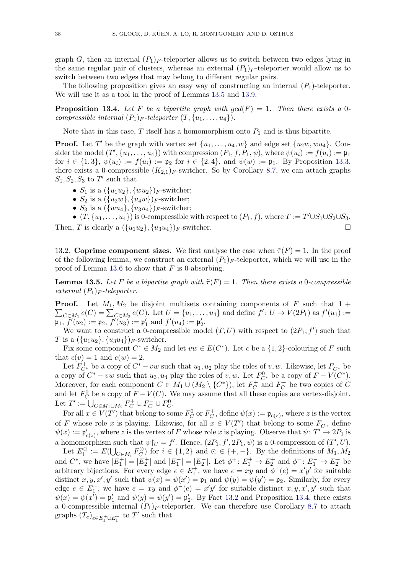graph G, then an internal  $(P_1)_F$ -teleporter allows us to switch between two edges lying in the same regular pair of clusters, whereas an external  $(P_1)_F$ -teleporter would allow us to switch between two edges that may belong to different regular pairs.

The following proposition gives an easy way of constructing an internal  $(P_1)$ -teleporter. We will use it as a tool in the proof of Lemmas [13.5](#page-37-0) and [13.9.](#page-40-0)

<span id="page-37-1"></span>**Proposition 13.4.** Let F be a bipartite graph with  $gcd(F) = 1$ . Then there exists a 0compressible internal  $(P_1)_F$ -teleporter  $(T, \{u_1, \ldots, u_4\})$ .

Note that in this case,  $T$  itself has a homomorphism onto  $P_1$  and is thus bipartite.

**Proof.** Let T' be the graph with vertex set  $\{u_1, \ldots, u_4, w\}$  and edge set  $\{u_2w, wu_4\}$ . Consider the model  $(T', \{u_1, \ldots, u_4\})$  with compression  $(P_1, f, P_1, \psi)$ , where  $\psi(u_i) := f(u_i) := \mathfrak{p}_1$ for  $i \in \{1,3\}, \ \psi(u_i) := f(u_i) := \mathfrak{p}_2$  for  $i \in \{2,4\}, \text{ and } \psi(w) := \mathfrak{p}_1$ . By Proposition [13.3,](#page-36-2) there exists a 0-compressible  $(K_{2,1})_F$ -switcher. So by Corollary [8.7,](#page-23-1) we can attach graphs  $S_1, S_2, S_3$  to T' such that

- $S_1$  is a  $({u_1u_2}, {wu_2})_F$ -switcher;
- $S_2$  is a  $({u_2w}, {u_4w})_F$ -switcher;
- $S_3$  is a  $({w u_4}, {u_3 u_4})_F$ -switcher;
- $(T, \{u_1, \ldots, u_4\})$  is 0-compressible with respect to  $(P_1, f)$ , where  $T := T' \cup S_1 \cup S_2 \cup S_3$ .

Then, T is clearly a  $({u_1u_2}, {u_3u_4})_F$ -switcher.

13.2. Coprime component sizes. We first analyse the case when  $\tilde{\tau}(F) = 1$ . In the proof of the following lemma, we construct an external  $(P_1)_{F}$ -teleporter, which we will use in the proof of Lemma [13.6](#page-38-0) to show that  $F$  is 0-absorbing.

<span id="page-37-0"></span>**Lemma 13.5.** Let F be a bipartite graph with  $\tilde{\tau}(F) = 1$ . Then there exists a 0-compressible external  $(P_1)_F$ -teleporter.

**Proof.** Let  $M_1, M_2$  be disjoint multisets containing components of F such that  $1 +$  $\sum_{C \in M_1} e(C) = \sum_{C \in M_2} e(C)$ . Let  $U = \{u_1, \ldots, u_4\}$  and define  $f' : U \to V(2P_1)$  as  $f'(u_1) :=$  $\mathfrak{p}_1, f'(u_2) := \mathfrak{p}_2, f'(u_3) := \mathfrak{p}'_1 \text{ and } f'(u_4) := \mathfrak{p}'_2.$ 

We want to construct a 0-compressible model  $(T, U)$  with respect to  $(2P_1, f')$  such that T is a  $({u_1u_2}, {u_3u_4})_{F}$ -switcher.

Fix some component  $C^* \in M_2$  and let  $vw \in E(C^*)$ . Let c be a  $\{1,2\}$ -colouring of F such that  $c(v) = 1$  and  $c(w) = 2$ .

Let  $F_{C^*}^+$  be a copy of  $C^* - vw$  such that  $u_1, u_2$  play the roles of v, w. Likewise, let  $F_{C^*}^-$  be a copy of  $C^* - vw$  such that  $u_3, u_4$  play the roles of v, w. Let  $F_{C^*}^0$  be a copy of  $F - V(C^*)$ . Moreover, for each component  $C \in M_1 \cup (M_2 \setminus \{C^*\})$ , let  $F_C^+$  $\overline{C}^+$  and  $F_C^ C$  be two copies of C and let  $F_C^0$  be a copy of  $F - V(C)$ . We may assume that all these copies are vertex-disjoint. Let  $T' := \bigcup_{C \in M_1 \cup M_2} F_C^+ \cup F_C^- \cup F_C^0$ .

For all  $x \in V(T')$  that belong to some  $F_C^0$  or  $F_C^+$  $C^+$ , define  $\psi(x) := \mathfrak{p}_{c(z)},$  where z is the vertex of F whose role x is playing. Likewise, for all  $x \in V(T')$  that belong to some  $F_C^ C^-,$  define  $\psi(x) := \mathfrak{p}'_{c(z)}$ , where z is the vertex of F whose role x is playing. Observe that  $\psi \colon T' \to 2P_1$  is a homomorphism such that  $\psi|_{U} = f'$ . Hence,  $(2P_1, f', 2P_1, \psi)$  is a 0-compression of  $(T', U)$ .

Let  $E_i^{\odot} := E(\bigcup_{C \in M_i} F_C^{\odot})$  $(C_C^{\circ})$  for  $i \in \{1,2\}$  and  $\odot \in \{+, -\}.$  By the definitions of  $M_1, M_2$ and  $C^*$ , we have  $|E_1^+| = |E_2^+|$  and  $|E_1^-| = |E_2^-|$ . Let  $\phi^+ : E_1^+ \to E_2^+$  and  $\phi^- : E_1^- \to E_2^-$  be arbitrary bijections. For every edge  $e \in E_1^+$ , we have  $e = xy$  and  $\phi^+(e) = x'y'$  for suitable distinct  $x, y, x', y'$  such that  $\psi(x) = \psi(x') = \mathfrak{p}_1$  and  $\psi(y) = \psi(y') = \mathfrak{p}_2$ . Similarly, for every edge  $e \in E_1^-$ , we have  $e = xy$  and  $\phi^-(e) = x'y'$  for suitable distinct  $x, y, x', y'$  such that  $\psi(x) = \psi(x^{\overline{I}}) = \mathfrak{p}'_1$  and  $\psi(y) = \psi(y') = \mathfrak{p}'_2$ . By Fact [13.2](#page-36-0) and Proposition [13.4,](#page-37-1) there exists a 0-compressible internal  $(P_1)_F$ -teleporter. We can therefore use Corollary [8.7](#page-23-1) to attach graphs  $(T_e)_{e \in E_1^+ \cup E_1^-}$  to  $T'$  such that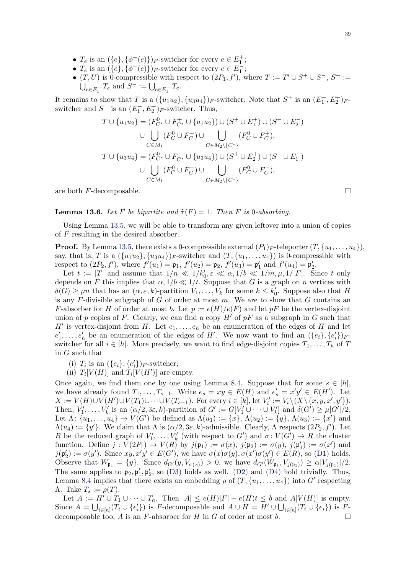- $T_e$  is an  $({e}, {\phi^+(e)})_F$ -switcher for every  $e \in E_1^+$ ;
- $T_e$  is an  $({e}, {\phi^{-}(e)})_F$ -switcher for every  $e \in E_1^-$ ;
- $(T, U)$  is 0-compressible with respect to  $(2P_1, f')$ , where  $T := T' \cup S^+ \cup S^-$ ,  $S^+ :=$  $\bigcup_{e \in E_1^+} T_e$  and  $S^- := \bigcup_{e \in E_1^-} T_e$ .

It remains to show that T is a  $({u_1u_2}, {u_3u_4})_F$ -switcher. Note that  $S^+$  is an  $(E_1^+, E_2^+)_F$ switcher and  $S^-$  is an  $(E_1^-, E_2^-)_F$ -switcher. Thus,

$$
T \cup \{u_1 u_2\} = (F_{C^*}^0 \cup F_{C^*}^+ \cup \{u_1 u_2\}) \cup (S^+ \cup E_1^+) \cup (S^- \cup E_2^-)
$$
  

$$
\cup \bigcup_{C \in M_1} (F_C^0 \cup F_C^-) \cup \bigcup_{C \in M_2 \setminus \{C^*\}} (F_C^0 \cup F_C^+),
$$
  

$$
T \cup \{u_3 u_4\} = (F_{C^*}^0 \cup F_{C^*}^- \cup \{u_3 u_4\}) \cup (S^+ \cup E_2^+) \cup (S^- \cup E_1^-)
$$
  

$$
\cup \bigcup_{C \in M_1} (F_C^0 \cup F_C^+) \cup \bigcup_{C \in M_2 \setminus \{C^*\}} (F_C^0 \cup F_C^-),
$$

are both  $F$ -decomposable.

<span id="page-38-0"></span>**Lemma 13.6.** Let F be bipartite and  $\tilde{\tau}(F) = 1$ . Then F is 0-absorbing.

Using Lemma [13.5,](#page-37-0) we will be able to transform any given leftover into a union of copies of  $F$  resulting in the desired absorber.

**Proof.** By Lemma [13.5,](#page-37-0) there exists a 0-compressible external  $(P_1)_F$ -teleporter  $(T, \{u_1, \ldots, u_4\}),$ say, that is, T is a  $({u_1u_2}, {u_3u_4})_F$ -switcher and  $(T, {u_1, \ldots, u_4})$  is 0-compressible with respect to  $(2P_2, f')$ , where  $f'(u_1) = \mathfrak{p}_1$ ,  $f'(u_2) = \mathfrak{p}_2$ ,  $f'(u_3) = \mathfrak{p}'_1$  and  $f'(u_4) = \mathfrak{p}'_2$ .

Let  $t := |T|$  and assume that  $1/n \ll 1/k_0', \varepsilon \ll \alpha, 1/b \ll 1/m, \mu, 1/|F|$ . Since t only depends on F this implies that  $\alpha$ ,  $1/b \ll 1/t$ . Suppose that G is a graph on n vertices with  $\delta(G) \geq \mu n$  that has an  $(\alpha, \varepsilon, k)$ -partition  $V_1, \ldots, V_k$  for some  $k \leq k'_0$ . Suppose also that H is any  $F$ -divisible subgraph of  $G$  of order at most  $m$ . We are to show that  $G$  contains an F-absorber for H of order at most b. Let  $p := e(H)/e(F)$  and let pF be the vertex-disjoint union of p copies of F. Clearly, we can find a copy  $H'$  of pF as a subgraph in G such that H' is vertex-disjoint from H. Let  $e_1, \ldots, e_h$  be an enumeration of the edges of H and let  $e'_1, \ldots, e'_h$  be an enumeration of the edges of H'. We now want to find an  $(\{e_i\}, \{e'_i\})_F$ . switcher for all  $i \in [h]$ . More precisely, we want to find edge-disjoint copies  $T_1, \ldots, T_h$  of T in G such that

(i)  $T_i$  is an  $({e_i}, {e'_i})_{F}$ -switcher;

(ii)  $T_i[V(H)]$  and  $T_i[V(H')]$  are empty.

Once again, we find them one by one using Lemma [8.4.](#page-21-0) Suppose that for some  $s \in [h]$ , we have already found  $T_1, \ldots, T_{s-1}$ . Write  $e_s = xy \in E(H)$  and  $e'_s = x'y' \in E(H')$ . Let  $X := V(H) \cup V(H') \cup V(T_1) \cup \cdots \cup V(T_{s-1})$ . For every  $i \in [k]$ , let  $V'_i := V_i \setminus (X \setminus \{x, y, x', y'\})$ . Then,  $V'_1, \ldots, V'_k$  is an  $(\alpha/2, 3\varepsilon, k)$ -partition of  $G' := G[V'_1 \cup \cdots \cup V'_k]$  and  $\delta(G') \geq \mu |G'|/2$ . Let  $\Lambda: \{u_1, \ldots, u_4\} \to V(G')$  be defined as  $\Lambda(u_1) := \{x\}, \Lambda(u_2) := \{y\}, \Lambda(u_3) := \{x'\}$  and  $\Lambda(u_4) := \{y'\}.$  We claim that  $\Lambda$  is  $(\alpha/2, 3\varepsilon, k)$ -admissible. Clearly,  $\Lambda$  respects  $(2P_2, f')$ . Let R be the reduced graph of  $V'_1, \ldots, V'_k$  (with respect to G') and  $\sigma: V(G') \to R$  the cluster function. Define  $j: V(2P_1) \to V(R)$  by  $j(\mathfrak{p}_1) := \sigma(x)$ ,  $j(\mathfrak{p}_2) := \sigma(y)$ ,  $j(\mathfrak{p}'_1) := \sigma(x')$  and  $j(\mathfrak{p}'_2) := \sigma(y')$ . Since  $xy, x'y' \in E(G')$ , we have  $\sigma(x)\sigma(y), \sigma(x')\sigma(y') \in E(R)$ , so [\(D1\)](#page-20-5) holds. Observe that  $W_{\mathfrak{p}_1} = \{y\}$ . Since  $d_{G'}(y, V_{\sigma(x)}) > 0$ , we have  $d_{G'}(W_{\mathfrak{p}_1}, V_{j(\mathfrak{p}_1)}) \ge \alpha |V_{j(\mathfrak{p}_1)}|/2$ . The same applies to  $\mathfrak{p}_2, \mathfrak{p}'_1, \mathfrak{p}'_2$ , so [\(D3\)](#page-20-2) holds as well. [\(D2\)](#page-20-3) and [\(D4\)](#page-20-4) hold trivially. Thus, Lemma [8.4](#page-21-0) implies that there exists an embedding  $\rho$  of  $(T, \{u_1, \ldots, u_4\})$  into  $G'$  respecting  $Λ.$  Take  $T_s := \rho(T)$ .

Let  $A := H' \cup T_1 \cup \cdots \cup T_h$ . Then  $|A| \leq e(H)|F| + e(H)t \leq b$  and  $A[V(H)]$  is empty. Since  $A = \bigcup_{i \in [h]} (T_i \cup \{e_i'\})$  is F-decomposable and  $A \cup H = H' \cup \bigcup_{i \in [h]} (T_i \cup \{e_i\})$  is Fdecomposable too, A is an F-absorber for H in G of order at most b.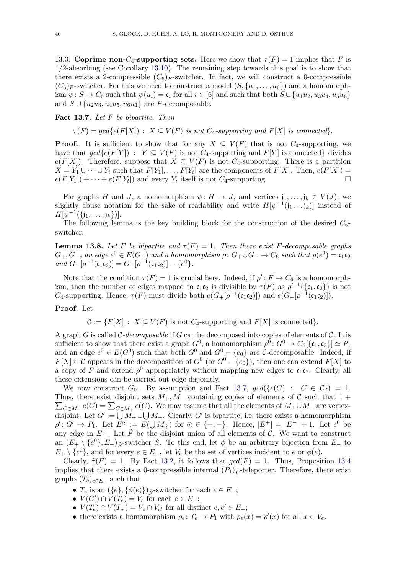13.3. Coprime non- $C_4$ -supporting sets. Here we show that  $\tau(F) = 1$  implies that F is 1/2-absorbing (see Corollary [13.10\)](#page-42-1). The remaining step towards this goal is to show that there exists a 2-compressible  $(C_6)_F$ -switcher. In fact, we will construct a 0-compressible  $(C_6)$ <sub>F</sub>-switcher. For this we need to construct a model  $(S, \{u_1, \ldots, u_6\})$  and a homomorphism  $\psi: S \to C_6$  such that  $\psi(u_i) = \mathfrak{c}_i$  for all  $i \in [6]$  and such that both  $S \cup \{u_1u_2, u_3u_4, u_5u_6\}$ and  $S \cup \{u_2u_3, u_4u_5, u_6u_1\}$  are F-decomposable.

# <span id="page-39-0"></span>Fact 13.7. Let  $F$  be bipartite. Then

 $\tau(F) = gcd\{e(F[X]) : X \subseteq V(F)$  is not  $C_4$ -supporting and  $F[X]$  is connected.

**Proof.** It is sufficient to show that for any  $X \subseteq V(F)$  that is not  $C_4$ -supporting, we have that  $gcd\{e(F[Y]) : Y \subseteq V(F) \text{ is not } C_4\text{-supporting and } F[Y] \text{ is connected} \}$  divides  $e(F[X])$ . Therefore, suppose that  $X \subseteq V(F)$  is not  $C_4$ -supporting. There is a partition  $X = Y_1 \cup \cdots \cup Y_t$  such that  $F[Y_1], \ldots, F[Y_t]$  are the components of  $F[X]$ . Then,  $e(F[X]) =$  $e(F[Y_1]) + \cdots + e(F[Y_t])$  and every  $Y_i$  itself is not  $C_4$ -supporting.

For graphs H and J, a homomorphism  $\psi: H \to J$ , and vertices  $j_1, \ldots, j_k \in V(J)$ , we slightly abuse notation for the sake of readability and write  $H[\psi^{-1}(j_1 \dots j_k)]$  instead of  $H[\psi^{-1}(\{j_1,\ldots,j_k\})].$ 

The following lemma is the key building block for the construction of the desired  $C_6$ switcher.

<span id="page-39-1"></span>**Lemma 13.8.** Let F be bipartite and  $\tau(F) = 1$ . Then there exist F-decomposable graphs  $G_+, G_-,$  an edge  $e^0 \in E(G_+)$  and a homomorphism  $\rho \colon G_+ \cup G_- \to C_6$  such that  $\rho(e^0) = \mathfrak{c}_1 \mathfrak{c}_2$ and  $G_{-}[\rho^{-1}(\mathfrak{c}_1\mathfrak{c}_2)] = G_{+}[\rho^{-1}(\mathfrak{c}_1\mathfrak{c}_2)] - \{e^0\}.$ 

Note that the condition  $\tau(F) = 1$  is crucial here. Indeed, if  $\rho' : F \to C_6$  is a homomorphism, then the number of edges mapped to  $\mathfrak{c}_1 \mathfrak{c}_2$  is divisible by  $\tau(F)$  as  $\rho'^{-1}(\{\mathfrak{c}_1, \mathfrak{c}_2\})$  is not C<sub>4</sub>-supporting. Hence,  $\tau(F)$  must divide both  $e(G_{+}[\rho^{-1}(\mathfrak{c}_1 \mathfrak{c}_2)])$  and  $e(G_{-}[\rho^{-1}(\mathfrak{c}_1 \mathfrak{c}_2)])$ .

## Proof. Let

 $C := \{F[X] : X \subseteq V(F) \text{ is not } C_4\text{-supporting and } F[X] \text{ is connected}\}.$ 

A graph G is called C-decomposable if G can be decomposed into copies of elements of  $\mathcal{C}$ . It is sufficient to show that there exist a graph  $G^0$ , a homomorphism  $\rho^0: G^0 \to C_6[\{\mathfrak{c}_1, \mathfrak{c}_2\}] \simeq P_1$ and an edge  $e^0 \in E(G^0)$  such that both  $G^0$  and  $G^0 - \{e_0\}$  are C-decomposable. Indeed, if  $F[X] \in \mathcal{C}$  appears in the decomposition of  $G^0$  (or  $G^0 - \{e_0\}$ ), then one can extend  $F[X]$  to a copy of F and extend  $\rho^0$  appropriately without mapping new edges to  $\mathfrak{c}_1 \mathfrak{c}_2$ . Clearly, all these extensions can be carried out edge-disjointly.

We now construct  $G_0$ . By assumption and Fact [13.7,](#page-39-0)  $gcd({e(C) : C \in C}) = 1$ .  $\sum_{C \in M_+} e(C) = \sum_{C \in M_+} e(C)$ . We may assume that all the elements of  $M_+ \cup M_-$  are vertex-Thus, there exist disjoint sets  $M_+, M_-$  containing copies of elements of C such that  $1 +$ disjoint. Let  $G' := \bigcup M_+ \cup \bigcup M_-$ . Clearly,  $G'$  is bipartite, i.e. there exists a homomorphism  $\rho' : G' \to P_1$ . Let  $E^{\odot} := E(\bigcup M_{\odot})$  for  $\odot \in \{+, -\}$ . Hence,  $|E^+| = |E^-| + 1$ . Let  $e^{0}$  be any edge in  $E^+$ . Let  $\tilde{F}$  be the disjoint union of all elements of C. We want to construct an  $(E_+ \setminus \{e^0\}, E_-)_{\tilde{F}}$ -switcher S. To this end, let  $\phi$  be an arbitrary bijection from  $E_-$  to  $E_+ \setminus \{e^0\}$ , and for every  $e \in E_-,$  let  $V_e$  be the set of vertices incident to e or  $\phi(e)$ .

Clearly,  $\tilde{\tau}(\tilde{F}) = 1$ . By Fact [13.2,](#page-36-0) it follows that  $gcd(\tilde{F}) = 1$ . Thus, Proposition [13.4](#page-37-1) implies that there exists a 0-compressible internal  $(P_1)_{\tilde{F}}$ -teleporter. Therefore, there exist graphs  $(T_e)_{e \in E_{-}}$  such that

- $T_e$  is an  $({e}, {\phi(e)})_{\tilde{F}}$ -switcher for each  $e \in E_{-};$
- $V(G') \cap V(T_e) = V_e$  for each  $e \in E_-\;$ ;
- $V(T_e) \cap V(T_{e'}) = V_e \cap V_{e'}$  for all distinct  $e, e' \in E_-$ ;
- there exists a homomorphism  $\rho_e: T_e \to P_1$  with  $\rho_e(x) = \rho'(x)$  for all  $x \in V_e$ .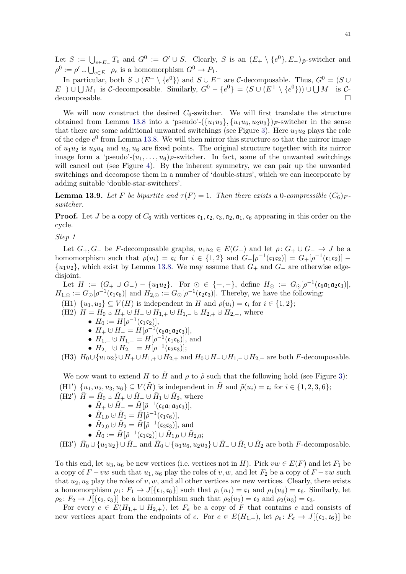Let  $S := \bigcup_{e \in E_{-}} T_e$  and  $G^0 := G' \cup S$ . Clearly, S is an  $(E_{+} \setminus \{e^0\}, E_{-})_{\tilde{F}}$ -switcher and  $\rho^0 := \rho' \cup \bigcup_{e \in E} \rho_e$  is a homomorphism  $G^0 \to P_1$ .

In particular, both  $S \cup (E^+ \setminus \{e^0\})$  and  $S \cup E^-$  are C-decomposable. Thus,  $G^0 = (S \cup$  $E^-$ ) ∪  $\bigcup M_+$  is C-decomposable. Similarly,  $G^0 - \{e^0\} = (S \cup (E^+ \setminus \{e^0\})) \cup \bigcup M_-$  is Cdecomposable.

We will now construct the desired  $C_6$ -switcher. We will first translate the structure obtained from Lemma [13.8](#page-39-1) into a 'pseudo'- $({u_1u_2}, {u_1u_6}, {u_2u_3})_F$ -switcher in the sense that there are some additional unwanted switchings (see Figure [3\)](#page-41-0). Here  $u_1u_2$  plays the role of the edge  $e^0$  from Lemma [13.8.](#page-39-1) We will then mirror this structure so that the mirror image of  $u_1u_2$  is  $u_5u_4$  and  $u_3, u_6$  are fixed points. The original structure together with its mirror image form a 'pseudo'- $(u_1, \ldots, u_6)$ <sub>F</sub>-switcher. In fact, some of the unwanted switchings will cancel out (see Figure [4\)](#page-42-2). By the inherent symmetry, we can pair up the unwanted switchings and decompose them in a number of 'double-stars', which we can incorporate by adding suitable 'double-star-switchers'.

<span id="page-40-0"></span>**Lemma 13.9.** Let F be bipartite and  $\tau(F) = 1$ . Then there exists a 0-compressible  $(C_6)_F$ . switcher.

**Proof.** Let J be a copy of  $C_6$  with vertices  $c_1, c_2, c_3, a_2, a_1, c_6$  appearing in this order on the cycle.

Step 1

Let  $G_+, G_-$  be F-decomposable graphs,  $u_1u_2 \in E(G_+)$  and let  $\rho: G_+ \cup G_- \to J$  be a homomorphism such that  $\rho(u_i) = \mathfrak{c}_i$  for  $i \in \{1,2\}$  and  $G_{-}[\rho^{-1}(\mathfrak{c}_1 \mathfrak{c}_2)] = G_{+}[\rho^{-1}(\mathfrak{c}_1 \mathfrak{c}_2)]$  $\{u_1u_2\}$ , which exist by Lemma [13.8.](#page-39-1) We may assume that  $G_+$  and  $G_-$  are otherwise edgedisjoint.

Let  $H := (G_+ \cup G_-) - \{u_1u_2\}$ . For  $\odot \in \{+, -\}$ , define  $H_{\odot} := G_{\odot}[\rho^{-1}(\mathfrak{c}_6\mathfrak{a}_1\mathfrak{a}_2\mathfrak{c}_3)]$ ,  $H_{1,\odot} := G_{\odot}[\rho^{-1}(\mathfrak{c}_1 \mathfrak{c}_6)]$  and  $H_{2,\odot} := G_{\odot}[\rho^{-1}(\mathfrak{c}_2 \mathfrak{c}_3)]$ . Thereby, we have the following:

- (H1)  $\{u_1, u_2\} \subseteq V(H)$  is independent in H and  $\rho(u_i) = \mathfrak{c}_i$  for  $i \in \{1, 2\};$
- (H2)  $H = H_0 \cup H_+ \cup H_- \cup H_{1,+} \cup H_{1,-} \cup H_{2,+} \cup H_{2,-}$ , where
	- $H_0 := H[\rho^{-1}(\mathfrak{c}_1 \mathfrak{c}_2)],$
	- $H_+ \cup H_- = H[\rho^{-1}(\mathfrak{c}_6 \mathfrak{a}_1 \mathfrak{a}_2 \mathfrak{c}_3)],$
	- $H_{1,+} \cup H_{1,-} = H[\rho^{-1}(\mathfrak{c}_1 \mathfrak{c}_6)],$  and
	- $H_{2,+} \cup H_{2,-} = H[\rho^{-1}(\mathfrak{c}_2 \mathfrak{c}_3)];$

<span id="page-40-3"></span>(H3)  $H_0 \cup \{u_1u_2\} \cup H_+ \cup H_{1,+} \cup H_{2,+}$  and  $H_0 \cup H_- \cup H_{1,-} \cup H_{2,-}$  are both F-decomposable.

<span id="page-40-1"></span>We now want to extend H to H and  $\rho$  to  $\tilde{\rho}$  such that the following hold (see Figure [3\)](#page-41-0): (H1')  $\{u_1, u_2, u_3, u_6\} \subseteq V(\tilde{H})$  is independent in  $\tilde{H}$  and  $\tilde{\rho}(u_i) = \mathfrak{c}_i$  for  $i \in \{1, 2, 3, 6\};$ 

 $(H2') \tilde{H} = \tilde{H}_0 \cup \tilde{H}_+ \cup \tilde{H}_-\cup \tilde{H}_1 \cup \tilde{H}_2$ , where

- $\bullet \ \tilde{H}_{+} \cup \tilde{H}_{-} = \tilde{H}[\tilde{\rho}^{-1}(\mathfrak{c}_{6}\mathfrak{a}_{1}\mathfrak{a}_{2}\mathfrak{c}_{3})],$ 
	- $\bullet \ \tilde{H}_{1,0} \cup \tilde{H}_1 = \tilde{H}[\tilde{\rho}^{-1}(\mathfrak{c}_1 \mathfrak{c}_6)],$
- $\tilde{H}_{2,0} \cup \tilde{H}_2 = \tilde{H}[\tilde{\rho}^{-1}(\mathfrak{c}_2 \mathfrak{c}_3)],$  and
- $\bullet \,\, \tilde H_0 := \tilde H[\tilde \rho^{-1}(\mathfrak c_1\mathfrak c_2)] \cup \tilde H_{1,0} \cup \tilde H_{2,0};$

<span id="page-40-4"></span><span id="page-40-2"></span>(H3')  $\tilde{H}_0 \cup \{u_1u_2\} \cup \tilde{H}_+$  and  $\tilde{H}_0 \cup \{u_1u_6, u_2u_3\} \cup \tilde{H}_- \cup \tilde{H}_1 \cup \tilde{H}_2$  are both F-decomposable.

To this end, let  $u_3, u_6$  be new vertices (i.e. vertices not in H). Pick  $vw \in E(F)$  and let  $F_1$  be a copy of  $F -vw$  such that  $u_1, u_6$  play the roles of v, w, and let  $F_2$  be a copy of  $F -vw$  such that  $u_2, u_3$  play the roles of v, w, and all other vertices are new vertices. Clearly, there exists a homomorphism  $\rho_1: F_1 \to J[\{\mathfrak{c}_1,\mathfrak{c}_6\}]$  such that  $\rho_1(u_1) = \mathfrak{c}_1$  and  $\rho_1(u_6) = \mathfrak{c}_6$ . Similarly, let  $\rho_2 \colon F_2 \to J[\{\mathfrak{c}_2, \mathfrak{c}_3\}]$  be a homomorphism such that  $\rho_2(u_2) = \mathfrak{c}_2$  and  $\rho_2(u_3) = \mathfrak{c}_3$ .

For every  $e \in E(H_{1,+} \cup H_{2,+})$ , let  $F_e$  be a copy of F that contains e and consists of new vertices apart from the endpoints of e. For  $e \in E(H_{1,+})$ , let  $\rho_e \colon F_e \to J[\{\mathfrak{c}_1,\mathfrak{c}_6\}]$  be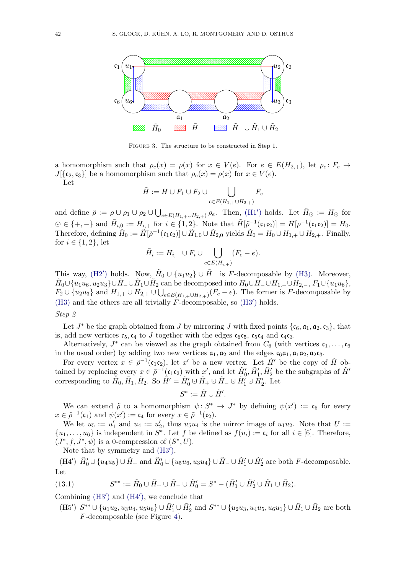<span id="page-41-0"></span>

FIGURE 3. The structure to be constructed in Step 1.

a homomorphism such that  $\rho_e(x) = \rho(x)$  for  $x \in V(e)$ . For  $e \in E(H_{2,+})$ , let  $\rho_e: F_e \to$  $J[\{\mathfrak{c}_2,\mathfrak{c}_3\}]$  be a homomorphism such that  $\rho_e(x) = \rho(x)$  for  $x \in V(e)$ .

Let

$$
\tilde{H} := H \cup F_1 \cup F_2 \cup \bigcup_{e \in E(H_{1,+} \cup H_{2,+})} F_e
$$

and define  $\tilde{\rho} := \rho \cup \rho_1 \cup \rho_2 \cup \bigcup_{e \in E(H_{1,+} \cup H_{2,+})} \rho_e$ . Then, [\(H1](#page-40-1)') holds. Let  $\tilde{H}_{\odot} := H_{\odot}$  for  $\odot \in \{+, -\}$  and  $\tilde{H}_{i,0} := H_{i,+}$  for  $i \in \{1,2\}$ . Note that  $\tilde{H}[\tilde{\rho}^{-1}(\mathfrak{c}_1 \mathfrak{c}_2)] = H[\rho^{-1}(\mathfrak{c}_1 \mathfrak{c}_2)] = H_0$ . Therefore, defining  $\tilde{H}_0 := \tilde{H}[\tilde{\rho}^{-1}(\mathfrak{c}_1 \mathfrak{c}_2)] \cup \tilde{H}_{1,0} \cup \tilde{H}_{2,0}$  yields  $\tilde{H}_0 = H_0 \cup H_{1,+} \cup H_{2,+}$ . Finally, for  $i \in \{1, 2\}$ , let

$$
\tilde{H}_i := H_{i,-} \cup F_i \cup \bigcup_{e \in E(H_{i,+})} (F_e - e).
$$

This way, [\(H2](#page-40-2)') holds. Now,  $\tilde{H}_0 \cup \{u_1u_2\} \cup \tilde{H}_+$  is F-decomposable by [\(H3\).](#page-40-3) Moreover,  $\tilde{H}_0 \cup \{u_1u_6, u_2u_3\} \cup \tilde{H}_- \cup \tilde{H}_1 \cup \tilde{H}_2$  can be decomposed into  $H_0 \cup H_- \cup H_{1,-} \cup H_{2,-}, F_1 \cup \{u_1u_6\},$  $F_2 \cup \{u_2u_3\}$  and  $H_{1,+} \cup H_{2,+} \cup \bigcup_{e \in E(H_{1,+} \cup H_{2,+})}(F_e - e)$ . The former is F-decomposable by [\(H3\)](#page-40-3) and the others are all trivially  $\overline{F}$ -decomposable, so [\(H3](#page-40-4)') holds.

#### Step 2

Let  $J^*$  be the graph obtained from  $J$  by mirroring  $J$  with fixed points  $\{\mathfrak{c}_6, \mathfrak{a}_1, \mathfrak{a}_2, \mathfrak{c}_3\}$ , that is, add new vertices  $c_5, c_4$  to J together with the edges  $c_6c_5, c_5c_4$  and  $c_4c_3$ .

Alternatively,  $J^*$  can be viewed as the graph obtained from  $C_6$  (with vertices  $\mathfrak{c}_1, \ldots, \mathfrak{c}_6$ ) in the usual order) by adding two new vertices  $a_1, a_2$  and the edges  $c_6a_1, a_1a_2, a_2c_3$ .

For every vertex  $x \in \tilde{\rho}^{-1}(\mathfrak{c}_1 \mathfrak{c}_2)$ , let  $x'$  be a new vertex. Let  $\tilde{H}'$  be the copy of  $\tilde{H}$  obtained by replacing every  $x \in \tilde{\rho}^{-1}(\mathfrak{c}_1 \mathfrak{c}_2)$  with  $x'$ , and let  $\tilde{H}'_0$ ,  $\tilde{H}'_1$ ,  $\tilde{H}'_2$  be the subgraphs of  $\tilde{H}'$ corresponding to  $\tilde{H}_0, \tilde{H}_1, \tilde{H}_2$ . So  $\tilde{H}' = \tilde{H}'_0 \cup \tilde{H}_+ \cup \tilde{H}_- \cup \tilde{H}'_1 \cup \tilde{H}'_2$ . Let

$$
S^*:=\tilde{H}\cup \tilde{H}'.
$$

We can extend  $\tilde{\rho}$  to a homomorphism  $\psi: S^* \to J^*$  by defining  $\psi(x') := \mathfrak{c}_5$  for every  $x \in \tilde{\rho}^{-1}(\mathfrak{c}_1)$  and  $\psi(x') := \mathfrak{c}_4$  for every  $x \in \tilde{\rho}^{-1}(\mathfrak{c}_2)$ .

We let  $u_5 := u'_1$  and  $u_4 := u'_2$ , thus  $u_5u_4$  is the mirror image of  $u_1u_2$ . Note that  $U :=$  $\{u_1,\ldots,u_6\}$  is independent in  $S^*$ . Let f be defined as  $f(u_i) := \mathfrak{c}_i$  for all  $i \in [6]$ . Therefore,  $(J^*, f, J^*, \psi)$  is a 0-compression of  $(S^*, U)$ .

Note that by symmetry and  $(H3'),$  $(H3'),$ 

<span id="page-41-1"></span>(H4')  $\tilde{H}'_0 \cup \{u_4u_5\} \cup \tilde{H}_+$  and  $\tilde{H}'_0 \cup \{u_5u_6, u_3u_4\} \cup \tilde{H}_- \cup \tilde{H}'_1 \cup \tilde{H}'_2$  are both F-decomposable. Let

<span id="page-41-2"></span>(13.1) 
$$
S^{**} := \tilde{H}_0 \cup \tilde{H}_+ \cup \tilde{H}_- \cup \tilde{H}'_0 = S^* - (\tilde{H}'_1 \cup \tilde{H}'_2 \cup \tilde{H}_1 \cup \tilde{H}_2).
$$

Combining  $(H3')$  $(H3')$  and  $(H4')$  $(H4')$ , we conclude that

<span id="page-41-3"></span> $(H5') S^{**} \cup \{u_1u_2, u_3u_4, u_5u_6\} \cup \tilde{H}'_1 \cup \tilde{H}'_2$  and  $S^{**} \cup \{u_2u_3, u_4u_5, u_6u_1\} \cup \tilde{H}_1 \cup \tilde{H}_2$  are both F-decomposable (see Figure [4\)](#page-42-2).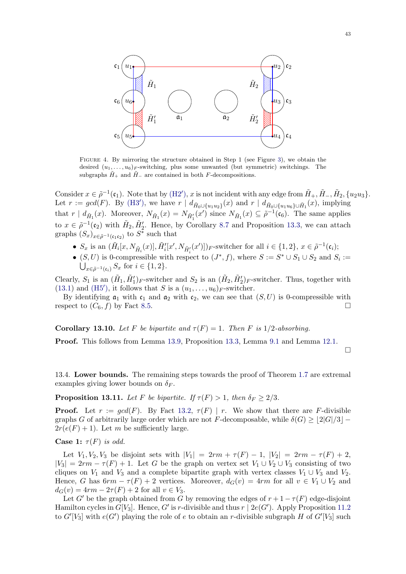<span id="page-42-2"></span>

Figure 4. By mirroring the structure obtained in Step 1 (see Figure [3\)](#page-41-0), we obtain the desired  $(u_1, \ldots, u_6)$ <sub>F</sub>-switching, plus some unwanted (but symmetric) switchings. The subgraphs  $\tilde{H}_+$  and  $\tilde{H}_-$  are contained in both F-decompositions.

Consider  $x \in \tilde{\rho}^{-1}(\mathfrak{c}_1)$ . Note that by  $(H2')$  $(H2')$ , x is not incident with any edge from  $\tilde{H}_+$ ,  $\tilde{H}_-$ ,  $\tilde{H}_2$ ,  $\{u_2u_3\}$ . Let  $r := \gcd(F)$ . By [\(H3](#page-40-4)'), we have  $r | d_{\tilde{H}_0 \cup \{u_1 u_2\}}(x)$  and  $r | d_{\tilde{H}_0 \cup \{u_1 u_6\} \cup \tilde{H}_1}(x)$ , implying that  $r | d_{\tilde{H}_1}(x)$ . Moreover,  $N_{\tilde{H}_1}(x) = N_{\tilde{H}'_1}(x')$  since  $N_{\tilde{H}_1}(x) \subseteq \tilde{\rho}^{-1}(\mathfrak{e}_6)$ . The same applies to  $x \in \tilde{\rho}^{-1}(\mathfrak{c}_2)$  with  $\tilde{H}_2, \tilde{H}'_2$ . Hence, by Corollary [8.7](#page-23-1) and Proposition [13.3,](#page-36-2) we can attach graphs  $(S_x)_{x \in \tilde{\rho}^{-1}(\mathfrak{c}_1 \mathfrak{c}_2)}$  to  $S^*$  such that

- $S_x$  is an  $(\tilde{H}_i[x, N_{\tilde{H}_i}(x)], \tilde{H}'_i[x', N_{\tilde{H}'_i}(x')])_F$ -switcher for all  $i \in \{1, 2\}, x \in \tilde{\rho}^{-1}(\mathfrak{c}_i);$
- $(S, U)$  is 0-compressible with respect to  $(J^*, f)$ , where  $S := S^* \cup S_1 \cup S_2$  and  $S_i :=$  $\bigcup_{x \in \tilde{\rho}^{-1}(\mathfrak{c}_i)} S_x$  for  $i \in \{1, 2\}.$

Clearly,  $S_1$  is an  $(\tilde{H}_1, \tilde{H}'_1)_F$ -switcher and  $S_2$  is an  $(\tilde{H}_2, \tilde{H}'_2)_F$ -switcher. Thus, together with [\(13.1\)](#page-41-2) and [\(H5](#page-41-3)'), it follows that S is a  $(u_1, \ldots, u_6)_F$ -switcher.

By identifying  $a_1$  with  $c_1$  and  $a_2$  with  $c_2$ , we can see that  $(S, U)$  is 0-compressible with respect to  $(C_6, f)$  by Fact [8.5.](#page-22-0)

<span id="page-42-1"></span>**Corollary 13.10.** Let F be bipartite and  $\tau(F) = 1$ . Then F is 1/2-absorbing.

Proof. This follows from Lemma [13.9,](#page-40-0) Proposition [13.3,](#page-36-2) Lemma [9.1](#page-25-0) and Lemma [12.1.](#page-34-1)

 $\Box$ 

13.4. Lower bounds. The remaining steps towards the proof of Theorem [1.7](#page-3-0) are extremal examples giving lower bounds on  $\delta_F$ .

<span id="page-42-0"></span>**Proposition 13.11.** Let F be bipartite. If  $\tau(F) > 1$ , then  $\delta_F \geq 2/3$ .

**Proof.** Let  $r := \gcd(F)$ . By Fact [13.2,](#page-36-0)  $\tau(F) | r$ . We show that there are F-divisible graphs G of arbitrarily large order which are not F-decomposable, while  $\delta(G) \geq |2|G|/3$  −  $2r(e(F) + 1)$ . Let m be sufficiently large.

**Case 1:**  $\tau(F)$  is odd.

Let  $V_1, V_2, V_3$  be disjoint sets with  $|V_1| = 2rm + \tau(F) - 1$ ,  $|V_2| = 2rm - \tau(F) + 2$ ,  $|V_3| = 2rm - \tau(F) + 1$ . Let G be the graph on vertex set  $V_1 \cup V_2 \cup V_3$  consisting of two cliques on  $V_1$  and  $V_3$  and a complete bipartite graph with vertex classes  $V_1 \cup V_3$  and  $V_2$ . Hence, G has  $6rm - \tau(F) + 2$  vertices. Moreover,  $d_G(v) = 4rm$  for all  $v \in V_1 \cup V_2$  and  $d_G(v) = 4rm - 2\tau(F) + 2$  for all  $v \in V_3$ .

Let G' be the graph obtained from G by removing the edges of  $r + 1 - \tau(F)$  edge-disjoint Hamilton cycles in  $G[V_3]$ . Hence, G' is r-divisible and thus  $r | 2e(G')$ . Apply Proposition [11.2](#page-33-2) to  $G'[V_3]$  with  $e(G')$  playing the role of e to obtain an r-divisible subgraph H of  $G'[V_3]$  such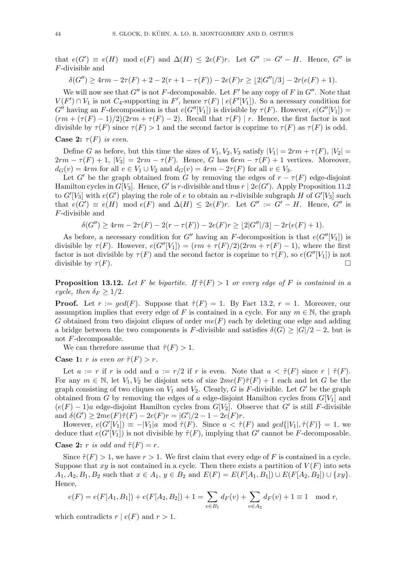that  $e(G') \equiv e(H) \mod e(F)$  and  $\Delta(H) \leq 2e(F)r$ . Let  $G'' := G' - H$ . Hence,  $G''$  is F-divisible and

$$
\delta(G'') \ge 4rm - 2\tau(F) + 2 - 2(r + 1 - \tau(F)) - 2e(F)r \ge \lfloor 2|G''|/3 \rfloor - 2r(e(F) + 1).
$$

We will now see that  $G''$  is not F-decomposable. Let F' be any copy of F in  $G''$ . Note that  $V(F') \cap V_1$  is not  $C_4$ -supporting in F', hence  $\tau(F) | e(F'[V_1])$ . So a necessary condition for  $G''$  having an F-decomposition is that  $e(G''[V_1])$  is divisible by  $\tau(F)$ . However,  $e(G''[V_1]) =$  $(rm + (\tau(F) - 1)/2)(2rm + \tau(F) - 2)$ . Recall that  $\tau(F) | r$ . Hence, the first factor is not divisible by  $\tau(F)$  since  $\tau(F) > 1$  and the second factor is coprime to  $\tau(F)$  as  $\tau(F)$  is odd. Case 2:  $\tau(F)$  is even.

Define G as before, but this time the sizes of  $V_1, V_2, V_3$  satisfy  $|V_1| = 2rm + \tau(F), |V_2|$  $2rm - \tau(F) + 1$ ,  $|V_3| = 2rm - \tau(F)$ . Hence, G has  $6rm - \tau(F) + 1$  vertices. Moreover,  $d_G(v) = 4rm$  for all  $v \in V_1 \cup V_2$  and  $d_G(v) = 4rm - 2\tau(F)$  for all  $v \in V_3$ .

Let G' be the graph obtained from G by removing the edges of  $r - \tau(F)$  edge-disjoint Hamilton cycles in  $G[V_3]$ . Hence, G' is r-divisible and thus  $r | 2e(G')$ . Apply Proposition [11.2](#page-33-2) to  $G'[V_3]$  with  $e(G')$  playing the role of e to obtain an r-divisible subgraph H of  $G'[V_3]$  such that  $e(G') \equiv e(H) \mod e(F)$  and  $\Delta(H) \leq 2e(F)r$ . Let  $G'' := G' - H$ . Hence,  $G''$  is F-divisible and

$$
\delta(G'') \ge 4rm - 2\tau(F) - 2(r - \tau(F)) - 2e(F)r \ge \lfloor 2|G''|/3 \rfloor - 2r(e(F) + 1).
$$

As before, a necessary condition for G'' having an F-decomposition is that  $e(G''[V_1])$  is divisible by  $\tau(F)$ . However,  $e(G''[V_1]) = (rm + \tau(F)/2)(2rm + \tau(F) - 1)$ , where the first factor is not divisible by  $\tau(F)$  and the second factor is coprime to  $\tau(F)$ , so  $e(G''[V_1])$  is not divisible by  $\tau(F)$ .

<span id="page-43-0"></span>**Proposition 13.12.** Let F be bipartite. If  $\tilde{\tau}(F) > 1$  or every edge of F is contained in a cycle, then  $\delta_F \geq 1/2$ .

**Proof.** Let  $r := \gcd(F)$ . Suppose that  $\tilde{\tau}(F) = 1$ . By Fact [13.2,](#page-36-0)  $r = 1$ . Moreover, our assumption implies that every edge of F is contained in a cycle. For any  $m \in \mathbb{N}$ , the graph G obtained from two disjoint cliques of order  $me(F)$  each by deleting one edge and adding a bridge between the two components is F-divisible and satisfies  $\delta(G) \geq |G|/2 - 2$ , but is not F-decomposable.

We can therefore assume that  $\tilde{\tau}(F) > 1$ .

## **Case 1:** r is even or  $\tilde{\tau}(F) > r$ .

Let  $a := r$  if r is odd and  $a := r/2$  if r is even. Note that  $a < \tilde{\tau}(F)$  since  $r | \tilde{\tau}(F)$ . For any  $m \in \mathbb{N}$ , let  $V_1, V_2$  be disjoint sets of size  $2me(F)\tilde{\tau}(F) + 1$  each and let G be the graph consisting of two cliques on  $V_1$  and  $V_2$ . Clearly, G is F-divisible. Let G' be the graph obtained from G by removing the edges of a edge-disjoint Hamilton cycles from  $G[V_1]$  and  $(e(F) - 1)a$  edge-disjoint Hamilton cycles from  $G[V_2]$ . Observe that G' is still F-divisible and  $\delta(G') \geq 2me(F)\tilde{\tau}(F) - 2e(F)r = |G'|/2 - 1 - 2e(F)r$ .

However,  $e(G'[V_1]) \equiv -|V_1|a \mod \tilde{\tau}(F)$ . Since  $a < \tilde{\tau}(F)$  and  $gcd\{|V_1|, \tilde{\tau}(F)\} = 1$ , we deduce that  $e(G'[V_1])$  is not divisible by  $\tilde{\tau}(F)$ , implying that G' cannot be F-decomposable.

## **Case 2:** r is odd and  $\tilde{\tau}(F) = r$ .

Since  $\tilde{\tau}(F) > 1$ , we have  $r > 1$ . We first claim that every edge of F is contained in a cycle. Suppose that  $xy$  is not contained in a cycle. Then there exists a partition of  $V(F)$  into sets  $A_1, A_2, B_1, B_2$  such that  $x \in A_1, y \in B_2$  and  $E(F) = E(F[A_1, B_1]) \cup E(F[A_2, B_2]) \cup \{xy\}.$ Hence,

$$
e(F) = e(F[A_1, B_1]) + e(F[A_2, B_2]) + 1 = \sum_{v \in B_1} d_F(v) + \sum_{v \in A_2} d_F(v) + 1 \equiv 1 \mod r,
$$

which contradicts  $r | e(F)$  and  $r > 1$ .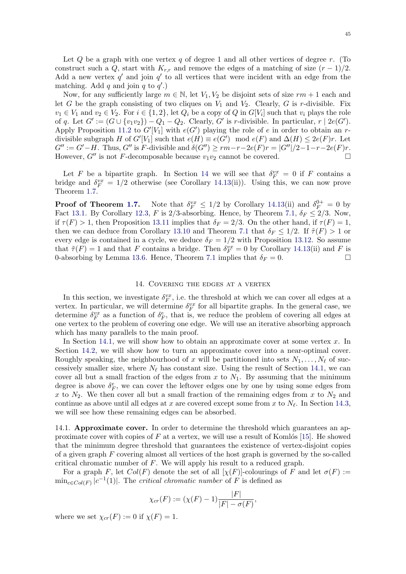Let  $Q$  be a graph with one vertex q of degree 1 and all other vertices of degree r. (To construct such a Q, start with  $K_{r,r}$  and remove the edges of a matching of size  $(r-1)/2$ . Add a new vertex  $q'$  and join  $q'$  to all vertices that were incident with an edge from the matching. Add  $q$  and join  $q$  to  $q'$ .)

Now, for any sufficiently large  $m \in \mathbb{N}$ , let  $V_1, V_2$  be disjoint sets of size  $rm + 1$  each and let G be the graph consisting of two cliques on  $V_1$  and  $V_2$ . Clearly, G is r-divisible. Fix  $v_1 \in V_1$  and  $v_2 \in V_2$ . For  $i \in \{1, 2\}$ , let  $Q_i$  be a copy of  $Q$  in  $G[V_i]$  such that  $v_i$  plays the role of q. Let  $G' := (G \cup \{v_1v_2\}) - Q_1 - Q_2$ . Clearly, G' is r-divisible. In particular,  $r \mid 2e(G')$ . Apply Proposition [11.2](#page-33-2) to  $G'[V_1]$  with  $e(G')$  playing the role of e in order to obtain an rdivisible subgraph H of  $G'[V_1]$  such that  $e(H) \equiv e(G') \mod e(F)$  and  $\Delta(H) \leq 2e(F)r$ . Let  $G'' := G'-H$ . Thus, G'' is F-divisible and  $\delta(G'') \ge rm-r-2e(F)r = |G''|/2-1-r-2e(F)r$ . However,  $G''$  is not F-decomposable because  $v_1v_2$  cannot be covered.

Let F be a bipartite graph. In Section [14](#page-44-0) we will see that  $\delta_F^{vx} = 0$  if F contains a bridge and  $\delta_F^{vx} = 1/2$  otherwise (see Corollary [14.13\(](#page-56-1)ii)). Using this, we can now prove Theorem [1.7.](#page-3-0)

**Proof of Theorem [1.7.](#page-3-0)** Note that  $\delta_F^{vx} \leq 1/2$  by Corollary [14.13\(](#page-56-1)ii) and  $\delta_F^{0+} = 0$  by Fact [13.1.](#page-36-3) By Corollary [12.3,](#page-35-1) F is 2/3-absorbing. Hence, by Theorem [7.1,](#page-16-0)  $\delta_F \le 2/3$ . Now, if  $\tau(F) > 1$ , then Proposition [13.11](#page-42-0) implies that  $\delta_F = 2/3$ . On the other hand, if  $\tau(F) = 1$ , then we can deduce from Corollary [13.10](#page-42-1) and Theorem [7.1](#page-16-0) that  $\delta_F \leq 1/2$ . If  $\tilde{\tau}(F) > 1$  or every edge is contained in a cycle, we deduce  $\delta_F = 1/2$  with Proposition [13.12.](#page-43-0) So assume that  $\tilde{\tau}(F) = 1$  and that F contains a bridge. Then  $\delta_F^{vx} = 0$  by Corollary [14.13\(](#page-56-1)ii) and F is 0-absorbing by Lemma [13.6.](#page-38-0) Hence, Theorem [7.1](#page-16-0) implies that  $\delta_F = 0$ .

## 14. Covering the edges at a vertex

<span id="page-44-0"></span>In this section, we investigate  $\delta_F^{vx}$ , i.e. the threshold at which we can cover all edges at a vertex. In particular, we will determine  $\delta_F^{vx}$  for all bipartite graphs. In the general case, we determine  $\delta_F^{vx}$  as a function of  $\delta_F^e$ , that is, we reduce the problem of covering all edges at one vertex to the problem of covering one edge. We will use an iterative absorbing approach which has many parallels to the main proof.

In Section [14.1,](#page-44-1) we will show how to obtain an approximate cover at some vertex  $x$ . In Section [14.2,](#page-48-0) we will show how to turn an approximate cover into a near-optimal cover. Roughly speaking, the neighbourhood of x will be partitioned into sets  $N_1, \ldots, N_\ell$  of successively smaller size, where  $N_{\ell}$  has constant size. Using the result of Section [14.1,](#page-44-1) we can cover all but a small fraction of the edges from  $x$  to  $N_1$ . By assuming that the minimum degree is above  $\delta_F^e$ , we can cover the leftover edges one by one by using some edges from x to  $N_2$ . We then cover all but a small fraction of the remaining edges from x to  $N_2$  and continue as above until all edges at x are covered except some from x to  $N_{\ell}$ . In Section [14.3,](#page-50-0) we will see how these remaining edges can be absorbed.

<span id="page-44-1"></span>14.1. Approximate cover. In order to determine the threshold which guarantees an approximate cover with copies of  $F$  at a vertex, we will use a result of Komlós [\[15\]](#page-57-22). He showed that the minimum degree threshold that guarantees the existence of vertex-disjoint copies of a given graph  $F$  covering almost all vertices of the host graph is governed by the so-called critical chromatic number of F. We will apply his result to a reduced graph.

For a graph F, let  $Col(F)$  denote the set of all  $[\chi(F)]$ -colourings of F and let  $\sigma(F)$  :=  $\min_{c \in Col(F)} |c^{-1}(1)|$ . The *critical chromatic number* of F is defined as

$$
\chi_{cr}(F) := (\chi(F) - 1) \frac{|F|}{|F| - \sigma(F)},
$$

where we set  $\chi_{cr}(F) := 0$  if  $\chi(F) = 1$ .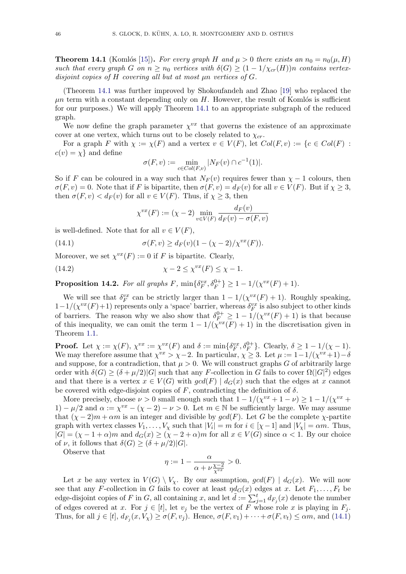<span id="page-45-0"></span>**Theorem 14.1** (Komlós [\[15\]](#page-57-22)). For every graph H and  $\mu > 0$  there exists an  $n_0 = n_0(\mu, H)$ such that every graph G on  $n \geq n_0$  vertices with  $\delta(G) \geq (1 - 1/\chi_{cr}(H))n$  contains vertexdisjoint copies of  $H$  covering all but at most  $\mu$ n vertices of  $G$ .

(Theorem [14.1](#page-45-0) was further improved by Shokoufandeh and Zhao [\[19\]](#page-57-23) who replaced the  $\mu$ n term with a constant depending only on H. However, the result of Komlós is sufficient for our purposes.) We will apply Theorem [14.1](#page-45-0) to an appropriate subgraph of the reduced graph.

We now define the graph parameter  $\chi^{vx}$  that governs the existence of an approximate cover at one vertex, which turns out to be closely related to  $\chi_{cr}$ .

For a graph F with  $\chi := \chi(F)$  and a vertex  $v \in V(F)$ , let  $Col(F, v) := \{c \in Col(F) :$  $c(v) = \chi$  and define

$$
\sigma(F, v) := \min_{c \in Col(F, v)} |N_F(v) \cap c^{-1}(1)|.
$$

So if F can be coloured in a way such that  $N_F(v)$  requires fewer than  $\chi - 1$  colours, then  $\sigma(F, v) = 0$ . Note that if F is bipartite, then  $\sigma(F, v) = d_F(v)$  for all  $v \in V(F)$ . But if  $\chi \geq 3$ , then  $\sigma(F, v) < d_F(v)$  for all  $v \in V(F)$ . Thus, if  $\chi \geq 3$ , then

$$
\chi^{vx}(F) := (\chi - 2) \min_{v \in V(F)} \frac{d_F(v)}{d_F(v) - \sigma(F, v)}
$$

is well-defined. Note that for all  $v \in V(F)$ ,

<span id="page-45-1"></span>(14.1) 
$$
\sigma(F, v) \ge d_F(v)(1 - (\chi - 2)/\chi^{vx}(F)).
$$

Moreover, we set  $\chi^{vx}(F) := 0$  if F is bipartite. Clearly,

<span id="page-45-2"></span>χ − 2 ≤ χ vx (14.2) (F) ≤ χ − 1.

<span id="page-45-3"></span>**Proposition 14.2.** For all graphs F,  $\min\{\delta_F^{vx}, \delta_F^{0+}\} \geq 1 - 1/(\chi^{vx}(F) + 1)$ .

We will see that  $\delta_F^{vx}$  can be strictly larger than  $1 - 1/(\chi^{vx}(F) + 1)$ . Roughly speaking,  $1-1/(\chi^{vx}(F)+1)$  represents only a 'space' barrier, whereas  $\delta_F^{vx}$  is also subject to other kinds of barriers. The reason why we also show that  $\delta_F^{0+} \geq 1 - 1/(\chi^{vx}(F) + 1)$  is that because of this inequality, we can omit the term  $1 - 1/(\chi^{vx}(F) + 1)$  in the discretisation given in Theorem [1.1.](#page-1-0)

**Proof.** Let  $\chi := \chi(F)$ ,  $\chi^{vx} := \chi^{vx}(F)$  and  $\delta := \min\{\delta_F^{vx}, \delta_F^{0+}\}\$ . Clearly,  $\delta \geq 1 - 1/(\chi - 1)$ . We may therefore assume that  $\chi^{vx} > \chi - 2$ . In particular,  $\chi \geq 3$ . Let  $\mu := 1 - 1/(\chi^{vx} + 1) - \delta$ and suppose, for a contradiction, that  $\mu > 0$ . We will construct graphs G of arbitrarily large order with  $\delta(G) \geq (\delta + \mu/2)|G|$  such that any F-collection in G fails to cover  $\Omega(|G|^2)$  edges and that there is a vertex  $x \in V(G)$  with  $gcd(F) | d_G(x)$  such that the edges at x cannot be covered with edge-disjoint copies of  $F$ , contradicting the definition of  $\delta$ .

More precisely, choose  $\nu > 0$  small enough such that  $1 - 1/(\chi^{vx} + 1 - \nu) \geq 1 - 1/(\chi^{vx} + 1 - \nu)$ 1) –  $\mu/2$  and  $\alpha := \chi^{vx} - (\chi - 2) - \nu > 0$ . Let  $m \in \mathbb{N}$  be sufficiently large. We may assume that  $(\chi - 2)m + \alpha m$  is an integer and divisible by  $gcd(F)$ . Let G be the complete  $\chi$ -partite graph with vertex classes  $V_1, \ldots, V_\chi$  such that  $|V_i| = m$  for  $i \in [\chi - 1]$  and  $|V_\chi| = \alpha m$ . Thus,  $|G| = (\chi - 1 + \alpha)m$  and  $d_G(x) \ge (\chi - 2 + \alpha)m$  for all  $x \in V(G)$  since  $\alpha < 1$ . By our choice of  $\nu$ , it follows that  $\delta(G) \geq (\delta + \mu/2)|G|$ .

Observe that

$$
\eta := 1 - \frac{\alpha}{\alpha + \nu \frac{\chi - 2}{\chi^{vx}}} > 0.
$$

Let x be any vertex in  $V(G) \setminus V_{\chi}$ . By our assumption,  $gcd(F) | d_G(x)$ . We will now see that any F-collection in G fails to cover at least  $\eta d_G(x)$  edges at x. Let  $F_1, \ldots, F_t$  be edge-disjoint copies of F in G, all containing x, and let  $\tilde{d} := \sum_{j=1}^{t} d_{F_j}(x)$  denote the number of edges covered at x. For  $j \in [t]$ , let  $v_j$  be the vertex of F whose role x is playing in  $F_j$ . Thus, for all  $j \in [t]$ ,  $d_{F_j}(x, V_\chi) \ge \sigma(F, v_j)$ . Hence,  $\sigma(F, v_1) + \cdots + \sigma(F, v_t) \le \alpha m$ , and [\(14.1\)](#page-45-1)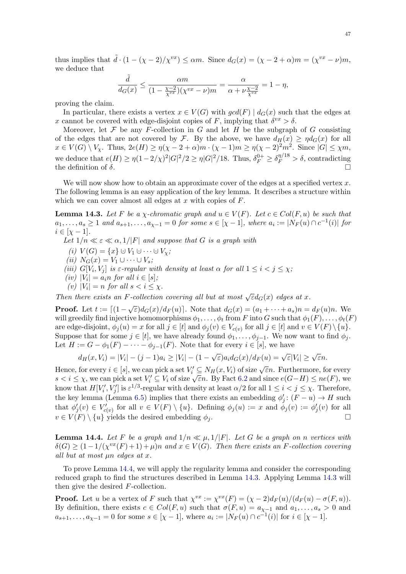thus implies that  $\tilde{d} \cdot (1 - (\chi - 2)/\chi^{vx}) \le \alpha m$ . Since  $d_G(x) = (\chi - 2 + \alpha)m = (\chi^{vx} - \nu)m$ , we deduce that

$$
\frac{\tilde{d}}{d_G(x)} \le \frac{\alpha m}{(1 - \frac{\chi - 2}{\chi^{vx}})(\chi^{vx} - \nu)m} = \frac{\alpha}{\alpha + \nu \frac{\chi - 2}{\chi^{vx}}} = 1 - \eta,
$$

proving the claim.

In particular, there exists a vertex  $x \in V(G)$  with  $gcd(F) | d_G(x)$  such that the edges at x cannot be covered with edge-disjoint copies of F, implying that  $\delta^{vx} > \delta$ .

Moreover, let  $\mathcal F$  be any F-collection in  $G$  and let  $H$  be the subgraph of  $G$  consisting of the edges that are not covered by F. By the above, we have  $d_H(x) \geq \eta d_G(x)$  for all  $x \in V(G) \setminus V_{\chi}$ . Thus,  $2e(H) \ge \eta(\chi - 2 + \alpha)m \cdot (\chi - 1)m \ge \eta(\chi - 2)^2m^2$ . Since  $|G| \le \chi m$ , we deduce that  $e(H) \ge \eta (1-2/\chi)^2 |G|^2/2 \ge \eta |G|^2/18$ . Thus,  $\delta_F^{0+} \ge \delta_F^{\eta/18} > \delta$ , contradicting the definition of  $\delta$ .

We will now show how to obtain an approximate cover of the edges at a specified vertex  $x$ . The following lemma is an easy application of the key lemma. It describes a structure within which we can cover almost all edges at x with copies of  $F$ .

<span id="page-46-1"></span>**Lemma 14.3.** Let F be a *χ*-chromatic graph and  $u \in V(F)$ . Let  $c \in Col(F, u)$  be such that  $a_1, \ldots, a_s \geq 1$  and  $a_{s+1}, \ldots, a_{\chi-1} = 0$  for some  $s \in [\chi - 1]$ , where  $a_i := |N_F(u) \cap c^{-1}(i)|$  for  $i \in [\chi - 1].$ 

Let  $1/n \ll \varepsilon \ll \alpha, 1/|F|$  and suppose that G is a graph with

- (i)  $V(G) = \{x\} \cup V_1 \cup \cdots \cup V_{\chi};$
- (ii)  $N_G(x) = V_1 \cup \cdots \cup V_s;$
- (iii)  $G[V_i, V_j]$  is  $\varepsilon$ -regular with density at least  $\alpha$  for all  $1 \leq i < j \leq \chi$ ;
- (iv)  $|V_i| = a_i n$  for all  $i \in [s]$ ;
- (v)  $|V_i| = n$  for all  $s < i \leq \chi$ .

Then there exists an F-collection covering all but at most  $\sqrt{\varepsilon}d_G(x)$  edges at x.

**Proof.** Let  $t := [(1 - \sqrt{\varepsilon})d_G(x)/d_F(u)]$ . Note that  $d_G(x) = (a_1 + \cdots + a_s)n = d_F(u)n$ . We will greedily find injective homomorphisms  $\phi_1, \ldots, \phi_t$  from F into G such that  $\phi_1(F), \ldots, \phi_t(F)$ are edge-disjoint,  $\phi_j(u) = x$  for all  $j \in [t]$  and  $\phi_j(v) \in V_{c(v)}$  for all  $j \in [t]$  and  $v \in V(F) \setminus \{u\}$ . Suppose that for some  $j \in [t]$ , we have already found  $\phi_1, \ldots, \phi_{j-1}$ . We now want to find  $\phi_j$ . Let  $H := G - \phi_1(F) - \cdots - \phi_{j-1}(F)$ . Note that for every  $i \in [s]$ , we have

$$
d_H(x,V_i) = |V_i| - (j-1)a_i \geq |V_i| - (1-\sqrt{\varepsilon})a_id_G(x)/d_F(u) = \sqrt{\varepsilon}|V_i| \geq \sqrt{\varepsilon}n.
$$

Hence, for every  $i \in [s]$ , we can pick a set  $V'_i \subseteq N_H(x, V_i)$  of size  $\sqrt{\varepsilon}n$ . Furthermore, for every Frence, for every  $i \in [s]$ , we can pick a set  $V_i \subseteq N_H(x, V_i)$  or size  $\sqrt{\varepsilon}n$ . Furthermore, for every  $s < i \leq \chi$ , we can pick a set  $V'_i \subseteq V_i$  of size  $\sqrt{\varepsilon}n$ . By Fact [6.2](#page-14-2) and since  $e(G-H) \leq ne(F)$ , we know that  $H[V'_i, V'_j]$  is  $\varepsilon^{1/3}$ -regular with density at least  $\alpha/2$  for all  $1 \leq i < j \leq \chi$ . Therefore, the key lemma (Lemma [6.5\)](#page-15-2) implies that there exists an embedding  $\phi'_j$ :  $(F - u) \to H$  such that  $\phi'_j(v) \in V'_{c(v)}$  for all  $v \in V(F) \setminus \{u\}$ . Defining  $\phi_j(u) := x$  and  $\phi_j(v) := \phi'_j(v)$  for all  $v \in V(F) \setminus \{u\}$  yields the desired embedding  $\phi_i$ .

<span id="page-46-0"></span>**Lemma 14.4.** Let F be a graph and  $1/n \ll \mu$ ,  $1/|F|$ . Let G be a graph on n vertices with  $\delta(G) \geq (1 - 1/(\chi^{vx}(F) + 1) + \mu)n$  and  $x \in V(G)$ . Then there exists an F-collection covering all but at most  $\mu$ n edges at x.

To prove Lemma [14.4,](#page-46-0) we will apply the regularity lemma and consider the corresponding reduced graph to find the structures described in Lemma [14.3.](#page-46-1) Applying Lemma [14.3](#page-46-1) will then give the desired F-collection.

**Proof.** Let u be a vertex of F such that  $\chi^{vx} := \chi^{vx}(F) = (\chi - 2)d_F(u)/(d_F(u) - \sigma(F, u)).$ By definition, there exists  $c \in Col(F, u)$  such that  $\sigma(F, u) = a_{\chi-1}$  and  $a_1, \ldots, a_s > 0$  and  $a_{s+1}, \ldots, a_{\chi-1} = 0$  for some  $s \in [\chi - 1]$ , where  $a_i := |N_F(u) \cap c^{-1}(i)|$  for  $i \in [\chi - 1]$ .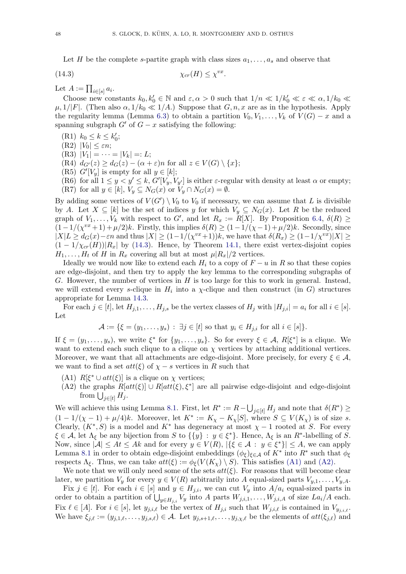Let H be the complete s-partite graph with class sizes  $a_1, \ldots, a_s$  and observe that

<span id="page-47-0"></span>
$$
\chi_{cr}(H) \le \chi^{vx}.
$$

Let  $A := \prod_{i \in [s]} a_i$ .

Choose new constants  $k_0, k'_0 \in \mathbb{N}$  and  $\varepsilon, \alpha > 0$  such that  $1/n \ll 1/k'_0 \ll \varepsilon \ll \alpha, 1/k_0 \ll \varepsilon$  $\mu$ ,  $1/|F|$ . (Then also  $\alpha$ ,  $1/k_0 \ll 1/A$ .) Suppose that  $G, n, x$  are as in the hypothesis. Apply the regularity lemma (Lemma [6.3\)](#page-14-1) to obtain a partition  $V_0, V_1, \ldots, V_k$  of  $V(G) - x$  and a spanning subgraph  $G'$  of  $G - x$  satisfying the following:

- (R1)  $k_0 \le k \le k'_0;$
- (R2)  $|V_0| \leq \varepsilon n;$
- $(R3)$   $|V_1| = \cdots = |V_k| =: L;$

(R4)  $d_{G'}(z) \geq d_G(z) - (\alpha + \varepsilon)n$  for all  $z \in V(G) \setminus \{x\};$ 

(R5)  $G'[V_y]$  is empty for all  $y \in [k]$ ;

(R6) for all  $1 \leq y \leq k$ ,  $G'[V_y, V_{y'}]$  is either  $\varepsilon$ -regular with density at least  $\alpha$  or empty; (R7) for all  $y \in [k]$ ,  $V_y \subseteq N_G(x)$  or  $V_y \cap N_G(x) = \emptyset$ .

By adding some vertices of  $V(G') \setminus V_0$  to  $V_0$  if necessary, we can assume that L is divisible by A. Let  $X \subseteq [k]$  be the set of indices y for which  $V_y \subseteq N_G(x)$ . Let R be the reduced graph of  $V_1, \ldots, V_k$  with respect to G', and let  $R_x := R[X]$ . By Proposition [6.4,](#page-15-3)  $\delta(R) \geq$  $(1-1/(\chi^{vx}+1)+\mu/2)k$ . Firstly, this implies  $\delta(R) \geq (1-1/(\chi-1)+\mu/2)k$ . Secondly, since  $|X|L \geq d_G(x) - \varepsilon n$  and thus  $|X| \geq (1-1/(\chi^{vx}+1))k$ , we have that  $\delta(R_x) \geq (1-1/\chi^{vx})|X| \geq$  $(1 - 1/\chi_{cr}(H))|R_x|$  by [\(14.3\)](#page-47-0). Hence, by Theorem [14.1,](#page-45-0) there exist vertex-disjoint copies  $H_1, \ldots, H_t$  of H in  $R_x$  covering all but at most  $\mu |R_x|/2$  vertices.

Ideally we would now like to extend each  $H_i$  to a copy of  $F - u$  in R so that these copies are edge-disjoint, and then try to apply the key lemma to the corresponding subgraphs of G. However, the number of vertices in  $H$  is too large for this to work in general. Instead, we will extend every s-clique in  $H_i$  into a  $\chi$ -clique and then construct (in G) structures appropriate for Lemma [14.3.](#page-46-1)

For each  $j \in [t]$ , let  $H_{j,1}, \ldots, H_{j,s}$  be the vertex classes of  $H_j$  with  $|H_{j,i}| = a_i$  for all  $i \in [s]$ . Let

$$
\mathcal{A} := \{ \xi = (y_1, \dots, y_s) : \exists j \in [t] \text{ so that } y_i \in H_{j,i} \text{ for all } i \in [s] \}.
$$

If  $\xi = (y_1, \ldots, y_s)$ , we write  $\xi^*$  for  $\{y_1, \ldots, y_s\}$ . So for every  $\xi \in \mathcal{A}$ ,  $R[\xi^*]$  is a clique. We want to extend each such clique to a clique on  $\chi$  vertices by attaching additional vertices. Moreover, we want that all attachments are edge-disjoint. More precisely, for every  $\xi \in \mathcal{A}$ , we want to find a set  $att(\xi)$  of  $\chi - s$  vertices in R such that

- <span id="page-47-1"></span>(A1)  $R[\xi^* \cup att(\xi)]$  is a clique on  $\chi$  vertices;
- <span id="page-47-2"></span>(A2) the graphs  $R[att(\xi)] \cup R[att(\xi), \xi^*]$  are all pairwise edge-disjoint and edge-disjoint from  $\bigcup_{j\in[t]} H_j$ .

We will achieve this using Lemma [8.1.](#page-18-1) First, let  $R^* := R - \bigcup_{j \in [t]} H_j$  and note that  $\delta(R^*) \ge$  $(1-1/(\chi-1)+\mu/4)k$ . Moreover, let  $K^* := K_{\chi} - K_{\chi}[S]$ , where  $S \subseteq V(K_{\chi})$  is of size s. Clearly,  $(K^*, S)$  is a model and  $K^*$  has degeneracy at most  $\chi - 1$  rooted at S. For every  $\xi \in \mathcal{A}$ , let  $\Lambda_{\xi}$  be any bijection from S to  $\{\{y\}: y \in \xi^*\}$ . Hence,  $\Lambda_{\xi}$  is an  $R^*$ -labelling of S. Now, since  $|\mathcal{A}| \leq At \leq Ak$  and for every  $y \in V(R)$ ,  $|\{\xi \in \mathcal{A} : y \in \xi^*\}| \leq A$ , we can apply Lemma [8.1](#page-18-1) in order to obtain edge-disjoint embeddings  $(\phi_{\xi})_{\xi \in \mathcal{A}}$  of  $K^*$  into  $R^*$  such that  $\phi_{\xi}$ respects  $\Lambda_{\xi}$ . Thus, we can take  $att(\xi) := \phi_{\xi}(V(K_{\chi}) \setminus S)$ . This satisfies [\(A1\)](#page-47-1) and [\(A2\).](#page-47-2)

We note that we will only need some of the sets  $att(\xi)$ . For reasons that will become clear later, we partition  $V_y$  for every  $y \in V(R)$  arbitrarily into A equal-sized parts  $V_{y,1}, \ldots, V_{y,A}$ .

Fix  $j \in [t]$ . For each  $i \in [s]$  and  $y \in H_{j,i}$ , we can cut  $V_y$  into  $A/a_i$  equal-sized parts in order to obtain a partition of  $\bigcup_{y \in H_{j,i}} V_y$  into A parts  $W_{j,i,1}, \ldots, W_{j,i,A}$  of size  $La_i/A$  each. Fix  $\ell \in [A]$ . For  $i \in [s]$ , let  $y_{j,i,\ell}$  be the vertex of  $H_{j,i}$  such that  $W_{j,i,\ell}$  is contained in  $V_{y_{j,i,\ell}}$ . We have  $\xi_{j,\ell} := (y_{j,1,\ell}, \ldots, y_{j,s,\ell}) \in \mathcal{A}$ . Let  $y_{j,s+1,\ell}, \ldots, y_{j,\chi,\ell}$  be the elements of  $att(\xi_{j,\ell})$  and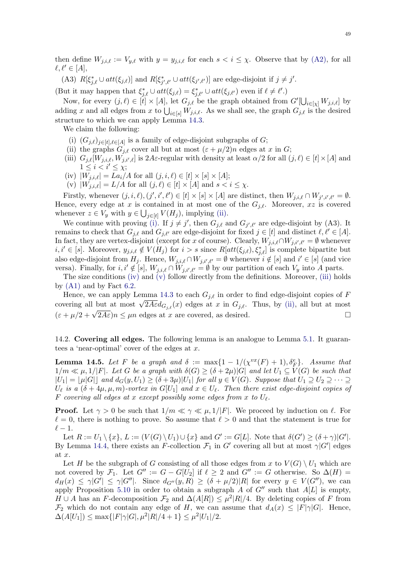then define  $W_{j,i,\ell} := V_{y,\ell}$  with  $y = y_{j,i,\ell}$  for each  $s < i \leq \chi$ . Observe that by [\(A2\),](#page-47-2) for all  $\ell, \ell' \in [A],$ 

(A3)  $R[\xi_{j,\ell}^* \cup att(\xi_{j,\ell})]$  and  $R[\xi_{j',\ell'}^* \cup att(\xi_{j',\ell'})]$  are edge-disjoint if  $j \neq j'.$ 

(But it may happen that  $\xi_{j,\ell}^* \cup att(\xi_{j,\ell}) = \xi_{j,\ell'}^* \cup att(\xi_{j,\ell'})$  even if  $\ell \neq \ell'.$ )

Now, for every  $(j, \ell) \in [\tilde{t}] \times [A]$ , let  $G_{j, \ell}$  be the graph obtained from  $G'[\bigcup_{i \in [\chi]} W_{j, i, \ell}]$  by adding x and all edges from x to  $\bigcup_{i\in[s]} W_{j,i,\ell}$ . As we shall see, the graph  $G_{j,\ell}$  is the desired structure to which we can apply Lemma [14.3.](#page-46-1)

We claim the following:

- <span id="page-48-2"></span>(i)  $(G_{j,\ell})_{j\in[t],\ell\in[A]}$  is a family of edge-disjoint subgraphs of G;
- <span id="page-48-1"></span>(ii) the graphs  $G_{i,\ell}$  cover all but at most  $(\varepsilon + \mu/2)n$  edges at x in G;
- <span id="page-48-5"></span>(iii)  $G_{j,\ell}[W_{j,i,\ell}, W_{j,i',\ell}]$  is  $2A\varepsilon$ -regular with density at least  $\alpha/2$  for all  $(j,\ell) \in [t] \times [A]$  and  $1 \leq i < i' \leq \chi;$
- <span id="page-48-3"></span>(iv)  $|W_{j,i,\ell}| = La_i/A$  for all  $(j, i, \ell) \in [t] \times [s] \times [A];$
- <span id="page-48-4"></span>(v)  $|W_{j,i,\ell}| = L/A$  for all  $(j,\ell) \in [t] \times [A]$  and  $s < i \leq \chi$ .

Firstly, whenever  $(j, i, \ell), (j', i', \ell') \in [t] \times [s] \times [A]$  are distinct, then  $W_{j,i,\ell} \cap W_{j',i',\ell'} = \emptyset$ . Hence, every edge at x is contained in at most one of the  $G_{j,\ell}$ . Moreover, xz is covered whenever  $z \in V_y$  with  $y \in \bigcup_{j \in [t]} V(H_j)$ , implying [\(ii\).](#page-48-1)

We continue with proving [\(i\).](#page-48-2) If  $j \neq j'$ , then  $G_{j,\ell}$  and  $G_{j',\ell'}$  are edge-disjoint by (A3). It remains to check that  $G_{i,\ell}$  and  $G_{j,\ell'}$  are edge-disjoint for fixed  $j \in [t]$  and distinct  $\ell, \ell' \in [A]$ . In fact, they are vertex-disjoint (except for x of course). Clearly,  $W_{j,i,\ell} \cap W_{j,i',\ell'} = \emptyset$  whenever  $i, i' \in [s]$ . Moreover,  $y_{j,i,\ell} \notin V(H_j)$  for  $i > s$  since  $R[att(\xi_{j,\ell}), \xi_{j,\ell}^*]$  is complete bipartite but also edge-disjoint from  $H_j$ . Hence,  $W_{j,i,\ell} \cap W_{j,i',\ell'} = \emptyset$  whenever  $i \notin [s]$  and  $i' \in [s]$  (and vice versa). Finally, for  $i, i' \notin [s], W_{j,i,\ell} \cap W_{j,i',\ell'} = \emptyset$  by our partition of each  $V_y$  into A parts.

The size conditions [\(iv\)](#page-48-3) and [\(v\)](#page-48-4) follow directly from the definitions. Moreover, [\(iii\)](#page-48-5) holds by  $(A1)$  and by Fact [6.2.](#page-14-2)

Hence, we can apply Lemma [14.3](#page-46-1) to each  $G_{i,\ell}$  in order to find edge-disjoint copies of F Thence, we can apply Lemma 14.5 to each  $G_{j,\ell}$  in order to find edge-disjoint copies of F<br>covering all but at most  $\sqrt{2A\varepsilon}d_{G_{j,\ell}}(x)$  edges at x in  $G_{j,\ell}$ . Thus, by [\(ii\),](#page-48-1) all but at most covering an but at most  $\sqrt{2A\epsilon}G_{j,\ell}(x)$  edges at x in  $G_{j,\ell}$ . Thus, by (ii), an but at most  $(\epsilon + \mu/2 + \sqrt{2A\epsilon})n \leq \mu n$  edges at x are covered, as desired.

<span id="page-48-0"></span>14.2. Covering all edges. The following lemma is an analogue to Lemma [5.1.](#page-7-1) It guarantees a 'near-optimal' cover of the edges at  $x$ .

<span id="page-48-6"></span>**Lemma 14.5.** Let F be a graph and  $\delta := \max\{1 - 1/(\chi^{vx}(F) + 1), \delta_F^e\}$ . Assume that  $1/m \ll \mu$ ,  $1/|F|$ . Let G be a graph with  $\delta(G) \geq (\delta + 2\mu)|G|$  and let  $U_1 \subseteq V(G)$  be such that  $|U_1| = |\mu|G|$  and  $d_G(y, U_1) \ge (\delta + 3\mu)|U_1|$  for all  $y \in V(G)$ . Suppose that  $U_1 \supseteq U_2 \supseteq \cdots \supseteq$  $U_{\ell}$  is a  $(\delta + 4\mu, \mu, m)$ -vortex in  $G[U_1]$  and  $x \in U_{\ell}$ . Then there exist edge-disjoint copies of  $F$  covering all edges at  $x$  except possibly some edges from  $x$  to  $U_\ell$ .

**Proof.** Let  $\gamma > 0$  be such that  $1/m \ll \gamma \ll \mu$ ,  $1/|F|$ . We proceed by induction on  $\ell$ . For  $\ell = 0$ , there is nothing to prove. So assume that  $\ell > 0$  and that the statement is true for  $\ell - 1$ .

Let  $R := U_1 \setminus \{x\}, L := (V(G) \setminus U_1) \cup \{x\}$  and  $G' := G[L]$ . Note that  $\delta(G') \geq (\delta + \gamma)|G'|$ . By Lemma [14.4,](#page-46-0) there exists an F-collection  $\mathcal{F}_1$  in G' covering all but at most  $\gamma |G'|$  edges at x.

Let H be the subgraph of G consisting of all those edges from x to  $V(G) \setminus U_1$  which are not covered by  $\mathcal{F}_1$ . Let  $G'' := G - G[U_2]$  if  $\ell \geq 2$  and  $G'' := G$  otherwise. So  $\Delta(H) =$  $d_H(x) \leq \gamma |G'| \leq \gamma |G''|$ . Since  $d_{G''}(y,R) \geq (\delta + \mu/2)|R|$  for every  $y \in V(G'')$ , we can apply Proposition [5.10](#page-12-0) in order to obtain a subgraph A of G'' such that  $A[L]$  is empty,  $H \cup A$  has an F-decomposition  $\mathcal{F}_2$  and  $\Delta(A[R]) \leq \mu^2|R|/4$ . By deleting copies of F from  $\mathcal{F}_2$  which do not contain any edge of H, we can assume that  $d_A(x) \leq |F|\gamma|G$ . Hence,  $\Delta(A[U_1]) \le \max\{|F|\gamma|G|, \mu^2|R|/4 + 1\} \le \mu^2|U_1|/2.$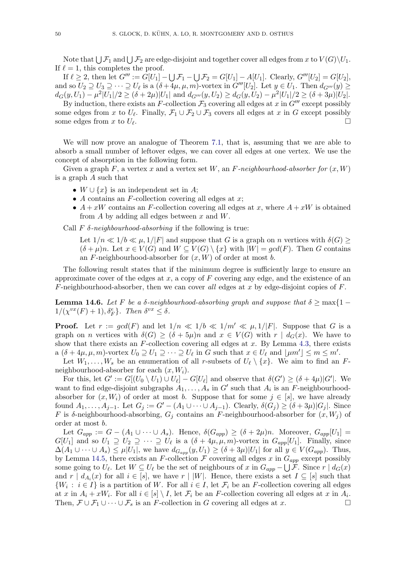Note that  $\bigcup \mathcal{F}_1$  and  $\bigcup \mathcal{F}_2$  are edge-disjoint and together cover all edges from  $x$  to  $V(G)\backslash U_1.$ If  $\ell = 1$ , this completes the proof.

If  $\ell \geq 2$ , then let  $G''' := G[U_1] - \bigcup \mathcal{F}_1 - \bigcup \mathcal{F}_2 = G[U_1] - A[U_1]$ . Clearly,  $G'''[U_2] = G[U_2]$ , and so  $U_2 \supseteq U_3 \supseteq \cdots \supseteq U_\ell$  is a  $(\delta + 4\mu, \mu, m)$ -vortex in  $G'''[U_2]$ . Let  $y \in U_1$ . Then  $d_{G'''}(y) \ge$  $d_G(y, U_1) - \mu^2 |U_1|/2 \ge (\delta + 2\mu)|U_1|$  and  $d_{G''''}(y, U_2) \ge d_G(y, U_2) - \mu^2 |U_1|/2 \ge (\delta + 3\mu)|U_2|$ . By induction, there exists an F-collection  $\mathcal{F}_3$  covering all edges at x in  $G'''$  except possibly

some edges from x to  $U_{\ell}$ . Finally,  $\mathcal{F}_1 \cup \mathcal{F}_2 \cup \mathcal{F}_3$  covers all edges at x in G except possibly some edges from x to  $U_{\ell}$ . .

We will now prove an analogue of Theorem [7.1,](#page-16-0) that is, assuming that we are able to absorb a small number of leftover edges, we can cover all edges at one vertex. We use the concept of absorption in the following form.

Given a graph F, a vertex x and a vertex set W, an F-neighbourhood-absorber for  $(x, W)$ is a graph A such that

- $W \cup \{x\}$  is an independent set in A;
- A contains an F-collection covering all edges at  $x$ ;
- $A + xW$  contains an F-collection covering all edges at x, where  $A + xW$  is obtained from  $A$  by adding all edges between  $x$  and  $W$ .

Call  $F \delta$ -neighbourhood-absorbing if the following is true:

Let  $1/n \ll 1/b \ll \mu$ ,  $1/|F|$  and suppose that G is a graph on n vertices with  $\delta(G)$  $(\delta + \mu)n$ . Let  $x \in V(G)$  and  $W \subseteq V(G) \setminus \{x\}$  with  $|W| = gcd(F)$ . Then G contains an F-neighbourhood-absorber for  $(x, W)$  of order at most b.

The following result states that if the minimum degree is sufficiently large to ensure an approximate cover of the edges at  $x$ , a copy of  $F$  covering any edge, and the existence of an F-neighbourhood-absorber, then we can cover all edges at x by edge-disjoint copies of  $F$ .

<span id="page-49-0"></span>**Lemma 14.6.** Let F be a  $\delta$ -neighbourhood-absorbing graph and suppose that  $\delta$  > max $\{1 1/(\chi^{vx}(F)+1), \delta_F^e$ . Then  $\delta^{vx} \leq \delta$ .

**Proof.** Let  $r := \gcd(F)$  and let  $1/n \ll 1/b \ll 1/m' \ll \mu, 1/|F|$ . Suppose that G is a graph on *n* vertices with  $\delta(G) \geq (\delta + 5\mu)n$  and  $x \in V(G)$  with  $r | d_G(x)$ . We have to show that there exists an  $F$ -collection covering all edges at  $x$ . By Lemma [4.3,](#page-6-3) there exists a  $(\delta + 4\mu, \mu, m)$ -vortex  $U_0 \supseteq U_1 \supseteq \cdots \supseteq U_\ell$  in G such that  $x \in U_\ell$  and  $\lfloor \mu m' \rfloor \leq m \leq m'$ .

Let  $W_1, \ldots, W_s$  be an enumeration of all r-subsets of  $U_\ell \setminus \{x\}$ . We aim to find an Fneighbourhood-absorber for each  $(x, W_i)$ .

For this, let  $G' := G[(U_0 \setminus U_1) \cup U_\ell] - G[U_\ell]$  and observe that  $\delta(G') \geq (\delta + 4\mu)|G'|$ . We want to find edge-disjoint subgraphs  $A_1, \ldots, A_s$  in G' such that  $A_i$  is an F-neighbourhoodabsorber for  $(x, W_i)$  of order at most b. Suppose that for some  $j \in [s]$ , we have already found  $A_1, \ldots, A_{j-1}$ . Let  $G_j := G' - (A_1 \cup \cdots \cup A_{j-1})$ . Clearly,  $\delta(G_j) \geq (\delta + 3\mu)|G_j|$ . Since F is  $\delta$ -neighbourhood-absorbing,  $G_i$  contains an F-neighbourhood-absorber for  $(x, W_i)$  of order at most b.

Let  $G_{app} := G - (A_1 \cup \cdots \cup A_s)$ . Hence,  $\delta(G_{app}) \geq (\delta + 2\mu)n$ . Moreover,  $G_{app}[U_1] =$  $G[U_1]$  and so  $U_1 \supseteq U_2 \supseteq \cdots \supseteq U_\ell$  is a  $(\delta + 4\mu, \mu, m)$ -vortex in  $G_{app}[U_1]$ . Finally, since  $\Delta(A_1 \cup \cdots \cup A_s) \leq \mu |U_1|$ , we have  $d_{G_{app}}(y, U_1) \geq (\delta + 3\mu)|U_1|$  for all  $y \in V(G_{app})$ . Thus, by Lemma [14.5,](#page-48-6) there exists an F-collection  $\mathcal F$  covering all edges x in  $G_{app}$  except possibly some going to  $U_{\ell}$ . Let  $W \subseteq U_{\ell}$  be the set of neighbours of x in  $G_{app} - \bigcup \mathcal{F}$ . Since  $r \mid d_G(x)$ and  $r | d_{A_i}(x)$  for all  $i \in [s]$ , we have  $r | W$ . Hence, there exists a set  $I \subseteq [s]$  such that  $\{W_i : i \in I\}$  is a partition of W. For all  $i \in I$ , let  $\mathcal{F}_i$  be an F-collection covering all edges at x in  $A_i + xW_i$ . For all  $i \in [s] \setminus I$ , let  $\mathcal{F}_i$  be an F-collection covering all edges at x in  $A_i$ . Then,  $\mathcal{F} \cup \mathcal{F}_1 \cup \cdots \cup \mathcal{F}_s$  is an F-collection in G covering all edges at x.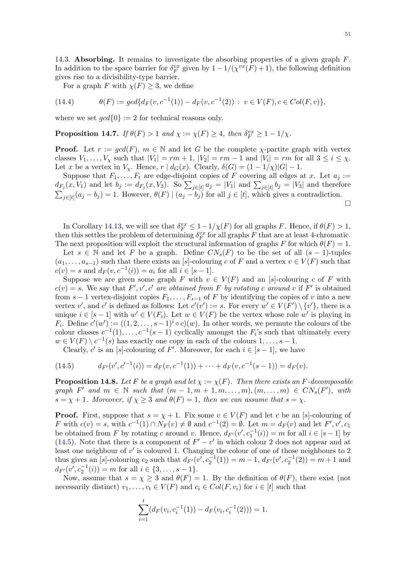<span id="page-50-0"></span>14.3. Absorbing. It remains to investigate the absorbing properties of a given graph  $F$ . In addition to the space barrier for  $\delta_F^{vx}$  given by  $1 - 1/(\chi^{vx}(F) + 1)$ , the following definition gives rise to a divisibility-type barrier.

For a graph F with  $\chi(F) \geq 3$ , we define

<span id="page-50-3"></span>(14.4) 
$$
\theta(F) := \gcd\{d_F(v, c^{-1}(1)) - d_F(v, c^{-1}(2)) : v \in V(F), c \in Col(F, v)\},\
$$

where we set  $gcd{0} := 2$  for technical reasons only.

<span id="page-50-4"></span>**Proposition 14.7.** If  $\theta(F) > 1$  and  $\chi := \chi(F) \geq 4$ , then  $\delta_F^{vx} \geq 1 - 1/\chi$ .

**Proof.** Let  $r := \gcd(F)$ ,  $m \in \mathbb{N}$  and let G be the complete  $\chi$ -partite graph with vertex classes  $V_1, \ldots, V_\chi$  such that  $|V_1| = rm + 1$ ,  $|V_2| = rm - 1$  and  $|V_i| = rm$  for all  $3 \le i \le \chi$ . Let x be a vertex in  $V_\chi$ . Hence,  $r | d_G(x)$ . Clearly,  $\delta(G) = (1 - 1/\chi)|G| - 1$ .

Suppose that  $F_1, \ldots, F_t$  are edge-disjoint copies of F covering all edges at x. Let  $a_j :=$  $d_{F_j}(x, V_1)$  and let  $b_j := d_{F_j}(x, V_3)$ . So  $\sum_{j \in [t]} a_j = |V_1|$  and  $\sum_{j \in [t]} b_j = |V_3|$  and therefore  $\sum_{j\in[t]}(a_j-b_j)=1.$  However,  $\theta(F) | (a_j-b_j)$  for all  $j\in[t]$ , which gives a contradiction.  $\Box$ 

In Corollary [14.13,](#page-56-1) we will see that  $\delta_F^{vx} \leq 1 - 1/\chi(F)$  for all graphs F. Hence, if  $\theta(F) > 1$ , then this settles the problem of determining  $\delta_F^{vx}$  for all graphs F that are at least 4-chromatic. The next proposition will exploit the structural information of graphs F for which  $\theta(F) = 1$ .

Let  $s \in \mathbb{N}$  and let F be a graph. Define  $CN_s(F)$  to be the set of all  $(s-1)$ -tuples  $(a_1, \ldots, a_{s-1})$  such that there exists an [s]-colouring c of F and a vertex  $v \in V(F)$  such that  $c(v) = s$  and  $d_F(v, c^{-1}(i)) = a_i$  for all  $i \in [s-1]$ .

Suppose we are given some graph F with  $v \in V(F)$  and an [s]-colouring c of F with  $c(v) = s$ . We say that  $F', v', c'$  are obtained from F by rotating c around v if F' is obtained from  $s-1$  vertex-disjoint copies  $F_1, \ldots, F_{s-1}$  of F by identifying the copies of v into a new vertex  $v'$ , and  $c'$  is defined as follows: Let  $c'(v') := s$ . For every  $w' \in V(F') \setminus \{v'\}$ , there is a unique  $i \in [s-1]$  with  $w' \in V(F_i)$ . Let  $w \in V(F)$  be the vertex whose role w' is playing in  $F_i$ . Define  $c'(w') := ((1, 2, \ldots, s-1)^i \circ c)(w)$ . In other words, we permute the colours of the colour classes  $c^{-1}(1), \ldots, c^{-1}(s-1)$  cyclically amongst the  $F_i$ 's such that ultimately every  $w \in V(F) \setminus c^{-1}(s)$  has exactly one copy in each of the colours  $1, \ldots, s-1$ .

Clearly, c' is an [s]-colouring of F'. Moreover, for each  $i \in [s-1]$ , we have

<span id="page-50-1"></span>(14.5) 
$$
d_{F'}(v', c'^{-1}(i)) = d_F(v, c^{-1}(1)) + \cdots + d_F(v, c^{-1}(s-1)) = d_F(v).
$$

<span id="page-50-2"></span>**Proposition 14.8.** Let F be a graph and let  $\chi := \chi(F)$ . Then there exists an F-decomposable graph  $F'$  and  $m \in \mathbb{N}$  such that  $(m-1, m+1, m, \ldots, m), (m, \ldots, m) \in CN_s(F')$ , with  $s = \chi + 1$ . Moreover, if  $\chi \geq 3$  and  $\theta(F) = 1$ , then we can assume that  $s = \chi$ .

**Proof.** First, suppose that  $s = \chi + 1$ . Fix some  $v \in V(F)$  and let c be an [s]-colouring of F with  $c(v) = s$ , with  $c^{-1}(1) \cap N_F(v) \neq \emptyset$  and  $c^{-1}(2) = \emptyset$ . Let  $m = d_F(v)$  and let  $F', v', c_1$ be obtained from F by rotating c around v. Hence,  $d_{F}(v', c_1^{-1}(i)) = m$  for all  $i \in [s-1]$  by [\(14.5\)](#page-50-1). Note that there is a component of  $F' - v'$  in which colour 2 does not appear and at least one neighbour of  $v'$  is coloured 1. Changing the colour of one of those neighbours to 2 thus gives an [s]-colouring  $c_2$  such that  $d_{F}(v', c_2^{-1}(1)) = m - 1$ ,  $d_{F}(v', c_2^{-1}(2)) = m + 1$  and  $d_{F'}(v', c_2^{-1}(i)) = m$  for all  $i \in \{3, \ldots, s-1\}.$ 

Now, assume that  $s = \chi \geq 3$  and  $\theta(F) = 1$ . By the definition of  $\theta(F)$ , there exist (not necessarily distinct)  $v_1, \ldots, v_t \in V(F)$  and  $c_i \in Col(F, v_i)$  for  $i \in [t]$  such that

$$
\sum_{i=1}^{t} (d_F(v_i, c_i^{-1}(1)) - d_F(v_i, c_i^{-1}(2))) = 1.
$$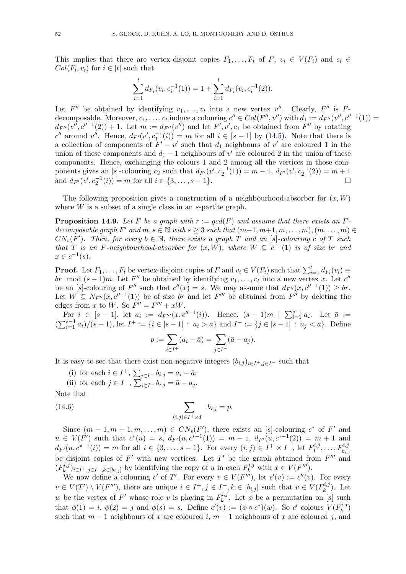This implies that there are vertex-disjoint copies  $F_1, \ldots, F_t$  of  $F, v_i \in V(F_i)$  and  $c_i \in$  $Col(F_i, v_i)$  for  $i \in [t]$  such that

$$
\sum_{i=1}^{t} d_{F_i}(v_i, c_i^{-1}(1)) = 1 + \sum_{i=1}^{t} d_{F_i}(v_i, c_i^{-1}(2)).
$$

Let  $F''$  be obtained by identifying  $v_1, \ldots, v_t$  into a new vertex  $v''$ . Clearly,  $F''$  is Fdecomposable. Moreover,  $c_1, \ldots, c_t$  induce a colouring  $c'' \in Col(F'', v'')$  with  $d_1 := d_{F''}(v'', c''^{-1}(1)) =$  $d_{F''}(v'',c''^{-1}(2)) + 1$ . Let  $m := d_{F''}(v'')$  and let  $F',v',c_1$  be obtained from  $F''$  by rotating c'' around v''. Hence,  $d_{F}(v', c_1^{-1}(i)) = m$  for all  $i \in [s-1]$  by [\(14.5\)](#page-50-1). Note that there is a collection of components of  $F' - v'$  such that  $d_1$  neighbours of v' are coloured 1 in the union of these components and  $d_1 - 1$  neighbours of v' are coloured 2 in the union of these components. Hence, exchanging the colours 1 and 2 among all the vertices in those components gives an [s]-colouring  $c_2$  such that  $d_{F}(v', c_2^{-1}(1)) = m - 1$ ,  $d_{F}(v', c_2^{-1}(2)) = m + 1$ and  $d_{F'}(v', c_2^{-1}(i)) = m$  for all  $i \in \{3, \ldots, s - 1\}.$ 

The following proposition gives a construction of a neighbourhood-absorber for  $(x, W)$ where  $W$  is a subset of a single class in an s-partite graph.

<span id="page-51-1"></span>**Proposition 14.9.** Let F be a graph with  $r := \gcd(F)$  and assume that there exists an Fdecomposable graph F' and  $m, s \in \mathbb{N}$  with  $s \geq 3$  such that  $(m-1, m+1, m, \ldots, m), (m, \ldots, m) \in$  $CN_s(F')$ . Then, for every  $b \in \mathbb{N}$ , there exists a graph T and an [s]-colouring c of T such that T is an F-neighbourhood-absorber for  $(x, W)$ , where  $W \subseteq c^{-1}(1)$  is of size br and  $x \in c^{-1}(s)$ .

**Proof.** Let  $F_1, \ldots, F_t$  be vertex-disjoint copies of F and  $v_i \in V(F_i)$  such that  $\sum_{i=1}^t d_{F_i}(v_i) \equiv$ br mod  $(s-1)m$ . Let F'' be obtained by identifying  $v_1, \ldots, v_t$  into a new vertex x. Let  $c''$ be an [s]-colouring of F'' such that  $c''(x) = s$ . We may assume that  $d_{F''}(x, c''^{-1}(1)) \geq br$ . Let  $W \subseteq N_{F''}(x, c''^{-1}(1))$  be of size br and let  $F'''$  be obtained from  $F''$  by deleting the edges from x to W. So  $F'' = F''' + xW$ .

For  $i \in [s-1]$ , let  $a_i := d_{F'''}(x, c''^{-1}(i))$ . Hence,  $(s-1)m \mid \sum_{i=1}^{s-1} a_i$ . Let  $\bar{a} :=$  $(\sum_{i=1}^{s-1} a_i)/(s-1)$ , let  $I^+ := \{i \in [s-1] : a_i > \bar{a}\}$  and  $I^- := \{j \in [s-1] : a_j < \bar{a}\}$ . Define

$$
p := \sum_{i \in I^+} (a_i - \bar{a}) = \sum_{j \in I^-} (\bar{a} - a_j).
$$

It is easy to see that there exist non-negative integers  $(b_{i,j})_{i\in I^+,j\in I^-}$  such that

(i) for each  $i \in I^+$ ,  $\sum_{j \in I^-} b_{i,j} = a_i - \bar{a}$ ;

(ii) for each  $j \in I^-$ ,  $\sum_{i \in I^+}^{\infty} b_{i,j} = \overline{a} - a_j$ . Note that

<span id="page-51-0"></span>
$$
_{\rm 1\,00c\,\, that}
$$

(14.6) 
$$
\sum_{(i,j)\in I^+\times I^-} b_{i,j} = p.
$$

Since  $(m-1, m+1, m, \ldots, m) \in CN_s(F')$ , there exists an [s]-colouring  $c^*$  of  $F'$  and  $u \in V(F')$  such that  $c^*(u) = s$ ,  $d_{F'}(u, c^{*-1}(1)) = m - 1$ ,  $d_{F'}(u, c^{*-1}(2)) = m + 1$  and  $d_{F'}(u, c^{*-1}(i)) = m$  for all  $i \in \{3, ..., s-1\}$ . For every  $(i, j) \in I^+ \times I^-$ , let  $F_1^{i,j}$  $I_1^{i,j},\ldots, F_{b_{i,j}}^{i,j}$ be disjoint copies of  $F'$  with new vertices. Let  $T'$  be the graph obtained from  $F'''$  and  $(F_k^{i,j}$  $(k_k^{i,j})_{i\in I^+, j\in I^-, k\in [b_{i,j}]$  by identifying the copy of u in each  $F_k^{i,j}$  with  $x \in V(F''')$ .

We now define a colouring c' of T'. For every  $v \in V(F''')$ , let  $c'(v) := c''(v)$ . For every  $v \in V(T') \setminus V(F''')$ , there are unique  $i \in I^+, j \in I^-, k \in [b_{i,j}]$  such that  $v \in V(F_k^{i,j})$  $\binom{n,j}{k}$ . Let w be the vertex of F' whose role v is playing in  $F_k^{i,j}$ <sup>n,9</sup>. Let  $\phi$  be a permutation on [s] such that  $\phi(1) = i$ ,  $\phi(2) = j$  and  $\phi(s) = s$ . Define  $c'(v) := (\phi \circ c^*)(w)$ . So c' colours  $V(F_k^{i,j})$  $\binom{n,j}{k}$ such that  $m-1$  neighbours of x are coloured i,  $m+1$  neighbours of x are coloured j, and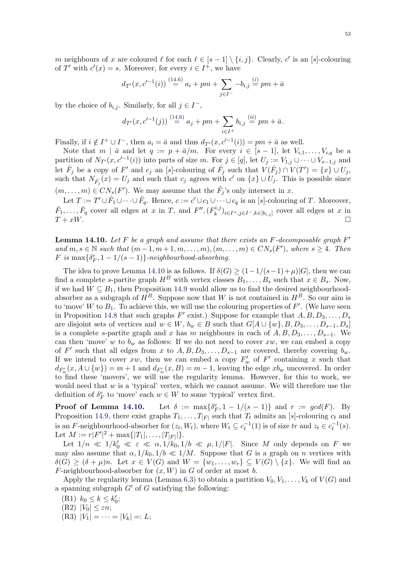m neighbours of x are coloured  $\ell$  for each  $\ell \in [s-1] \setminus \{i, j\}$ . Clearly, c' is an [s]-colouring of T' with  $c'(x) = s$ . Moreover, for every  $i \in I^+$ , we have

$$
d_{T'}(x, c'^{-1}(i)) \stackrel{(14.6)}{=} a_i + pm + \sum_{j \in I^-} -b_{i,j} \stackrel{(i)}{=} pm + \bar{a}
$$

by the choice of  $b_{i,j}$ . Similarly, for all  $j \in I^-$ ,

$$
d_{T'}(x, c'^{-1}(j)) \stackrel{(14.6)}{=} a_j + pm + \sum_{i \in I^+} b_{i,j} \stackrel{(ii)}{=} pm + \bar{a}.
$$

Finally, if  $i \notin I^+ \cup I^-$ , then  $a_i = \bar{a}$  and thus  $d_{T'}(x, c'^{-1}(i)) = pm + \bar{a}$  as well.

Note that  $m | \bar{a}$  and let  $q := p + \bar{a}/m$ . For every  $i \in [s-1]$ , let  $V_{i,1}, \ldots, V_{i,q}$  be a partition of  $N_{T}(x, c^{(-1)}(i))$  into parts of size m. For  $j \in [q]$ , let  $U_j := V_{1,j} \cup \cdots \cup V_{s-1,j}$  and let  $\hat{F}_j$  be a copy of F' and  $c_j$  an [s]-colouring of  $\hat{F}_j$  such that  $V(\hat{F}_j) \cap V(T') = \{x\} \cup U_j$ , such that  $N_{\hat{F}_j}(x) = U_j$  and such that  $c_j$  agrees with  $c'$  on  $\{x\} \cup U_j$ . This is possible since  $(m, \ldots, m) \in CN_s(F')$ . We may assume that the  $\hat{F}_j$ 's only intersect in x.

Let  $T := T' \cup \hat{F}_1 \cup \cdots \cup \hat{F}_q$ . Hence,  $c := c' \cup c_1 \cup \cdots \cup c_q$  is an [s]-colouring of T. Moreover,  $\hat{F}_1, \ldots, \hat{F}_q$  cover all edges at x in T, and  $F'', (F_k^{i,j})$  $(k^{n,j})_{i\in I^+,j\in I^-,k\in[b_{i,j}]}$  cover all edges at x in  $T + xW.$ 

<span id="page-52-0"></span>**Lemma 14.10.** Let F be a graph and assume that there exists an F-decomposable graph  $F'$ and  $m, s \in \mathbb{N}$  such that  $(m-1, m+1, m, \ldots, m), (m, \ldots, m) \in CN_s(F')$ , where  $s \geq 4$ . Then  $F$  is  $\max\{\delta_F^e, 1-1/(s-1)\}$ -neighbourhood-absorbing.

The idea to prove Lemma [14.10](#page-52-0) is as follows. If  $\delta(G) \geq (1-1/(s-1)+\mu)|G|$ , then we can find a complete s-partite graph  $H^B$  with vertex classes  $B_1, \ldots, B_s$  such that  $x \in B_s$ . Now, if we had  $W \subseteq B_1$ , then Proposition [14.9](#page-51-1) would allow us to find the desired neighbourhoodabsorber as a subgraph of  $H^B$ . Suppose now that W is not contained in  $H^B$ . So our aim is to 'move' W to  $B_1$ . To achieve this, we will use the colouring properties of  $F'$ . (We have seen in Proposition [14.8](#page-50-2) that such graphs  $F'$  exist.) Suppose for example that  $A, B, D_3, \ldots, D_s$ are disjoint sets of vertices and  $w \in W$ ,  $b_w \in B$  such that  $G[A \cup \{w\}, B, D_3, \ldots, D_{s-1}, D_s]$ is a complete s-partite graph and x has m neighbours in each of  $A, B, D_3, \ldots, D_{s-1}$ . We can then 'move' w to  $b_w$  as follows: If we do not need to cover xw, we can embed a copy of F' such that all edges from x to  $A, B, D_3, \ldots, D_{s-1}$  are covered, thereby covering  $b_w$ . If we intend to cover xw, then we can embed a copy  $F'_w$  of  $F'$  containing x such that  $d_{F'_w}(x, A \cup \{w\}) = m + 1$  and  $d_{F'_w}(x, B) = m - 1$ , leaving the edge  $xb_w$  uncovered. In order to find these 'movers', we will use the regularity lemma. However, for this to work, we would need that  $w$  is a 'typical' vertex, which we cannot assume. We will therefore use the definition of  $\delta_F^e$  to 'move' each  $w \in W$  to some 'typical' vertex first.

Proof of Lemma [14.10.](#page-52-0)  $e_F^e$ , 1 – 1/(s – 1)} and  $r := \gcd(F)$ . By Proposition [14.9,](#page-51-1) there exist graphs  $T_1, \ldots, T_{|F|}$  such that  $T_t$  admits an [s]-colouring  $c_t$  and is an F-neighbourhood-absorber for  $(z_t, W_t)$ , where  $W_t \subseteq c_t^{-1}(1)$  is of size  $tr$  and  $z_t \in c_t^{-1}(s)$ . Let  $M := r|F'|^2 + \max\{|T_1|, \ldots, |T_{|F|}|\}.$ 

Let  $1/n \ll 1/k_0' \ll \varepsilon \ll \alpha, 1/k_0, 1/b \ll \mu, 1/|F|$ . Since M only depends on F we may also assume that  $\alpha$ ,  $1/k_0$ ,  $1/b \ll 1/M$ . Suppose that G is a graph on n vertices with  $\delta(G) \geq (\delta + \mu)n$ . Let  $x \in V(G)$  and  $W = \{w_1, \ldots, w_r\} \subseteq V(G) \setminus \{x\}$ . We will find an F-neighbourhood-absorber for  $(x, W)$  in G of order at most b.

Apply the regularity lemma (Lemma [6.3\)](#page-14-1) to obtain a partition  $V_0, V_1, \ldots, V_k$  of  $V(G)$  and a spanning subgraph  $G'$  of G satisfying the following:

(R1)  $k_0 \le k \le k'_0;$ 

(R2)  $|V_0| \leq \varepsilon n;$ 

 $(R3) |V_1| = \cdots = |V_k| =: L;$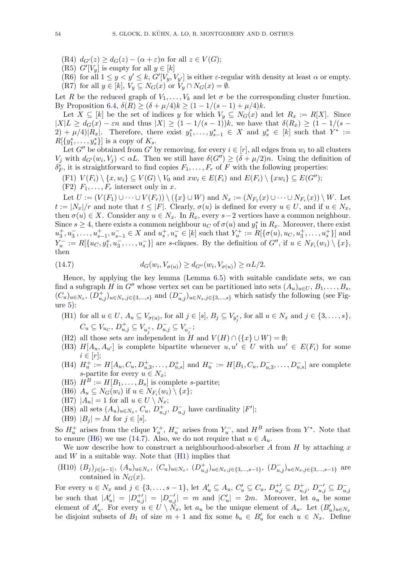(R4)  $d_{G'}(z) \geq d_G(z) - (\alpha + \varepsilon)n$  for all  $z \in V(G)$ ;

(R5)  $G'[V_y]$  is empty for all  $y \in [k]$ 

(R6) for all  $1 \leq y \leq k$ ,  $G'[V_y, V_{y'}]$  is either  $\varepsilon$ -regular with density at least  $\alpha$  or empty. (R7) for all  $y \in [k]$ ,  $V_y \subseteq N_G(x)$  or  $V_y \cap N_G(x) = \emptyset$ .

Let R be the reduced graph of  $V_1, \ldots, V_k$  and let  $\sigma$  be the corresponding cluster function. By Proposition [6.4,](#page-15-3)  $\delta(R) \ge (\delta + \mu/4)k \ge (1 - 1/(s - 1) + \mu/4)k$ .

Let  $X \subseteq [k]$  be the set of indices y for which  $V_y \subseteq N_G(x)$  and let  $R_x := R[X]$ . Since  $|X|L \geq d_G(x) - \varepsilon n$  and thus  $|X| \geq (1 - 1/(s-1))k$ , we have that  $\delta(R_x) \geq (1 - 1/(s-1))$  $(2) + \mu/4 |R_x|$ . Therefore, there exist  $y_1^*, \ldots, y_{s-1}^* \in X$  and  $y_s^* \in [k]$  such that  $Y^* :=$  $R[\lbrace y_1^*, \ldots, y_s^* \rbrace]$  is a copy of  $K_s$ .

Let G'' be obtained from G' by removing, for every  $i \in [r]$ , all edges from  $w_i$  to all clusters  $V_j$  with  $d_{G'}(w_i, V_j) < \alpha L$ . Then we still have  $\delta(G'') \geq (\delta + \mu/2)n$ . Using the definition of  $\delta_F^{\tilde{e}}$ , it is straightforward to find copies  $F_1, \ldots, F_r$  of F with the following properties:

(F1)  $V(F_i) \setminus \{x, w_i\} \subseteq V(G) \setminus V_0$  and  $xw_i \in E(F_i)$  and  $E(F_i) \setminus \{xw_i\} \subseteq E(G'')$ ;

 $(F2)$   $F_1, \ldots, F_r$  intersect only in x.

Let  $U := (V(F_1) \cup \cdots \cup V(F_r)) \setminus (\{x\} \cup W)$  and  $N_x := (N_{F_1}(x) \cup \cdots \cup N_{F_r}(x)) \setminus W$ . Let  $t := |N_x|/r$  and note that  $t \leq |F|$ . Clearly,  $\sigma(u)$  is defined for every  $u \in U$ , and if  $u \in N_x$ , then  $\sigma(u) \in X$ . Consider any  $u \in N_x$ . In  $R_x$ , every  $s-2$  vertices have a common neighbour. Since  $s \geq 4$ , there exists a common neighbour  $u_C$  of  $\sigma(u)$  and  $y_1^*$  in  $R_x$ . Moreover, there exist  $u_3^+, u_3^-, \ldots, u_{s-1}^+, u_{s-1}^- \in X$  and  $u_s^+, u_s^- \in [k]$  such that  $Y_u^+ := \tilde{R}[\{\sigma(u), u_C, u_3^+, \ldots, u_s^+\}]$  and  $Y_u^- := R[\lbrace u_C, y_1^*, u_3^-,\ldots, u_s^- \rbrace]$  are s-cliques. By the definition of  $G'',$  if  $u \in N_{F_i}(w_i) \setminus \lbrace x \rbrace$ , then

<span id="page-53-1"></span>
$$
(14.7) \t d_G(w_i, V_{\sigma(u)}) \ge d_{G''}(w_i, V_{\sigma(u)}) \ge \alpha L/2.
$$

Hence, by applying the key lemma (Lemma [6.5\)](#page-15-2) with suitable candidate sets, we can find a subgraph H in G<sup>''</sup> whose vertex set can be partitioned into sets  $(A_u)_{u\in U}, B_1, \ldots, B_s$ ,  $(C_u)_{u \in N_x}$ ,  $(D_{u,j}^+)_{u \in N_x,j \in \{3,\dots,s\}}$  and  $(D_{u,j}^-)_{u \in N_x,j \in \{3,\dots,s\}}$  which satisfy the following (see Figure [5\)](#page-54-0):

- <span id="page-53-2"></span>(H1) for all  $u \in U$ ,  $A_u \subseteq V_{\sigma(u)}$ , for all  $j \in [s]$ ,  $B_j \subseteq V_{y_j^*}$ , for all  $u \in N_x$  and  $j \in \{3, \ldots, s\}$ ,  $C_u \subseteq V_{u_C}, D_{u,j}^+ \subseteq V_{u_j^+}, D_{u,j}^- \subseteq V_{u_j^-};$
- (H2) all those sets are independent in H and  $V(H) \cap (\{x\} \cup W) = \emptyset$ ;
- (H3)  $H[A_u, A_{u'}]$  is complete bipartite whenever  $u, u' \in U$  with  $uu' \in E(F_i)$  for some  $i \in [r];$
- (H4)  $H_u^+ := H[A_u, C_u, D_{u,3}^+, \ldots, D_{u,s}^+]$  and  $H_u^- := H[B_1, C_u, D_{u,3}^-, \ldots, D_{u,s}^-]$  are complete s-partite for every  $u \in N_x$ ;
- (H5)  $H^B := H[B_1, \ldots, B_s]$  is complete s-partite;
- <span id="page-53-0"></span>(H6)  $A_u \subseteq N_G(w_i)$  if  $u \in N_{F_i}(w_i) \setminus \{x\};$
- (H7)  $|A_u| = 1$  for all  $u \in U \setminus N_x$ ;
- (H8) all sets  $(A_u)_{u \in N_x}$ ,  $C_u$ ,  $D_{u,j}^+$ ,  $D_{u,j}^-$  have cardinality  $|F'|$ ;
- (H9)  $|B_j| = M$  for  $j \in [s]$ .

So  $H_u^+$  arises from the clique  $Y_u^+$ ,  $H_u^-$  arises from  $Y_u^-$ , and  $H^B$  arises from  $Y^*$ . Note that to ensure [\(H6\)](#page-53-0) we use [\(14.7\)](#page-53-1). Also, we do not require that  $u \in A_u$ .

We now describe how to construct a neighbourhood-absorber A from  $H$  by attaching x and  $W$  in a suitable way. Note that  $(H1)$  implies that

<span id="page-53-3"></span>(H10)  $(B_j)_{j\in[s-1]}, (A_u)_{u\in N_x}, (C_u)_{u\in N_x}, (D_{u,j}^+)_{u\in N_x,j\in\{3,\dots,s-1\}}, (D_{u,j}^-)_{u\in N_x,j\in\{3,\dots,s-1\}}$  are contained in  $N_G(x)$ .

For every  $u \in N_x$  and  $j \in \{3, ..., s-1\}$ , let  $A'_u \subseteq A_u$ ,  $C'_u \subseteq C_u$ ,  $D_{u,j}^{+\prime} \subseteq D_{u,j}^{+}$ ,  $D_{u,j}^{-\prime} \subseteq D_{u,j}^{-}$ be such that  $|A'_u| = |D^{-1}_{u,j}| = |D^{-1}_{u,j}| = m$  and  $|C'_u| = 2m$ . Moreover, let  $a_u$  be some element of  $A'_u$ . For every  $u \in U \setminus \tilde{N}_x$ , let  $a_u$  be the unique element of  $A_u$ . Let  $(B'_u)_{u \in N_x}$ be disjoint subsets of  $B_1$  of size  $m + 1$  and fix some  $b_u \in B'_u$  for each  $u \in N_x$ . Define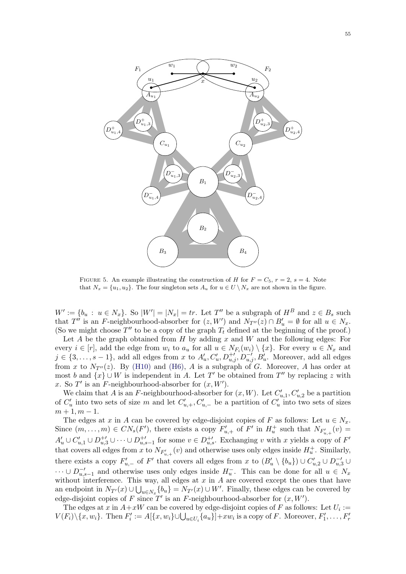<span id="page-54-0"></span>

FIGURE 5. An example illustrating the construction of H for  $F = C_5$ ,  $r = 2$ ,  $s = 4$ . Note that  $N_x = \{u_1, u_2\}$ . The four singleton sets  $A_u$  for  $u \in U \setminus N_x$  are not shown in the figure.

 $W' := \{b_u : u \in N_x\}.$  So  $|W'| = |N_x| = tr$ . Let T'' be a subgraph of  $H^B$  and  $z \in B_s$  such that  $T''$  is an F-neighbourhood-absorber for  $(z, W')$  and  $N_{T''}(z) \cap B'_u = \emptyset$  for all  $u \in N_x$ . (So we might choose  $T''$  to be a copy of the graph  $T_t$  defined at the beginning of the proof.)

Let  $A$  be the graph obtained from  $H$  by adding  $x$  and  $W$  and the following edges: For every  $i \in [r]$ , add the edge from  $w_i$  to  $a_u$  for all  $u \in N_{F_i}(w_i) \setminus \{x\}$ . For every  $u \in N_x$  and  $j \in \{3, \ldots, s-1\}$ , add all edges from x to  $A'_u, C'_u, D_{u,j}^{+'}$ ,  $D_{u,j}^{-'}$ ,  $B'_u$ . Moreover, add all edges from x to  $N_{T''}(z)$ . By [\(H10\)](#page-53-3) and [\(H6\),](#page-53-0) A is a subgraph of G. Moreover, A has order at most b and  $\{x\} \cup W$  is independent in A. Let T' be obtained from T'' by replacing z with x. So  $T'$  is an F-neighbourhood-absorber for  $(x, W')$ .

We claim that A is an F-neighbourhood-absorber for  $(x, W)$ . Let  $C'_{u,1}, C'_{u,2}$  be a partition of  $C'_u$  into two sets of size m and let  $C'_{u,+}, C'_{u,-}$  be a partition of  $C'_u$  into two sets of sizes  $m+1, m-1.$ 

The edges at x in A can be covered by edge-disjoint copies of F as follows: Let  $u \in N_x$ . Since  $(m,\ldots,m) \in CN_s(F')$ , there exists a copy  $F'_{u,+}$  of  $F'$  in  $H^+_u$  such that  $N_{F'_{u,+}}(v)$  $A'_u \cup C'_{u,1} \cup D_{u,3}^{+'} \cup \cdots \cup D_{u,s-1}^{+'}$  for some  $v \in D_{u,s}^{+}$ . Exchanging v with x yields a copy of F' that covers all edges from x to  $N_{F'_{u,+}}(v)$  and otherwise uses only edges inside  $H_u^+$ . Similarly, there exists a copy  $F'_{u,-}$  of F' that covers all edges from x to  $(B'_u \setminus \{b_u\}) \cup C'_{u,2} \cup D_{u,3}^{-1} \cup$  $\cdots \cup D_{u,s-1}^{-'}$  and otherwise uses only edges inside  $H_u^-$ . This can be done for all  $u \in N_x$ without interference. This way, all edges at  $x$  in  $A$  are covered except the ones that have an endpoint in  $N_{T}(x) \cup \bigcup_{u \in N_x} \{b_u\} = N_{T}(x) \cup W'$ . Finally, these edges can be covered by edge-disjoint copies of F since  $T'$  is an F-neighbourhood-absorber for  $(x, W')$ .

The edges at x in  $A+xW$  can be covered by edge-disjoint copies of F as follows: Let  $U_i :=$  $V(F_i)\setminus\{x,w_i\}$ . Then  $F'_i := A[\{x,w_i\}\cup\bigcup_{u\in U_i}\{a_u\}]+xw_i$  is a copy of F. Moreover,  $F'_1,\ldots,F'_r$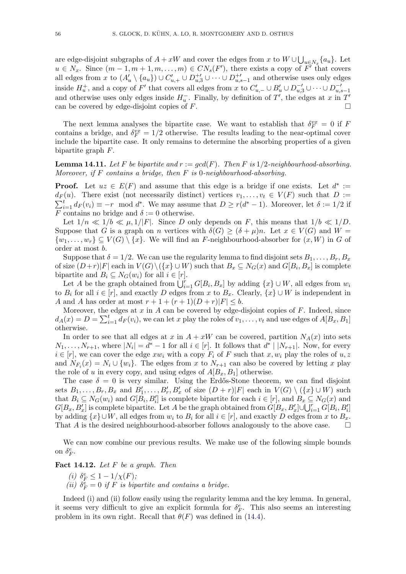are edge-disjoint subgraphs of  $A + xW$  and cover the edges from x to  $W \cup \bigcup_{u \in N_x} \{a_u\}$ . Let  $u \in N_x$ . Since  $(m-1, m+1, m, \ldots, m) \in CN_s(F')$ , there exists a copy of  $\overline{F'}$  that covers all edges from x to  $(A'_u \setminus \{a_u\}) \cup C'_{u,+} \cup D_{u,3}^{+'} \cup \cdots \cup D_{u,s-1}^{+'}$  and otherwise uses only edges inside  $H_u^+$ , and a copy of F' that covers all edges from x to  $C'_{u,-} \cup B'_u \cup D_{u,3}^{-'} \cup \cdots \cup D_{u,s-1}^{-'}$ and otherwise uses only edges inside  $H_u^-$ . Finally, by definition of T', the edges at x in T' can be covered by edge-disjoint copies of  $F$ .

The next lemma analyses the bipartite case. We want to establish that  $\delta_F^{vx} = 0$  if F contains a bridge, and  $\delta_F^{vx} = 1/2$  otherwise. The results leading to the near-optimal cover include the bipartite case. It only remains to determine the absorbing properties of a given bipartite graph F.

<span id="page-55-0"></span>**Lemma 14.11.** Let F be bipartite and  $r := \gcd(F)$ . Then F is 1/2-neighbourhood-absorbing. Moreover, if  $F$  contains a bridge, then  $F$  is 0-neighbourhood-absorbing.

**Proof.** Let  $uz \in E(F)$  and assume that this edge is a bridge if one exists. Let  $d^* :=$  $\sum_{i=1}^{t} d_F(v_i) \equiv -r \mod d^*$ . We may assume that  $D \ge r(d^* - 1)$ . Moreover, let  $\delta := 1/2$  if  $d_F(u)$ . There exist (not necessarily distinct) vertices  $v_1, \ldots, v_t \in V(F)$  such that  $D :=$ F contains no bridge and  $\delta := 0$  otherwise.

Let  $1/n \ll 1/b \ll \mu$ ,  $1/|F|$ . Since D only depends on F, this means that  $1/b \ll 1/D$ . Suppose that G is a graph on n vertices with  $\delta(G) > (\delta + \mu)n$ . Let  $x \in V(G)$  and  $W =$  $\{w_1, \ldots, w_r\} \subseteq V(G) \setminus \{x\}.$  We will find an F-neighbourhood-absorber for  $(x, W)$  in G of order at most b.

Suppose that  $\delta = 1/2$ . We can use the regularity lemma to find disjoint sets  $B_1, \ldots, B_r, B_x$ of size  $(D+r)|F|$  each in  $V(G)\setminus (\{x\} \cup W)$  such that  $B_x \subseteq N_G(x)$  and  $G[B_i, B_x]$  is complete bipartite and  $B_i \subseteq N_G(w_i)$  for all  $i \in [r]$ .

Let A be the graph obtained from  $\dot{\bigcup}_{i=1}^r G[B_i, B_x]$  by adding  $\{x\} \cup W$ , all edges from  $w_i$ to  $B_i$  for all  $i \in [r]$ , and exactly D edges from x to  $B_x$ . Clearly,  $\{x\} \cup W$  is independent in A and A has order at most  $r + 1 + (r + 1)(D + r)|F| \leq b$ .

Moreover, the edges at  $x$  in  $A$  can be covered by edge-disjoint copies of  $F$ . Indeed, since  $d_A(x) = D = \sum_{i=1}^t d_F(v_i)$ , we can let x play the roles of  $v_1, \ldots, v_t$  and use edges of  $A[B_x, B_1]$ otherwise.

In order to see that all edges at x in  $A + xW$  can be covered, partition  $N_A(x)$  into sets  $N_1, \ldots, N_{r+1}$ , where  $|N_i| = d^* - 1$  for all  $i \in [r]$ . It follows that  $d^* |N_{r+1}|$ . Now, for every  $i \in [r]$ , we can cover the edge  $xw_i$  with a copy  $F_i$  of F such that  $x, w_i$  play the roles of  $u, z$ and  $N_{F_i}(x) = N_i \cup \{w_i\}$ . The edges from x to  $N_{r+1}$  can also be covered by letting x play the role of u in every copy, and using edges of  $A[B_x, B_1]$  otherwise.

The case  $\delta = 0$  is very similar. Using the Erdős-Stone theorem, we can find disjoint sets  $B_1, \ldots, B_r, B_x$  and  $B'_1, \ldots, B'_r, B'_x$  of size  $(D + r)|F|$  each in  $V(G) \setminus (\{x\} \cup W)$  such that  $B_i \subseteq N_G(w_i)$  and  $G[B_i, B'_i]$  is complete bipartite for each  $i \in [r]$ , and  $B_x \subseteq N_G(x)$  and  $G[B_x, B'_x]$  is complete bipartite. Let A be the graph obtained from  $G[B_x, B'_x] \cup \bigcup_{i=1}^r G[B_i, B'_i]$ by adding  $\{x\} \cup W$ , all edges from  $w_i$  to  $B_i$  for all  $i \in [r]$ , and exactly D edges from x to  $B_x$ . That A is the desired neighbourhood-absorber follows analogously to the above case.  $\Box$ 

We can now combine our previous results. We make use of the following simple bounds on  $\delta_F^e$ .

<span id="page-55-1"></span>Fact 14.12. Let  $F$  be a graph. Then

(i) 
$$
\delta_F^e \le 1 - 1/\chi(F)
$$
;  
(ii)  $\delta_F^e = 0$  if F is bipartite and contains a bridge.

Indeed (i) and (ii) follow easily using the regularity lemma and the key lemma. In general, it seems very difficult to give an explicit formula for  $\delta_F^e$ . This also seems an interesting problem in its own right. Recall that  $\theta(F)$  was defined in [\(14.4\)](#page-50-3).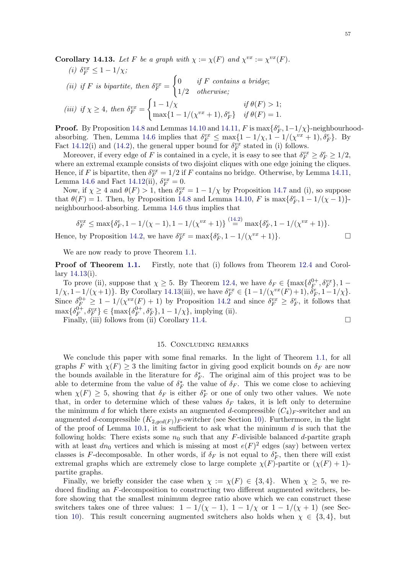<span id="page-56-1"></span>**Corollary 14.13.** Let F be a graph with  $\chi := \chi(F)$  and  $\chi^{vx} := \chi^{vx}(F)$ .

(i) 
$$
\delta_F^{vx} \le 1 - 1/\chi
$$
;  
\n(ii) if F is bipartite, then  $\delta_F^{vx} = \begin{cases} 0 & \text{if } F \text{ contains a bridge;} \\ 1/2 & \text{otherwise;} \end{cases}$   
\n(iii) if  $\chi \ge 4$ , then  $\delta_F^{vx} = \begin{cases} 1 - 1/\chi & \text{if } \theta(F) > 1; \\ \max\{1 - 1/(\chi^{vx} + 1), \delta_F^e\} & \text{if } \theta(F) = 1. \end{cases}$ 

**Proof.** By Proposition [14.8](#page-50-2) and Lemmas [14.10](#page-52-0) and [14.11,](#page-55-0)  $F$  is  $\max\{\delta_F^e, 1-1/\chi\}$ -neighbourhood-absorbing. Then, Lemma [14.6](#page-49-0) implies that  $\delta_F^{vx} \le \max\{1 - 1/\chi, 1 - 1/(\chi^{vx} + 1), \delta_F^e\}$ . By Fact [14.12\(](#page-55-1)i) and [\(14.2\)](#page-45-2), the general upper bound for  $\delta_F^{vx}$  stated in (i) follows.

Moreover, if every edge of F is contained in a cycle, it is easy to see that  $\delta_F^{vx} \ge \delta_F^e \ge 1/2$ , where an extremal example consists of two disjoint cliques with one edge joining the cliques. Hence, if F is bipartite, then  $\delta_F^{vx} = 1/2$  if F contains no bridge. Otherwise, by Lemma [14.11,](#page-55-0) Lemma [14.6](#page-49-0) and Fact [14.12\(](#page-55-1)ii),  $\delta_F^{vx} = 0$ .

Now, if  $\chi \geq 4$  and  $\theta(F) > 1$ , then  $\delta_F^{vx} = 1 - 1/\chi$  by Proposition [14.7](#page-50-4) and (i), so suppose that  $\theta(F) = 1$ . Then, by Proposition [14.8](#page-50-2) and Lemma [14.10,](#page-52-0) F is  $\max{\{\delta_F^e, 1 - 1/(\chi - 1)\}}$ neighbourhood-absorbing. Lemma [14.6](#page-49-0) thus implies that

$$
\delta_F^{vx} \le \max\{\delta_F^e, 1 - 1/(\chi - 1), 1 - 1/(\chi^{vx} + 1)\} \stackrel{(14.2)}{=} \max\{\delta_F^e, 1 - 1/(\chi^{vx} + 1)\}.
$$
  
by Proposition 14.2, we have  $\delta^{vx} = \max\{\delta_E^e, 1 - 1/(\chi^{vx} + 1)\}$ .

Hence, by Proposition [14.2,](#page-45-3) we have  $\delta_F^{vx} = \max{\delta_F^e, 1 - 1/(\chi^{vx} + 1)}$ .

We are now ready to prove Theorem [1.1.](#page-1-0)

**Proof of Theorem [1.1.](#page-1-0)** Firstly, note that (i) follows from Theorem [12.4](#page-35-0) and Corollary [14.13\(](#page-56-1)i).

To prove (ii), suppose that  $\chi \geq 5$ . By Theorem [12.4,](#page-35-0) we have  $\delta_F \in {\max\{\delta_F^{0+1}\}}$  $\{ {\theta^+ \over F}, {\delta^{vx}_F} \}, 1 1/\chi$ ,  $1-1/(\chi+1)$ . By Corollary [14.13\(](#page-56-1)iii), we have  $\delta_F^{vx} \in \{1-1/(\chi^{vx}(F)+1), \delta_F^e, 1-1/\chi\}$ . Since  $\delta_F^{0+} \geq 1 - 1/(\chi^{vx}(F) + 1)$  by Proposition [14.2](#page-45-3) and since  $\delta_F^{vx} \geq \delta_F^e$ , it follows that  $\max\{\delta_F^{0+}$  $\{ \theta_F^{\{-\!\!\},\delta_F^{vx} \} \in \{\max\{\delta_F^{0+\!\!\}:$  ${}_{F}^{0+}, \delta_{F}^{e}$ , 1 – 1/ $\chi$ , implying (ii).

Finally, (iii) follows from (ii) Corollary [11.4.](#page-33-1)

$$
\qquad \qquad \Box
$$

#### 15. Concluding remarks

<span id="page-56-0"></span>We conclude this paper with some final remarks. In the light of Theorem [1.1,](#page-1-0) for all graphs F with  $\chi(F) \geq 3$  the limiting factor in giving good explicit bounds on  $\delta_F$  are now the bounds available in the literature for  $\delta_F^*$ . The original aim of this project was to be able to determine from the value of  $\delta_F^*$  the value of  $\delta_F$ . This we come close to achieving when  $\chi(F) \geq 5$ , showing that  $\delta_F$  is either  $\delta_F^*$  or one of only two other values. We note that, in order to determine which of these values  $\delta_F$  takes, it is left only to determine the minimum d for which there exists an augmented d-compressible  $(C_4)_F$ -switcher and an augmented d-compressible  $(K_{2,gcd(F)})_F$ -switcher (see Section [10\)](#page-27-0). Furthermore, in the light of the proof of Lemma [10.1,](#page-27-3) it is sufficient to ask what the minimum  $d$  is such that the following holds: There exists some  $n_0$  such that any F-divisible balanced d-partite graph with at least  $dn_0$  vertices and which is missing at most  $e(F)^2$  edges (say) between vertex classes is F-decomposable. In other words, if  $\delta_F$  is not equal to  $\delta_F^*$ , then there will exist extremal graphs which are extremely close to large complete  $\chi(F)$ -partite or  $(\chi(F) + 1)$ partite graphs.

Finally, we briefly consider the case when  $\chi := \chi(F) \in \{3, 4\}$ . When  $\chi \geq 5$ , we reduced finding an F-decomposition to constructing two different augmented switchers, before showing that the smallest minimum degree ratio above which we can construct these switchers takes one of three values:  $1 - 1/(\chi - 1)$ ,  $1 - 1/\chi$  or  $1 - 1/(\chi + 1)$  (see Sec-tion [10\)](#page-27-0). This result concerning augmented switchers also holds when  $\chi \in \{3, 4\}$ , but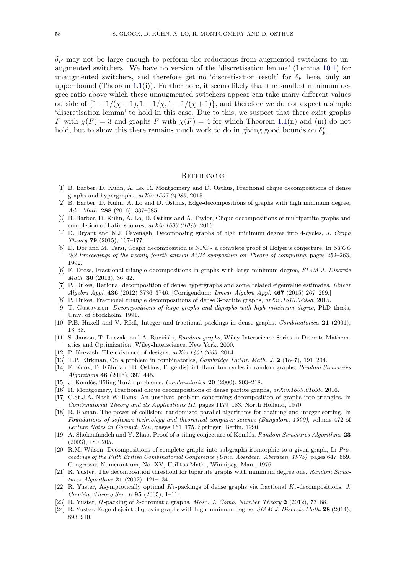$\delta_F$  may not be large enough to perform the reductions from augmented switchers to unaugmented switchers. We have no version of the 'discretisation lemma' (Lemma [10.1\)](#page-27-3) for unaugmented switchers, and therefore get no 'discretisation result' for  $\delta_F$  here, only an upper bound (Theorem  $1.1(i)$  $1.1(i)$ ). Furthermore, it seems likely that the smallest minimum degree ratio above which these unaugmented switchers appear can take many different values outside of  $\{1-1/(\chi-1), 1-1/\chi, 1-1/(\chi+1)\}\$ , and therefore we do not expect a simple 'discretisation lemma' to hold in this case. Due to this, we suspect that there exist graphs F with  $\chi(F) = 3$  and graphs F with  $\chi(F) = 4$  for which Theorem [1.1\(](#page-1-0)ii) and (iii) do not hold, but to show this there remains much work to do in giving good bounds on  $\delta_F^*$ .

#### **REFERENCES**

- <span id="page-57-9"></span>[1] B. Barber, D. Kühn, A. Lo, R. Montgomery and D. Osthus, Fractional clique decompositions of dense graphs and hypergraphs, arXiv:1507.04985, 2015.
- <span id="page-57-4"></span>[2] B. Barber, D. Kühn, A. Lo and D. Osthus, Edge-decompositions of graphs with high minimum degree, Adv. Math. 288 (2016), 337–385.
- <span id="page-57-14"></span>[3] B. Barber, D. Kühn, A. Lo, D. Osthus and A. Taylor, Clique decompositions of multipartite graphs and completion of Latin squares, arXiv:1603.01043, 2016.
- <span id="page-57-18"></span>[4] D. Bryant and N.J. Cavenagh, Decomposing graphs of high minimum degree into 4-cycles, J. Graph Theory 79  $(2015)$ , 167–177.
- <span id="page-57-2"></span>[5] D. Dor and M. Tarsi, Graph decomposition is NPC - a complete proof of Holyer's conjecture, In STOC '92 Proceedings of the twenty-fourth annual ACM symposium on Theory of computing, pages 252–263, 1992.
- <span id="page-57-10"></span>[6] F. Dross, Fractional triangle decompositions in graphs with large minimum degree, SIAM J. Discrete Math. 30 (2016), 36–42.
- <span id="page-57-11"></span>[7] P. Dukes, Rational decomposition of dense hypergraphs and some related eigenvalue estimates, Linear Algebra Appl. 436 (2012) 3736–3746. [Corrigendum: Linear Algebra Appl. 467 (2015) 267–269.]
- <span id="page-57-16"></span>[8] P. Dukes, Fractional triangle decompositions of dense 3-partite graphs, arXiv:1510.08998, 2015.
- <span id="page-57-7"></span>[9] T. Gustavsson. Decompositions of large graphs and digraphs with high minimum degree, PhD thesis, Univ. of Stockholm, 1991.
- <span id="page-57-3"></span>[10] P.E. Haxell and V. Rödl, Integer and fractional packings in dense graphs, *Combinatorica* 21 (2001), 13–38.
- <span id="page-57-20"></span>[11] S. Janson, T. Luczak, and A. Ruciński, Random graphs, Wiley-Interscience Series in Discrete Mathematics and Optimization. Wiley-Interscience, New York, 2000.
- <span id="page-57-13"></span>[12] P. Keevash, The existence of designs,  $arXiv:1401.3665$ , 2014.
- <span id="page-57-1"></span>[13] T.P. Kirkman, On a problem in combinatorics, *Cambridge Dublin Math. J.* 2 (1847), 191–204.
- <span id="page-57-19"></span>[14] F. Knox, D. Kühn and D. Osthus, Edge-disjoint Hamilton cycles in random graphs, Random Structures Algorithms 46 (2015), 397–445.
- <span id="page-57-22"></span>[15] J. Komlós, Tiling Turán problems, *Combinatorica* **20** (2000), 203-218.
- <span id="page-57-15"></span>[16] R. Montgomery, Fractional clique decompositions of dense partite graphs,  $arXiv:1603.01039$ , 2016.
- <span id="page-57-6"></span>[17] C.St.J.A. Nash-Williams, An unsolved problem concerning decomposition of graphs into triangles, In Combinatorial Theory and its Applications III, pages 1179–183, North Holland, 1970.
- <span id="page-57-21"></span>[18] R. Raman. The power of collision: randomized parallel algorithms for chaining and integer sorting, In Foundations of software technology and theoretical computer science (Bangalore, 1990), volume 472 of Lecture Notes in Comput. Sci., pages 161–175. Springer, Berlin, 1990.
- <span id="page-57-23"></span>[19] A. Shokoufandeh and Y. Zhao, Proof of a tiling conjecture of Komlós, Random Structures Algorithms 23 (2003), 180–205.
- <span id="page-57-0"></span>[20] R.M. Wilson, Decompositions of complete graphs into subgraphs isomorphic to a given graph, In Proceedings of the Fifth British Combinatorial Conference (Univ. Aberdeen, Aberdeen, 1975), pages 647–659, Congressus Numerantium, No. XV, Utilitas Math., Winnipeg, Man., 1976.
- <span id="page-57-17"></span>[21] R. Yuster, The decomposition threshold for bipartite graphs with minimum degree one, Random Structures Algorithms 21 (2002), 121–134.
- <span id="page-57-5"></span>[22] R. Yuster, Asymptotically optimal  $K_k$ -packings of dense graphs via fractional  $K_k$ -decompositions, J. Combin. Theory Ser. B 95 (2005), 1–11.
- <span id="page-57-8"></span>[23] R. Yuster, H-packing of k-chromatic graphs, Mosc. J. Comb. Number Theory 2 (2012), 73–88.
- <span id="page-57-12"></span>[24] R. Yuster, Edge-disjoint cliques in graphs with high minimum degree, SIAM J. Discrete Math. 28 (2014), 893–910.